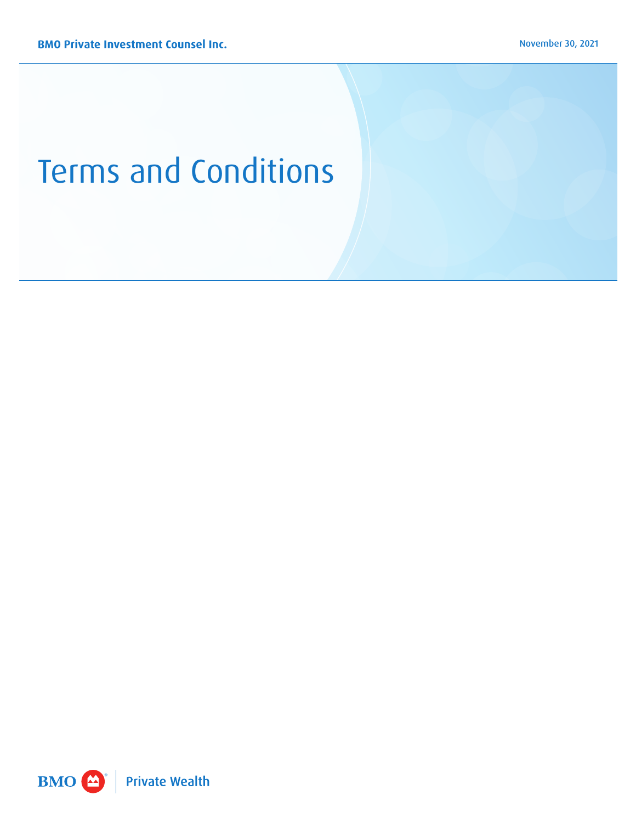# Terms and Conditions

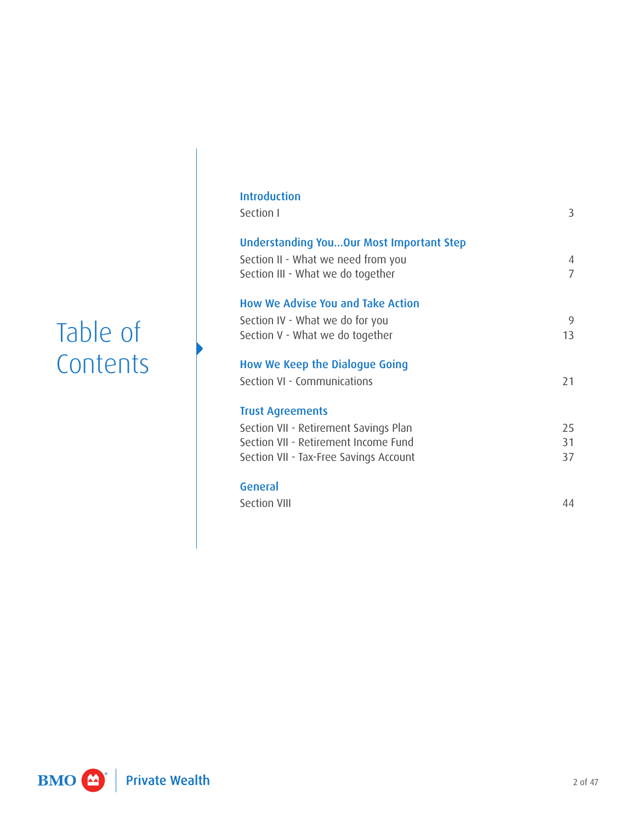# Table of **Contents**

| <b>Introduction</b><br>Section I                                                                                                                   | 3                   |
|----------------------------------------------------------------------------------------------------------------------------------------------------|---------------------|
| Understanding YouOur Most Important Step<br>Section II - What we need from you<br>Section III - What we do together                                | 4<br>$\overline{7}$ |
| <b>How We Advise You and Take Action</b><br>Section IV - What we do for you<br>Section V - What we do together                                     | 9<br>13             |
| How We Keep the Dialogue Going<br>Section VI - Communications                                                                                      | 21                  |
| <b>Trust Agreements</b><br>Section VII - Retirement Savings Plan<br>Section VII - Retirement Income Fund<br>Section VII - Tax-Free Savings Account | 25<br>31<br>37      |
| General<br>Section VIII                                                                                                                            | 44                  |

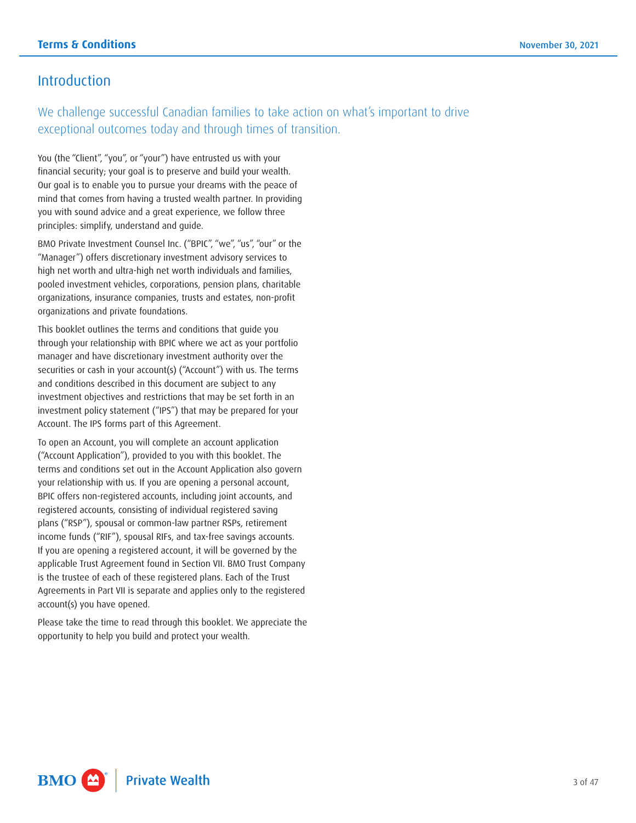# <span id="page-2-0"></span>Introduction

We challenge successful Canadian families to take action on what's important to drive exceptional outcomes today and through times of transition.

You (the "Client", "you", or "your") have entrusted us with your financial security; your goal is to preserve and build your wealth. Our goal is to enable you to pursue your dreams with the peace of mind that comes from having a trusted wealth partner. In providing you with sound advice and a great experience, we follow three principles: simplify, understand and guide.

BMO Private Investment Counsel Inc. ("BPIC", "we", "us", "our" or the "Manager") offers discretionary investment advisory services to high net worth and ultra-high net worth individuals and families, pooled investment vehicles, corporations, pension plans, charitable organizations, insurance companies, trusts and estates, non-profit organizations and private foundations.

This booklet outlines the terms and conditions that guide you through your relationship with BPIC where we act as your portfolio manager and have discretionary investment authority over the securities or cash in your account(s) ("Account") with us. The terms and conditions described in this document are subject to any investment objectives and restrictions that may be set forth in an investment policy statement ("IPS") that may be prepared for your Account. The IPS forms part of this Agreement.

To open an Account, you will complete an account application ("Account Application"), provided to you with this booklet. The terms and conditions set out in the Account Application also govern your relationship with us. If you are opening a personal account, BPIC offers non-registered accounts, including joint accounts, and registered accounts, consisting of individual registered saving plans ("RSP"), spousal or common-law partner RSPs, retirement income funds ("RIF"), spousal RIFs, and tax-free savings accounts. If you are opening a registered account, it will be governed by the applicable Trust Agreement found in Section VII. BMO Trust Company is the trustee of each of these registered plans. Each of the Trust Agreements in Part VII is separate and applies only to the registered account(s) you have opened.

Please take the time to read through this booklet. We appreciate the opportunity to help you build and protect your wealth.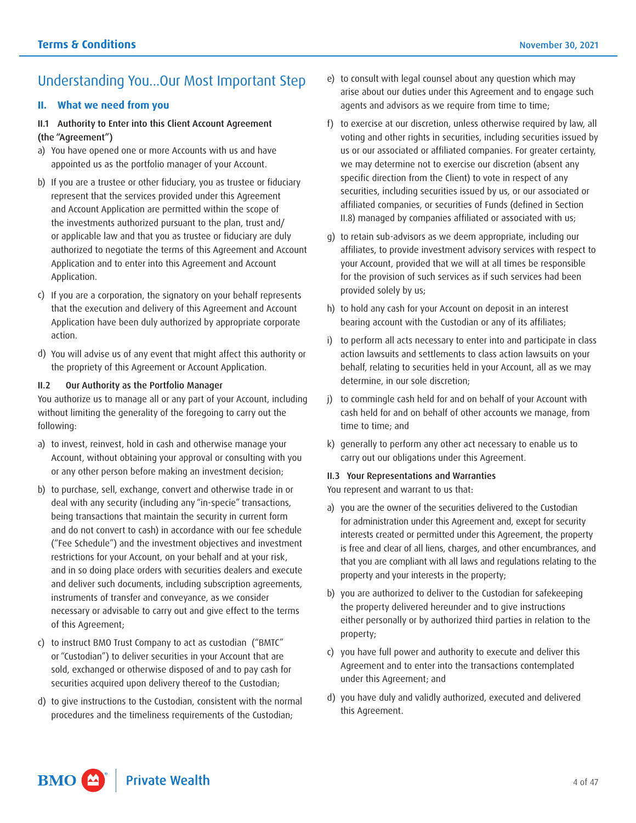# <span id="page-3-0"></span>Understanding You...Our Most Important Step

# **II. What we need from you**

# II.1 Authority to Enter into this Client Account Agreement (the "Agreement")

- a) You have opened one or more Accounts with us and have appointed us as the portfolio manager of your Account.
- b) If you are a trustee or other fiduciary, you as trustee or fiduciary represent that the services provided under this Agreement and Account Application are permitted within the scope of the investments authorized pursuant to the plan, trust and/ or applicable law and that you as trustee or fiduciary are duly authorized to negotiate the terms of this Agreement and Account Application and to enter into this Agreement and Account Application.
- c) If you are a corporation, the signatory on your behalf represents that the execution and delivery of this Agreement and Account Application have been duly authorized by appropriate corporate action.
- d) You will advise us of any event that might affect this authority or the propriety of this Agreement or Account Application.

# II.2 Our Authority as the Portfolio Manager

You authorize us to manage all or any part of your Account, including without limiting the generality of the foregoing to carry out the following:

- a) to invest, reinvest, hold in cash and otherwise manage your Account, without obtaining your approval or consulting with you or any other person before making an investment decision;
- b) to purchase, sell, exchange, convert and otherwise trade in or deal with any security (including any "in-specie" transactions, being transactions that maintain the security in current form and do not convert to cash) in accordance with our fee schedule ("Fee Schedule") and the investment objectives and investment restrictions for your Account, on your behalf and at your risk, and in so doing place orders with securities dealers and execute and deliver such documents, including subscription agreements, instruments of transfer and conveyance, as we consider necessary or advisable to carry out and give effect to the terms of this Agreement;
- c) to instruct BMO Trust Company to act as custodian ("BMTC" or "Custodian") to deliver securities in your Account that are sold, exchanged or otherwise disposed of and to pay cash for securities acquired upon delivery thereof to the Custodian;
- d) to give instructions to the Custodian, consistent with the normal procedures and the timeliness requirements of the Custodian;
- e) to consult with legal counsel about any question which may arise about our duties under this Agreement and to engage such agents and advisors as we require from time to time;
- f) to exercise at our discretion, unless otherwise required by law, all voting and other rights in securities, including securities issued by us or our associated or affiliated companies. For greater certainty, we may determine not to exercise our discretion (absent any specific direction from the Client) to vote in respect of any securities, including securities issued by us, or our associated or affiliated companies, or securities of Funds (defined in Section II.8) managed by companies affiliated or associated with us;
- g) to retain sub-advisors as we deem appropriate, including our affiliates, to provide investment advisory services with respect to your Account, provided that we will at all times be responsible for the provision of such services as if such services had been provided solely by us;
- h) to hold any cash for your Account on deposit in an interest bearing account with the Custodian or any of its affiliates;
- i) to perform all acts necessary to enter into and participate in class action lawsuits and settlements to class action lawsuits on your behalf, relating to securities held in your Account, all as we may determine, in our sole discretion;
- j) to commingle cash held for and on behalf of your Account with cash held for and on behalf of other accounts we manage, from time to time; and
- k) generally to perform any other act necessary to enable us to carry out our obligations under this Agreement.

# II.3 Your Representations and Warranties

You represent and warrant to us that:

- a) you are the owner of the securities delivered to the Custodian for administration under this Agreement and, except for security interests created or permitted under this Agreement, the property is free and clear of all liens, charges, and other encumbrances, and that you are compliant with all laws and regulations relating to the property and your interests in the property;
- b) you are authorized to deliver to the Custodian for safekeeping the property delivered hereunder and to give instructions either personally or by authorized third parties in relation to the property;
- c) you have full power and authority to execute and deliver this Agreement and to enter into the transactions contemplated under this Agreement; and
- d) you have duly and validly authorized, executed and delivered this Agreement.

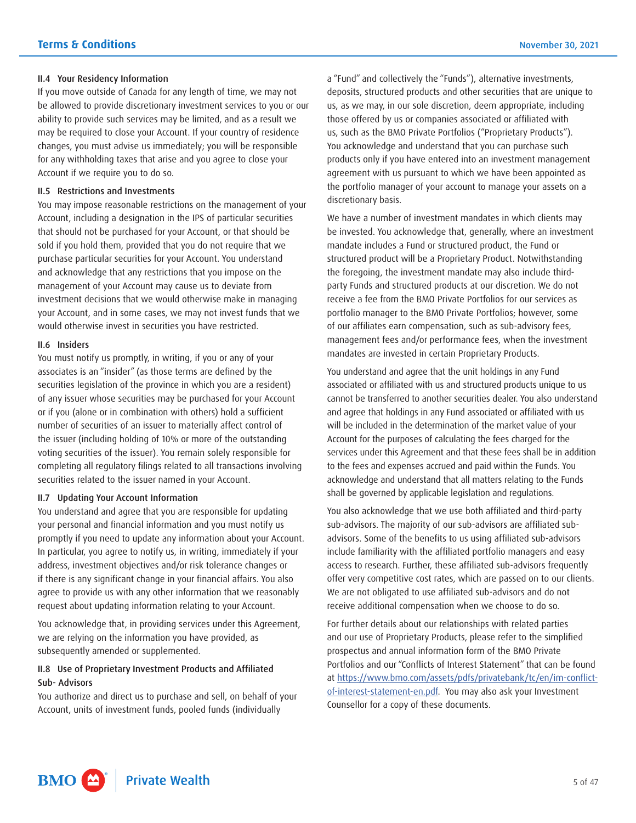#### II.4 Your Residency Information

If you move outside of Canada for any length of time, we may not be allowed to provide discretionary investment services to you or our ability to provide such services may be limited, and as a result we may be required to close your Account. If your country of residence changes, you must advise us immediately; you will be responsible for any withholding taxes that arise and you agree to close your Account if we require you to do so.

#### II.5 Restrictions and Investments

You may impose reasonable restrictions on the management of your Account, including a designation in the IPS of particular securities that should not be purchased for your Account, or that should be sold if you hold them, provided that you do not require that we purchase particular securities for your Account. You understand and acknowledge that any restrictions that you impose on the management of your Account may cause us to deviate from investment decisions that we would otherwise make in managing your Account, and in some cases, we may not invest funds that we would otherwise invest in securities you have restricted.

#### II.6 Insiders

You must notify us promptly, in writing, if you or any of your associates is an "insider" (as those terms are defined by the securities legislation of the province in which you are a resident) of any issuer whose securities may be purchased for your Account or if you (alone or in combination with others) hold a sufficient number of securities of an issuer to materially affect control of the issuer (including holding of 10% or more of the outstanding voting securities of the issuer). You remain solely responsible for completing all regulatory filings related to all transactions involving securities related to the issuer named in your Account.

#### II.7 Updating Your Account Information

You understand and agree that you are responsible for updating your personal and financial information and you must notify us promptly if you need to update any information about your Account. In particular, you agree to notify us, in writing, immediately if your address, investment objectives and/or risk tolerance changes or if there is any significant change in your financial affairs. You also agree to provide us with any other information that we reasonably request about updating information relating to your Account.

You acknowledge that, in providing services under this Agreement, we are relying on the information you have provided, as subsequently amended or supplemented.

# II.8 Use of Proprietary Investment Products and Affiliated Sub- Advisors

You authorize and direct us to purchase and sell, on behalf of your Account, units of investment funds, pooled funds (individually

a "Fund" and collectively the "Funds"), alternative investments, deposits, structured products and other securities that are unique to us, as we may, in our sole discretion, deem appropriate, including those offered by us or companies associated or affiliated with us, such as the BMO Private Portfolios ("Proprietary Products"). You acknowledge and understand that you can purchase such products only if you have entered into an investment management agreement with us pursuant to which we have been appointed as the portfolio manager of your account to manage your assets on a discretionary basis.

We have a number of investment mandates in which clients may be invested. You acknowledge that, generally, where an investment mandate includes a Fund or structured product, the Fund or structured product will be a Proprietary Product. Notwithstanding the foregoing, the investment mandate may also include thirdparty Funds and structured products at our discretion. We do not receive a fee from the BMO Private Portfolios for our services as portfolio manager to the BMO Private Portfolios; however, some of our affiliates earn compensation, such as sub-advisory fees, management fees and/or performance fees, when the investment mandates are invested in certain Proprietary Products.

You understand and agree that the unit holdings in any Fund associated or affiliated with us and structured products unique to us cannot be transferred to another securities dealer. You also understand and agree that holdings in any Fund associated or affiliated with us will be included in the determination of the market value of your Account for the purposes of calculating the fees charged for the services under this Agreement and that these fees shall be in addition to the fees and expenses accrued and paid within the Funds. You acknowledge and understand that all matters relating to the Funds shall be governed by applicable legislation and regulations.

You also acknowledge that we use both affiliated and third-party sub-advisors. The majority of our sub-advisors are affiliated subadvisors. Some of the benefits to us using affiliated sub-advisors include familiarity with the affiliated portfolio managers and easy access to research. Further, these affiliated sub-advisors frequently offer very competitive cost rates, which are passed on to our clients. We are not obligated to use affiliated sub-advisors and do not receive additional compensation when we choose to do so.

For further details about our relationships with related parties and our use of Proprietary Products, please refer to the simplified prospectus and annual information form of the BMO Private Portfolios and our "Conflicts of Interest Statement" that can be found at [https://www.bmo.com/assets/pdfs/privatebank/tc/en/im-conflict](https://www.bmo.com/assets/pdfs/privatebank/tc/en/im-conflict-of-interest-statement-en.pdf)[of-interest-statement-en.pdf.](https://www.bmo.com/assets/pdfs/privatebank/tc/en/im-conflict-of-interest-statement-en.pdf) You may also ask your Investment Counsellor for a copy of these documents.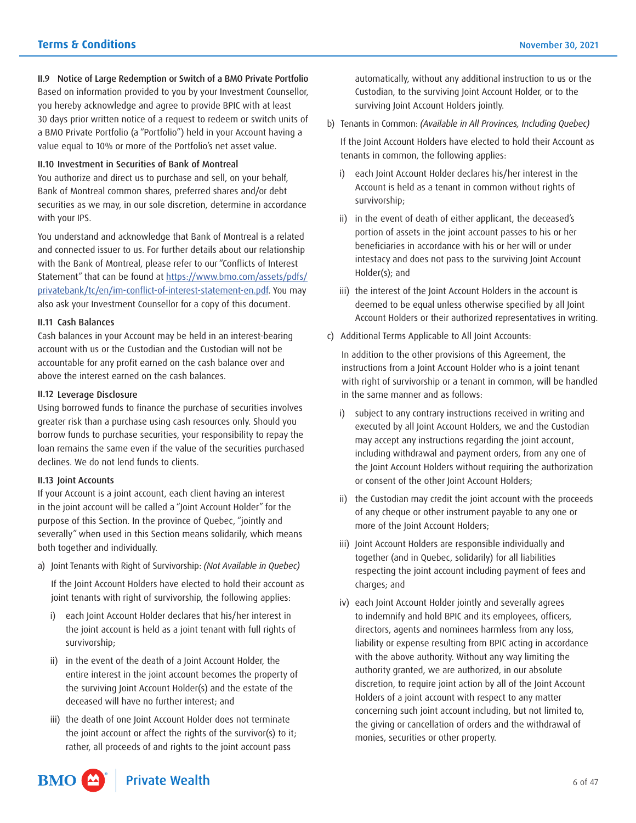II.9 Notice of Large Redemption or Switch of a BMO Private Portfolio Based on information provided to you by your Investment Counsellor, you hereby acknowledge and agree to provide BPIC with at least 30 days prior written notice of a request to redeem or switch units of a BMO Private Portfolio (a "Portfolio") held in your Account having a value equal to 10% or more of the Portfolio's net asset value.

#### II.10 Investment in Securities of Bank of Montreal

You authorize and direct us to purchase and sell, on your behalf, Bank of Montreal common shares, preferred shares and/or debt securities as we may, in our sole discretion, determine in accordance with your IPS.

You understand and acknowledge that Bank of Montreal is a related and connected issuer to us. For further details about our relationship with the Bank of Montreal, please refer to our "Conflicts of Interest Statement" that can be found at [https://www.bmo.com/assets/pdfs/](https://www.bmo.com/assets/pdfs/privatebank/tc/en/im-conflict-of-interest-statement-en.pdf) [privatebank/tc/en/im-conflict-of-interest-statement-en.pdf.](https://www.bmo.com/assets/pdfs/privatebank/tc/en/im-conflict-of-interest-statement-en.pdf) You may also ask your Investment Counsellor for a copy of this document.

#### II.11 Cash Balances

Cash balances in your Account may be held in an interest-bearing account with us or the Custodian and the Custodian will not be accountable for any profit earned on the cash balance over and above the interest earned on the cash balances.

#### II.12 Leverage Disclosure

Using borrowed funds to finance the purchase of securities involves greater risk than a purchase using cash resources only. Should you borrow funds to purchase securities, your responsibility to repay the loan remains the same even if the value of the securities purchased declines. We do not lend funds to clients.

#### II.13 Joint Accounts

If your Account is a joint account, each client having an interest in the joint account will be called a "Joint Account Holder" for the purpose of this Section. In the province of Quebec, "jointly and severally" when used in this Section means solidarily, which means both together and individually.

a) Joint Tenants with Right of Survivorship: *(Not Available in Quebec)*

If the Joint Account Holders have elected to hold their account as joint tenants with right of survivorship, the following applies:

- i) each Joint Account Holder declares that his/her interest in the joint account is held as a joint tenant with full rights of survivorship;
- ii) in the event of the death of a Joint Account Holder, the entire interest in the joint account becomes the property of the surviving Joint Account Holder(s) and the estate of the deceased will have no further interest; and
- iii) the death of one Joint Account Holder does not terminate the joint account or affect the rights of the survivor(s) to it; rather, all proceeds of and rights to the joint account pass

automatically, without any additional instruction to us or the Custodian, to the surviving Joint Account Holder, or to the surviving Joint Account Holders jointly.

b) Tenants in Common: *(Available in All Provinces, Including Quebec)*

If the Joint Account Holders have elected to hold their Account as tenants in common, the following applies:

- i) each Joint Account Holder declares his/her interest in the Account is held as a tenant in common without rights of survivorship;
- ii) in the event of death of either applicant, the deceased's portion of assets in the joint account passes to his or her beneficiaries in accordance with his or her will or under intestacy and does not pass to the surviving Joint Account Holder(s); and
- iii) the interest of the Joint Account Holders in the account is deemed to be equal unless otherwise specified by all Joint Account Holders or their authorized representatives in writing.
- c) Additional Terms Applicable to All Joint Accounts:

In addition to the other provisions of this Agreement, the instructions from a Joint Account Holder who is a joint tenant with right of survivorship or a tenant in common, will be handled in the same manner and as follows:

- i) subject to any contrary instructions received in writing and executed by all Joint Account Holders, we and the Custodian may accept any instructions regarding the joint account, including withdrawal and payment orders, from any one of the Joint Account Holders without requiring the authorization or consent of the other Joint Account Holders;
- ii) the Custodian may credit the joint account with the proceeds of any cheque or other instrument payable to any one or more of the Joint Account Holders;
- iii) Joint Account Holders are responsible individually and together (and in Quebec, solidarily) for all liabilities respecting the joint account including payment of fees and charges; and
- iv) each Joint Account Holder jointly and severally agrees to indemnify and hold BPIC and its employees, officers, directors, agents and nominees harmless from any loss, liability or expense resulting from BPIC acting in accordance with the above authority. Without any way limiting the authority granted, we are authorized, in our absolute discretion, to require joint action by all of the Joint Account Holders of a joint account with respect to any matter concerning such joint account including, but not limited to, the giving or cancellation of orders and the withdrawal of monies, securities or other property.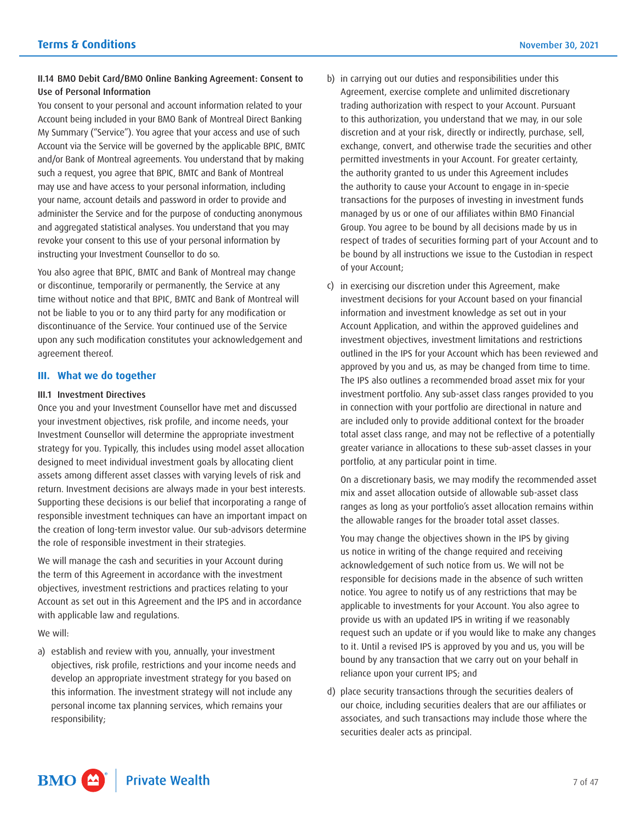# <span id="page-6-0"></span>II.14 BMO Debit Card/BMO Online Banking Agreement: Consent to Use of Personal Information

You consent to your personal and account information related to your Account being included in your BMO Bank of Montreal Direct Banking My Summary ("Service"). You agree that your access and use of such Account via the Service will be governed by the applicable BPIC, BMTC and/or Bank of Montreal agreements. You understand that by making such a request, you agree that BPIC, BMTC and Bank of Montreal may use and have access to your personal information, including your name, account details and password in order to provide and administer the Service and for the purpose of conducting anonymous and aggregated statistical analyses. You understand that you may revoke your consent to this use of your personal information by instructing your Investment Counsellor to do so.

You also agree that BPIC, BMTC and Bank of Montreal may change or discontinue, temporarily or permanently, the Service at any time without notice and that BPIC, BMTC and Bank of Montreal will not be liable to you or to any third party for any modification or discontinuance of the Service. Your continued use of the Service upon any such modification constitutes your acknowledgement and agreement thereof.

# **III. What we do together**

# III.1 Investment Directives

Once you and your Investment Counsellor have met and discussed your investment objectives, risk profile, and income needs, your Investment Counsellor will determine the appropriate investment strategy for you. Typically, this includes using model asset allocation designed to meet individual investment goals by allocating client assets among different asset classes with varying levels of risk and return. Investment decisions are always made in your best interests. Supporting these decisions is our belief that incorporating a range of responsible investment techniques can have an important impact on the creation of long-term investor value. Our sub-advisors determine the role of responsible investment in their strategies.

We will manage the cash and securities in your Account during the term of this Agreement in accordance with the investment objectives, investment restrictions and practices relating to your Account as set out in this Agreement and the IPS and in accordance with applicable law and regulations.

We will:

a) establish and review with you, annually, your investment objectives, risk profile, restrictions and your income needs and develop an appropriate investment strategy for you based on this information. The investment strategy will not include any personal income tax planning services, which remains your responsibility;

- b) in carrying out our duties and responsibilities under this Agreement, exercise complete and unlimited discretionary trading authorization with respect to your Account. Pursuant to this authorization, you understand that we may, in our sole discretion and at your risk, directly or indirectly, purchase, sell, exchange, convert, and otherwise trade the securities and other permitted investments in your Account. For greater certainty, the authority granted to us under this Agreement includes the authority to cause your Account to engage in in-specie transactions for the purposes of investing in investment funds managed by us or one of our affiliates within BMO Financial Group. You agree to be bound by all decisions made by us in respect of trades of securities forming part of your Account and to be bound by all instructions we issue to the Custodian in respect of your Account;
- c) in exercising our discretion under this Agreement, make investment decisions for your Account based on your financial information and investment knowledge as set out in your Account Application, and within the approved guidelines and investment objectives, investment limitations and restrictions outlined in the IPS for your Account which has been reviewed and approved by you and us, as may be changed from time to time. The IPS also outlines a recommended broad asset mix for your investment portfolio. Any sub-asset class ranges provided to you in connection with your portfolio are directional in nature and are included only to provide additional context for the broader total asset class range, and may not be reflective of a potentially greater variance in allocations to these sub-asset classes in your portfolio, at any particular point in time.

On a discretionary basis, we may modify the recommended asset mix and asset allocation outside of allowable sub-asset class ranges as long as your portfolio's asset allocation remains within the allowable ranges for the broader total asset classes.

You may change the objectives shown in the IPS by giving us notice in writing of the change required and receiving acknowledgement of such notice from us. We will not be responsible for decisions made in the absence of such written notice. You agree to notify us of any restrictions that may be applicable to investments for your Account. You also agree to provide us with an updated IPS in writing if we reasonably request such an update or if you would like to make any changes to it. Until a revised IPS is approved by you and us, you will be bound by any transaction that we carry out on your behalf in reliance upon your current IPS; and

d) place security transactions through the securities dealers of our choice, including securities dealers that are our affiliates or associates, and such transactions may include those where the securities dealer acts as principal.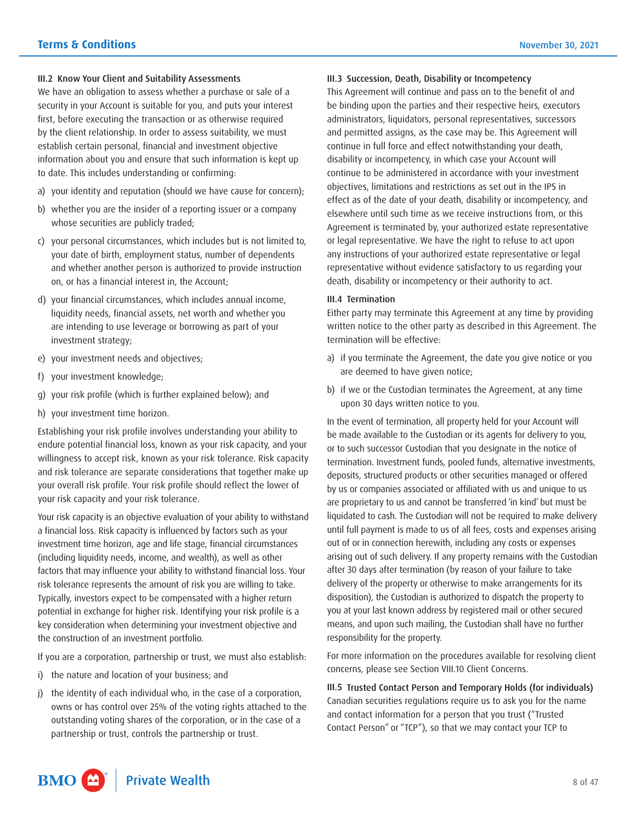#### III.2 Know Your Client and Suitability Assessments

We have an obligation to assess whether a purchase or sale of a security in your Account is suitable for you, and puts your interest first, before executing the transaction or as otherwise required by the client relationship. In order to assess suitability, we must establish certain personal, financial and investment objective information about you and ensure that such information is kept up to date. This includes understanding or confirming:

- a) your identity and reputation (should we have cause for concern);
- b) whether you are the insider of a reporting issuer or a company whose securities are publicly traded;
- c) your personal circumstances, which includes but is not limited to, your date of birth, employment status, number of dependents and whether another person is authorized to provide instruction on, or has a financial interest in, the Account;
- d) your financial circumstances, which includes annual income, liquidity needs, financial assets, net worth and whether you are intending to use leverage or borrowing as part of your investment strategy;
- e) your investment needs and objectives;
- f) your investment knowledge;
- g) your risk profile (which is further explained below); and
- h) your investment time horizon.

Establishing your risk profile involves understanding your ability to endure potential financial loss, known as your risk capacity, and your willingness to accept risk, known as your risk tolerance. Risk capacity and risk tolerance are separate considerations that together make up your overall risk profile. Your risk profile should reflect the lower of your risk capacity and your risk tolerance.

Your risk capacity is an objective evaluation of your ability to withstand a financial loss. Risk capacity is influenced by factors such as your investment time horizon, age and life stage, financial circumstances (including liquidity needs, income, and wealth), as well as other factors that may influence your ability to withstand financial loss. Your risk tolerance represents the amount of risk you are willing to take. Typically, investors expect to be compensated with a higher return potential in exchange for higher risk. Identifying your risk profile is a key consideration when determining your investment objective and the construction of an investment portfolio.

If you are a corporation, partnership or trust, we must also establish:

- i) the nature and location of your business; and
- j) the identity of each individual who, in the case of a corporation, owns or has control over 25% of the voting rights attached to the outstanding voting shares of the corporation, or in the case of a partnership or trust, controls the partnership or trust.

#### III.3 Succession, Death, Disability or Incompetency

This Agreement will continue and pass on to the benefit of and be binding upon the parties and their respective heirs, executors administrators, liquidators, personal representatives, successors and permitted assigns, as the case may be. This Agreement will continue in full force and effect notwithstanding your death, disability or incompetency, in which case your Account will continue to be administered in accordance with your investment objectives, limitations and restrictions as set out in the IPS in effect as of the date of your death, disability or incompetency, and elsewhere until such time as we receive instructions from, or this Agreement is terminated by, your authorized estate representative or legal representative. We have the right to refuse to act upon any instructions of your authorized estate representative or legal representative without evidence satisfactory to us regarding your death, disability or incompetency or their authority to act.

#### III.4 Termination

Either party may terminate this Agreement at any time by providing written notice to the other party as described in this Agreement. The termination will be effective:

- a) if you terminate the Agreement, the date you give notice or you are deemed to have given notice;
- b) if we or the Custodian terminates the Agreement, at any time upon 30 days written notice to you.

In the event of termination, all property held for your Account will be made available to the Custodian or its agents for delivery to you, or to such successor Custodian that you designate in the notice of termination. Investment funds, pooled funds, alternative investments, deposits, structured products or other securities managed or offered by us or companies associated or affiliated with us and unique to us are proprietary to us and cannot be transferred 'in kind' but must be liquidated to cash. The Custodian will not be required to make delivery until full payment is made to us of all fees, costs and expenses arising out of or in connection herewith, including any costs or expenses arising out of such delivery. If any property remains with the Custodian after 30 days after termination (by reason of your failure to take delivery of the property or otherwise to make arrangements for its disposition), the Custodian is authorized to dispatch the property to you at your last known address by registered mail or other secured means, and upon such mailing, the Custodian shall have no further responsibility for the property.

For more information on the procedures available for resolving client concerns, please see Section VIII.10 Client Concerns.

III.5 Trusted Contact Person and Temporary Holds (for individuals) Canadian securities regulations require us to ask you for the name and contact information for a person that you trust ("Trusted Contact Person" or "TCP"), so that we may contact your TCP to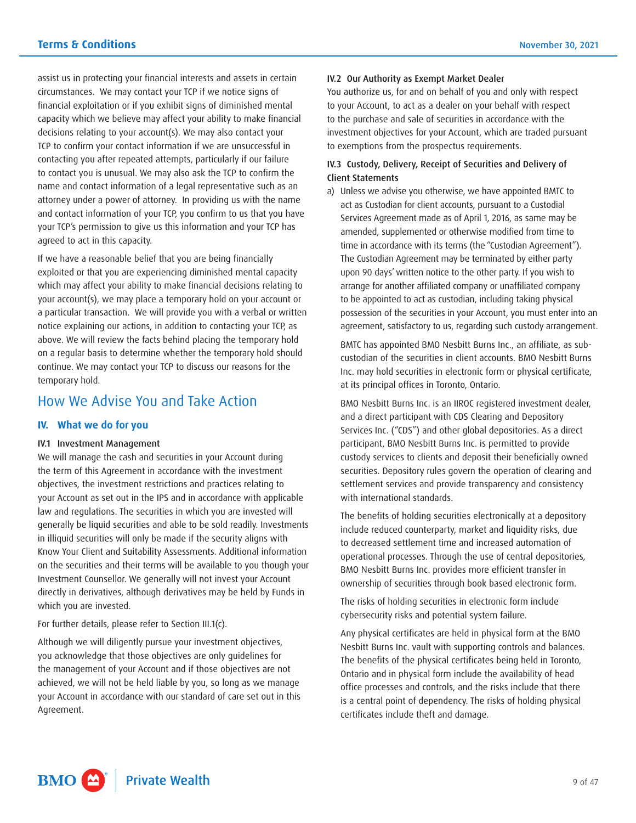<span id="page-8-0"></span>assist us in protecting your financial interests and assets in certain circumstances. We may contact your TCP if we notice signs of financial exploitation or if you exhibit signs of diminished mental capacity which we believe may affect your ability to make financial decisions relating to your account(s). We may also contact your TCP to confirm your contact information if we are unsuccessful in contacting you after repeated attempts, particularly if our failure to contact you is unusual. We may also ask the TCP to confirm the name and contact information of a legal representative such as an attorney under a power of attorney. In providing us with the name and contact information of your TCP, you confirm to us that you have your TCP's permission to give us this information and your TCP has agreed to act in this capacity.

If we have a reasonable belief that you are being financially exploited or that you are experiencing diminished mental capacity which may affect your ability to make financial decisions relating to your account(s), we may place a temporary hold on your account or a particular transaction. We will provide you with a verbal or written notice explaining our actions, in addition to contacting your TCP, as above. We will review the facts behind placing the temporary hold on a regular basis to determine whether the temporary hold should continue. We may contact your TCP to discuss our reasons for the temporary hold.

# How We Advise You and Take Action

# **IV. What we do for you**

#### IV.1 Investment Management

We will manage the cash and securities in your Account during the term of this Agreement in accordance with the investment objectives, the investment restrictions and practices relating to your Account as set out in the IPS and in accordance with applicable law and regulations. The securities in which you are invested will generally be liquid securities and able to be sold readily. Investments in illiquid securities will only be made if the security aligns with Know Your Client and Suitability Assessments. Additional information on the securities and their terms will be available to you though your Investment Counsellor. We generally will not invest your Account directly in derivatives, although derivatives may be held by Funds in which you are invested.

For further details, please refer to Section III.1(c).

Although we will diligently pursue your investment objectives, you acknowledge that those objectives are only guidelines for the management of your Account and if those objectives are not achieved, we will not be held liable by you, so long as we manage your Account in accordance with our standard of care set out in this Agreement.

#### IV.2 Our Authority as Exempt Market Dealer

You authorize us, for and on behalf of you and only with respect to your Account, to act as a dealer on your behalf with respect to the purchase and sale of securities in accordance with the investment objectives for your Account, which are traded pursuant to exemptions from the prospectus requirements.

# IV.3 Custody, Delivery, Receipt of Securities and Delivery of Client Statements

a) Unless we advise you otherwise, we have appointed BMTC to act as Custodian for client accounts, pursuant to a Custodial Services Agreement made as of April 1, 2016, as same may be amended, supplemented or otherwise modified from time to time in accordance with its terms (the "Custodian Agreement"). The Custodian Agreement may be terminated by either party upon 90 days' written notice to the other party. If you wish to arrange for another affiliated company or unaffiliated company to be appointed to act as custodian, including taking physical possession of the securities in your Account, you must enter into an agreement, satisfactory to us, regarding such custody arrangement.

BMTC has appointed BMO Nesbitt Burns Inc., an affiliate, as subcustodian of the securities in client accounts. BMO Nesbitt Burns Inc. may hold securities in electronic form or physical certificate, at its principal offices in Toronto, Ontario.

BMO Nesbitt Burns Inc. is an IIROC registered investment dealer, and a direct participant with CDS Clearing and Depository Services Inc. ("CDS") and other global depositories. As a direct participant, BMO Nesbitt Burns Inc. is permitted to provide custody services to clients and deposit their beneficially owned securities. Depository rules govern the operation of clearing and settlement services and provide transparency and consistency with international standards.

The benefits of holding securities electronically at a depository include reduced counterparty, market and liquidity risks, due to decreased settlement time and increased automation of operational processes. Through the use of central depositories, BMO Nesbitt Burns Inc. provides more efficient transfer in ownership of securities through book based electronic form.

The risks of holding securities in electronic form include cybersecurity risks and potential system failure.

Any physical certificates are held in physical form at the BMO Nesbitt Burns Inc. vault with supporting controls and balances. The benefits of the physical certificates being held in Toronto, Ontario and in physical form include the availability of head office processes and controls, and the risks include that there is a central point of dependency. The risks of holding physical certificates include theft and damage.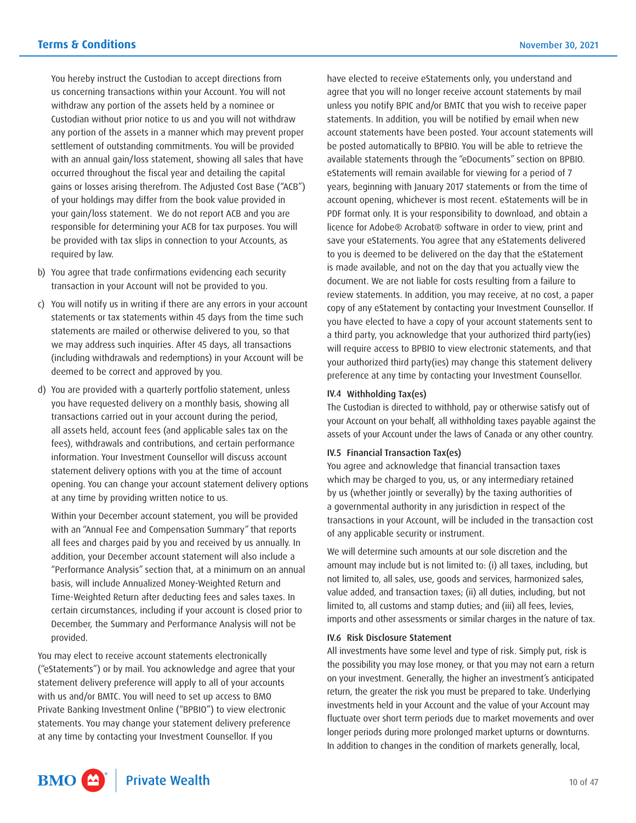You hereby instruct the Custodian to accept directions from us concerning transactions within your Account. You will not withdraw any portion of the assets held by a nominee or Custodian without prior notice to us and you will not withdraw any portion of the assets in a manner which may prevent proper settlement of outstanding commitments. You will be provided with an annual gain/loss statement, showing all sales that have occurred throughout the fiscal year and detailing the capital gains or losses arising therefrom. The Adjusted Cost Base ("ACB") of your holdings may differ from the book value provided in your gain/loss statement. We do not report ACB and you are responsible for determining your ACB for tax purposes. You will be provided with tax slips in connection to your Accounts, as required by law.

- b) You agree that trade confirmations evidencing each security transaction in your Account will not be provided to you.
- c) You will notify us in writing if there are any errors in your account statements or tax statements within 45 days from the time such statements are mailed or otherwise delivered to you, so that we may address such inquiries. After 45 days, all transactions (including withdrawals and redemptions) in your Account will be deemed to be correct and approved by you.
- d) You are provided with a quarterly portfolio statement, unless you have requested delivery on a monthly basis, showing all transactions carried out in your account during the period, all assets held, account fees (and applicable sales tax on the fees), withdrawals and contributions, and certain performance information. Your Investment Counsellor will discuss account statement delivery options with you at the time of account opening. You can change your account statement delivery options at any time by providing written notice to us.

Within your December account statement, you will be provided with an "Annual Fee and Compensation Summary" that reports all fees and charges paid by you and received by us annually. In addition, your December account statement will also include a "Performance Analysis" section that, at a minimum on an annual basis, will include Annualized Money-Weighted Return and Time-Weighted Return after deducting fees and sales taxes. In certain circumstances, including if your account is closed prior to December, the Summary and Performance Analysis will not be provided.

You may elect to receive account statements electronically ("eStatements") or by mail. You acknowledge and agree that your statement delivery preference will apply to all of your accounts with us and/or BMTC. You will need to set up access to BMO Private Banking Investment Online ("BPBIO") to view electronic statements. You may change your statement delivery preference at any time by contacting your Investment Counsellor. If you

have elected to receive eStatements only, you understand and agree that you will no longer receive account statements by mail unless you notify BPIC and/or BMTC that you wish to receive paper statements. In addition, you will be notified by email when new account statements have been posted. Your account statements will be posted automatically to BPBIO. You will be able to retrieve the available statements through the "eDocuments" section on BPBIO. eStatements will remain available for viewing for a period of 7 years, beginning with January 2017 statements or from the time of account opening, whichever is most recent. eStatements will be in PDF format only. It is your responsibility to download, and obtain a licence for Adobe® Acrobat® software in order to view, print and save your eStatements. You agree that any eStatements delivered to you is deemed to be delivered on the day that the eStatement is made available, and not on the day that you actually view the document. We are not liable for costs resulting from a failure to review statements. In addition, you may receive, at no cost, a paper copy of any eStatement by contacting your Investment Counsellor. If you have elected to have a copy of your account statements sent to a third party, you acknowledge that your authorized third party(ies) will require access to BPBIO to view electronic statements, and that your authorized third party(ies) may change this statement delivery preference at any time by contacting your Investment Counsellor.

#### IV.4 Withholding Tax(es)

The Custodian is directed to withhold, pay or otherwise satisfy out of your Account on your behalf, all withholding taxes payable against the assets of your Account under the laws of Canada or any other country.

#### IV.5 Financial Transaction Tax(es)

You agree and acknowledge that financial transaction taxes which may be charged to you, us, or any intermediary retained by us (whether jointly or severally) by the taxing authorities of a governmental authority in any jurisdiction in respect of the transactions in your Account, will be included in the transaction cost of any applicable security or instrument.

We will determine such amounts at our sole discretion and the amount may include but is not limited to: (i) all taxes, including, but not limited to, all sales, use, goods and services, harmonized sales, value added, and transaction taxes; (ii) all duties, including, but not limited to, all customs and stamp duties; and (iii) all fees, levies, imports and other assessments or similar charges in the nature of tax.

#### IV.6 Risk Disclosure Statement

All investments have some level and type of risk. Simply put, risk is the possibility you may lose money, or that you may not earn a return on your investment. Generally, the higher an investment's anticipated return, the greater the risk you must be prepared to take. Underlying investments held in your Account and the value of your Account may fluctuate over short term periods due to market movements and over longer periods during more prolonged market upturns or downturns. In addition to changes in the condition of markets generally, local,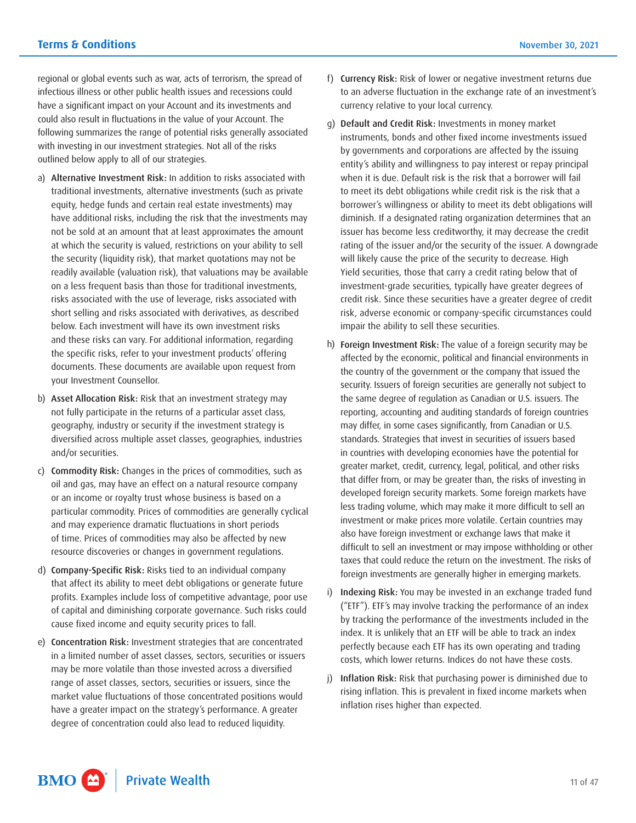regional or global events such as war, acts of terrorism, the spread of infectious illness or other public health issues and recessions could have a significant impact on your Account and its investments and could also result in fluctuations in the value of your Account. The following summarizes the range of potential risks generally associated with investing in our investment strategies. Not all of the risks outlined below apply to all of our strategies.

- a) Alternative Investment Risk: In addition to risks associated with traditional investments, alternative investments (such as private equity, hedge funds and certain real estate investments) may have additional risks, including the risk that the investments may not be sold at an amount that at least approximates the amount at which the security is valued, restrictions on your ability to sell the security (liquidity risk), that market quotations may not be readily available (valuation risk), that valuations may be available on a less frequent basis than those for traditional investments, risks associated with the use of leverage, risks associated with short selling and risks associated with derivatives, as described below. Each investment will have its own investment risks and these risks can vary. For additional information, regarding the specific risks, refer to your investment products' offering documents. These documents are available upon request from your Investment Counsellor.
- b) Asset Allocation Risk: Risk that an investment strategy may not fully participate in the returns of a particular asset class, geography, industry or security if the investment strategy is diversified across multiple asset classes, geographies, industries and/or securities.
- c) Commodity Risk: Changes in the prices of commodities, such as oil and gas, may have an effect on a natural resource company or an income or royalty trust whose business is based on a particular commodity. Prices of commodities are generally cyclical and may experience dramatic fluctuations in short periods of time. Prices of commodities may also be affected by new resource discoveries or changes in government regulations.
- d) Company-Specific Risk: Risks tied to an individual company that affect its ability to meet debt obligations or generate future profits. Examples include loss of competitive advantage, poor use of capital and diminishing corporate governance. Such risks could cause fixed income and equity security prices to fall.
- e) Concentration Risk: Investment strategies that are concentrated in a limited number of asset classes, sectors, securities or issuers may be more volatile than those invested across a diversified range of asset classes, sectors, securities or issuers, since the market value fluctuations of those concentrated positions would have a greater impact on the strategy's performance. A greater degree of concentration could also lead to reduced liquidity.
- f) Currency Risk: Risk of lower or negative investment returns due to an adverse fluctuation in the exchange rate of an investment's currency relative to your local currency.
- g) Default and Credit Risk: Investments in money market instruments, bonds and other fixed income investments issued by governments and corporations are affected by the issuing entity's ability and willingness to pay interest or repay principal when it is due. Default risk is the risk that a borrower will fail to meet its debt obligations while credit risk is the risk that a borrower's willingness or ability to meet its debt obligations will diminish. If a designated rating organization determines that an issuer has become less creditworthy, it may decrease the credit rating of the issuer and/or the security of the issuer. A downgrade will likely cause the price of the security to decrease. High Yield securities, those that carry a credit rating below that of investment-grade securities, typically have greater degrees of credit risk. Since these securities have a greater degree of credit risk, adverse economic or company-specific circumstances could impair the ability to sell these securities.
- h) Foreign Investment Risk: The value of a foreign security may be affected by the economic, political and financial environments in the country of the government or the company that issued the security. Issuers of foreign securities are generally not subject to the same degree of regulation as Canadian or U.S. issuers. The reporting, accounting and auditing standards of foreign countries may differ, in some cases significantly, from Canadian or U.S. standards. Strategies that invest in securities of issuers based in countries with developing economies have the potential for greater market, credit, currency, legal, political, and other risks that differ from, or may be greater than, the risks of investing in developed foreign security markets. Some foreign markets have less trading volume, which may make it more difficult to sell an investment or make prices more volatile. Certain countries may also have foreign investment or exchange laws that make it difficult to sell an investment or may impose withholding or other taxes that could reduce the return on the investment. The risks of foreign investments are generally higher in emerging markets.
- i) Indexing Risk: You may be invested in an exchange traded fund ("ETF"). ETF's may involve tracking the performance of an index by tracking the performance of the investments included in the index. It is unlikely that an ETF will be able to track an index perfectly because each ETF has its own operating and trading costs, which lower returns. Indices do not have these costs.
- j) Inflation Risk: Risk that purchasing power is diminished due to rising inflation. This is prevalent in fixed income markets when inflation rises higher than expected.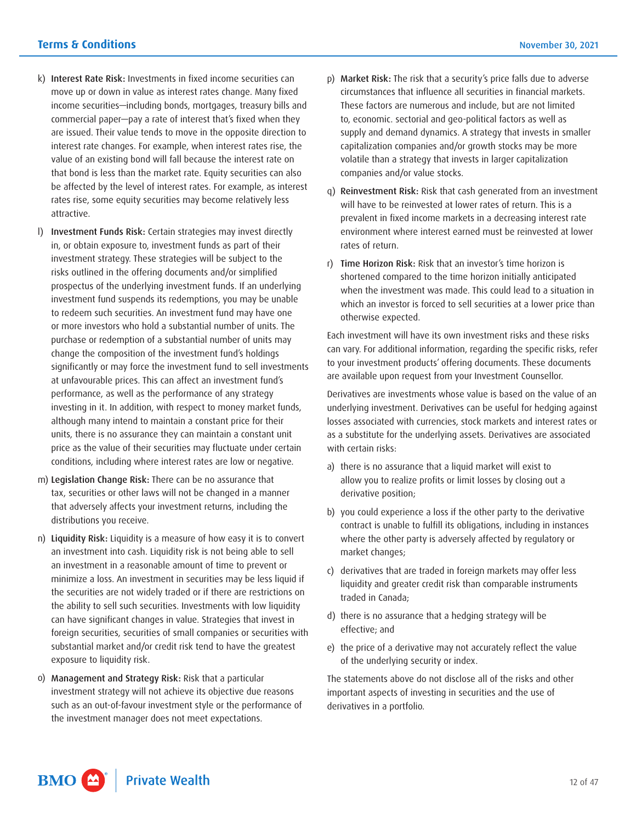- k) Interest Rate Risk: Investments in fixed income securities can move up or down in value as interest rates change. Many fixed income securities—including bonds, mortgages, treasury bills and commercial paper—pay a rate of interest that's fixed when they are issued. Their value tends to move in the opposite direction to interest rate changes. For example, when interest rates rise, the value of an existing bond will fall because the interest rate on that bond is less than the market rate. Equity securities can also be affected by the level of interest rates. For example, as interest rates rise, some equity securities may become relatively less attractive.
- l) Investment Funds Risk: Certain strategies may invest directly in, or obtain exposure to, investment funds as part of their investment strategy. These strategies will be subject to the risks outlined in the offering documents and/or simplified prospectus of the underlying investment funds. If an underlying investment fund suspends its redemptions, you may be unable to redeem such securities. An investment fund may have one or more investors who hold a substantial number of units. The purchase or redemption of a substantial number of units may change the composition of the investment fund's holdings significantly or may force the investment fund to sell investments at unfavourable prices. This can affect an investment fund's performance, as well as the performance of any strategy investing in it. In addition, with respect to money market funds, although many intend to maintain a constant price for their units, there is no assurance they can maintain a constant unit price as the value of their securities may fluctuate under certain conditions, including where interest rates are low or negative.
- m) Legislation Change Risk: There can be no assurance that tax, securities or other laws will not be changed in a manner that adversely affects your investment returns, including the distributions you receive.
- n) Liquidity Risk: Liquidity is a measure of how easy it is to convert an investment into cash. Liquidity risk is not being able to sell an investment in a reasonable amount of time to prevent or minimize a loss. An investment in securities may be less liquid if the securities are not widely traded or if there are restrictions on the ability to sell such securities. Investments with low liquidity can have significant changes in value. Strategies that invest in foreign securities, securities of small companies or securities with substantial market and/or credit risk tend to have the greatest exposure to liquidity risk.
- o) Management and Strategy Risk: Risk that a particular investment strategy will not achieve its objective due reasons such as an out-of-favour investment style or the performance of the investment manager does not meet expectations.
- p) Market Risk: The risk that a security's price falls due to adverse circumstances that influence all securities in financial markets. These factors are numerous and include, but are not limited to, economic. sectorial and geo-political factors as well as supply and demand dynamics. A strategy that invests in smaller capitalization companies and/or growth stocks may be more volatile than a strategy that invests in larger capitalization companies and/or value stocks.
- q) Reinvestment Risk: Risk that cash generated from an investment will have to be reinvested at lower rates of return. This is a prevalent in fixed income markets in a decreasing interest rate environment where interest earned must be reinvested at lower rates of return.
- r) Time Horizon Risk: Risk that an investor's time horizon is shortened compared to the time horizon initially anticipated when the investment was made. This could lead to a situation in which an investor is forced to sell securities at a lower price than otherwise expected.

Each investment will have its own investment risks and these risks can vary. For additional information, regarding the specific risks, refer to your investment products' offering documents. These documents are available upon request from your Investment Counsellor.

Derivatives are investments whose value is based on the value of an underlying investment. Derivatives can be useful for hedging against losses associated with currencies, stock markets and interest rates or as a substitute for the underlying assets. Derivatives are associated with certain risks:

- a) there is no assurance that a liquid market will exist to allow you to realize profits or limit losses by closing out a derivative position;
- b) you could experience a loss if the other party to the derivative contract is unable to fulfill its obligations, including in instances where the other party is adversely affected by regulatory or market changes;
- c) derivatives that are traded in foreign markets may offer less liquidity and greater credit risk than comparable instruments traded in Canada;
- d) there is no assurance that a hedging strategy will be effective; and
- e) the price of a derivative may not accurately reflect the value of the underlying security or index.

The statements above do not disclose all of the risks and other important aspects of investing in securities and the use of derivatives in a portfolio.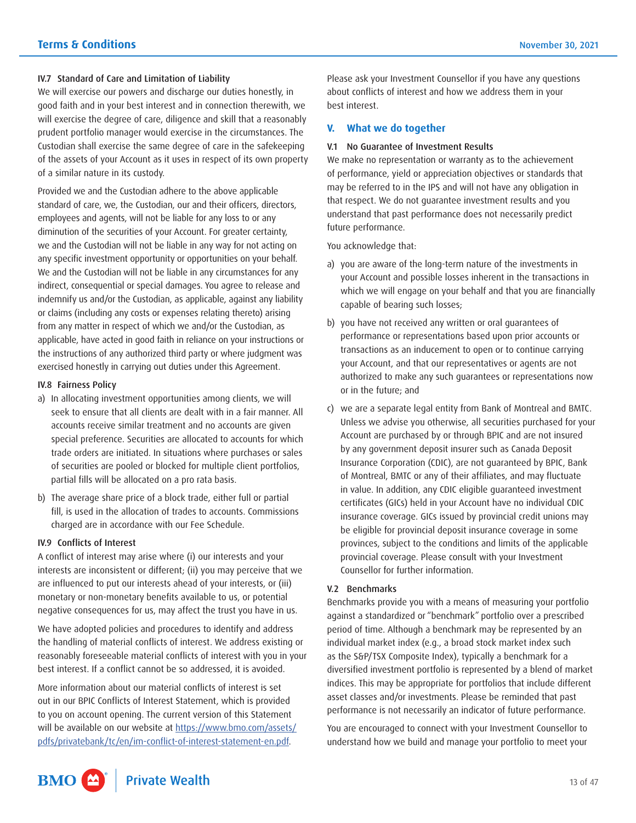#### <span id="page-12-0"></span>IV.7 Standard of Care and Limitation of Liability

We will exercise our powers and discharge our duties honestly, in good faith and in your best interest and in connection therewith, we will exercise the degree of care, diligence and skill that a reasonably prudent portfolio manager would exercise in the circumstances. The Custodian shall exercise the same degree of care in the safekeeping of the assets of your Account as it uses in respect of its own property of a similar nature in its custody.

Provided we and the Custodian adhere to the above applicable standard of care, we, the Custodian, our and their officers, directors, employees and agents, will not be liable for any loss to or any diminution of the securities of your Account. For greater certainty, we and the Custodian will not be liable in any way for not acting on any specific investment opportunity or opportunities on your behalf. We and the Custodian will not be liable in any circumstances for any indirect, consequential or special damages. You agree to release and indemnify us and/or the Custodian, as applicable, against any liability or claims (including any costs or expenses relating thereto) arising from any matter in respect of which we and/or the Custodian, as applicable, have acted in good faith in reliance on your instructions or the instructions of any authorized third party or where judgment was exercised honestly in carrying out duties under this Agreement.

# IV.8 Fairness Policy

- a) In allocating investment opportunities among clients, we will seek to ensure that all clients are dealt with in a fair manner. All accounts receive similar treatment and no accounts are given special preference. Securities are allocated to accounts for which trade orders are initiated. In situations where purchases or sales of securities are pooled or blocked for multiple client portfolios, partial fills will be allocated on a pro rata basis.
- b) The average share price of a block trade, either full or partial fill, is used in the allocation of trades to accounts. Commissions charged are in accordance with our Fee Schedule.

#### IV.9 Conflicts of Interest

A conflict of interest may arise where (i) our interests and your interests are inconsistent or different; (ii) you may perceive that we are influenced to put our interests ahead of your interests, or (iii) monetary or non-monetary benefits available to us, or potential negative consequences for us, may affect the trust you have in us.

We have adopted policies and procedures to identify and address the handling of material conflicts of interest. We address existing or reasonably foreseeable material conflicts of interest with you in your best interest. If a conflict cannot be so addressed, it is avoided.

More information about our material conflicts of interest is set out in our BPIC Conflicts of Interest Statement, which is provided to you on account opening. The current version of this Statement will be available on our website at [https://www.bmo.com/assets/](https://www.bmo.com/assets/pdfs/privatebank/tc/en/im-conflict-of-interest-statement-en.pdf) [pdfs/privatebank/tc/en/im-conflict-of-interest-statement-en.pdf.](https://www.bmo.com/assets/pdfs/privatebank/tc/en/im-conflict-of-interest-statement-en.pdf)

Please ask your Investment Counsellor if you have any questions about conflicts of interest and how we address them in your best interest.

# **V. What we do together**

#### V.1 No Guarantee of Investment Results

We make no representation or warranty as to the achievement of performance, yield or appreciation objectives or standards that may be referred to in the IPS and will not have any obligation in that respect. We do not guarantee investment results and you understand that past performance does not necessarily predict future performance.

You acknowledge that:

- a) you are aware of the long-term nature of the investments in your Account and possible losses inherent in the transactions in which we will engage on your behalf and that you are financially capable of bearing such losses;
- b) you have not received any written or oral guarantees of performance or representations based upon prior accounts or transactions as an inducement to open or to continue carrying your Account, and that our representatives or agents are not authorized to make any such guarantees or representations now or in the future; and
- c) we are a separate legal entity from Bank of Montreal and BMTC. Unless we advise you otherwise, all securities purchased for your Account are purchased by or through BPIC and are not insured by any government deposit insurer such as Canada Deposit Insurance Corporation (CDIC), are not guaranteed by BPIC, Bank of Montreal, BMTC or any of their affiliates, and may fluctuate in value. In addition, any CDIC eligible guaranteed investment certificates (GICs) held in your Account have no individual CDIC insurance coverage. GICs issued by provincial credit unions may be eligible for provincial deposit insurance coverage in some provinces, subject to the conditions and limits of the applicable provincial coverage. Please consult with your Investment Counsellor for further information.

# V.2 Benchmarks

Benchmarks provide you with a means of measuring your portfolio against a standardized or "benchmark" portfolio over a prescribed period of time. Although a benchmark may be represented by an individual market index (e.g., a broad stock market index such as the S&P/TSX Composite Index), typically a benchmark for a diversified investment portfolio is represented by a blend of market indices. This may be appropriate for portfolios that include different asset classes and/or investments. Please be reminded that past performance is not necessarily an indicator of future performance.

You are encouraged to connect with your Investment Counsellor to understand how we build and manage your portfolio to meet your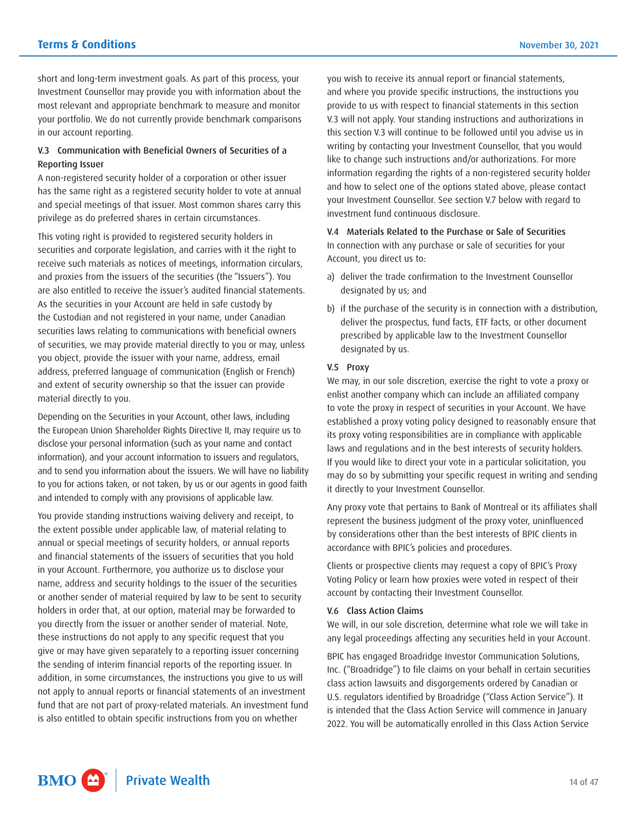short and long-term investment goals. As part of this process, your Investment Counsellor may provide you with information about the most relevant and appropriate benchmark to measure and monitor your portfolio. We do not currently provide benchmark comparisons in our account reporting.

# V.3 Communication with Beneficial Owners of Securities of a Reporting Issuer

A non-registered security holder of a corporation or other issuer has the same right as a registered security holder to vote at annual and special meetings of that issuer. Most common shares carry this privilege as do preferred shares in certain circumstances.

This voting right is provided to registered security holders in securities and corporate legislation, and carries with it the right to receive such materials as notices of meetings, information circulars, and proxies from the issuers of the securities (the "Issuers"). You are also entitled to receive the issuer's audited financial statements. As the securities in your Account are held in safe custody by the Custodian and not registered in your name, under Canadian securities laws relating to communications with beneficial owners of securities, we may provide material directly to you or may, unless you object, provide the issuer with your name, address, email address, preferred language of communication (English or French) and extent of security ownership so that the issuer can provide material directly to you.

Depending on the Securities in your Account, other laws, including the European Union Shareholder Rights Directive II, may require us to disclose your personal information (such as your name and contact information), and your account information to issuers and regulators, and to send you information about the issuers. We will have no liability to you for actions taken, or not taken, by us or our agents in good faith and intended to comply with any provisions of applicable law.

You provide standing instructions waiving delivery and receipt, to the extent possible under applicable law, of material relating to annual or special meetings of security holders, or annual reports and financial statements of the issuers of securities that you hold in your Account. Furthermore, you authorize us to disclose your name, address and security holdings to the issuer of the securities or another sender of material required by law to be sent to security holders in order that, at our option, material may be forwarded to you directly from the issuer or another sender of material. Note, these instructions do not apply to any specific request that you give or may have given separately to a reporting issuer concerning the sending of interim financial reports of the reporting issuer. In addition, in some circumstances, the instructions you give to us will not apply to annual reports or financial statements of an investment fund that are not part of proxy-related materials. An investment fund is also entitled to obtain specific instructions from you on whether

you wish to receive its annual report or financial statements, and where you provide specific instructions, the instructions you provide to us with respect to financial statements in this section V.3 will not apply. Your standing instructions and authorizations in this section V.3 will continue to be followed until you advise us in writing by contacting your Investment Counsellor, that you would like to change such instructions and/or authorizations. For more information regarding the rights of a non-registered security holder and how to select one of the options stated above, please contact your Investment Counsellor. See section V.7 below with regard to investment fund continuous disclosure.

# V.4 Materials Related to the Purchase or Sale of Securities In connection with any purchase or sale of securities for your Account, you direct us to:

- a) deliver the trade confirmation to the Investment Counsellor designated by us; and
- b) if the purchase of the security is in connection with a distribution, deliver the prospectus, fund facts, ETF facts, or other document prescribed by applicable law to the Investment Counsellor designated by us.

# V.5 Proxy

We may, in our sole discretion, exercise the right to vote a proxy or enlist another company which can include an affiliated company to vote the proxy in respect of securities in your Account. We have established a proxy voting policy designed to reasonably ensure that its proxy voting responsibilities are in compliance with applicable laws and regulations and in the best interests of security holders. If you would like to direct your vote in a particular solicitation, you may do so by submitting your specific request in writing and sending it directly to your Investment Counsellor.

Any proxy vote that pertains to Bank of Montreal or its affiliates shall represent the business judgment of the proxy voter, uninfluenced by considerations other than the best interests of BPIC clients in accordance with BPIC's policies and procedures.

Clients or prospective clients may request a copy of BPIC's Proxy Voting Policy or learn how proxies were voted in respect of their account by contacting their Investment Counsellor.

#### V.6 Class Action Claims

We will, in our sole discretion, determine what role we will take in any legal proceedings affecting any securities held in your Account.

BPIC has engaged Broadridge Investor Communication Solutions, Inc. ("Broadridge") to file claims on your behalf in certain securities class action lawsuits and disgorgements ordered by Canadian or U.S. regulators identified by Broadridge ("Class Action Service"). It is intended that the Class Action Service will commence in January 2022. You will be automatically enrolled in this Class Action Service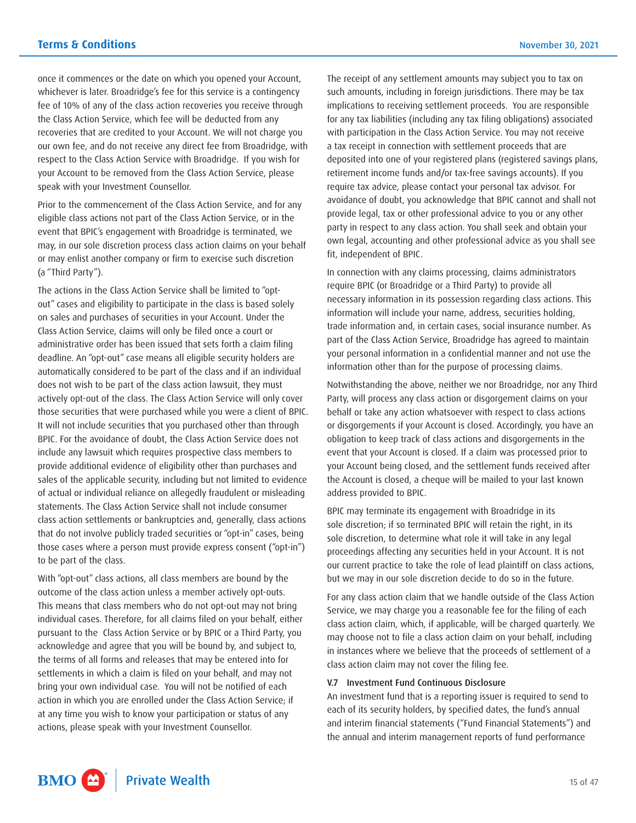once it commences or the date on which you opened your Account, whichever is later. Broadridge's fee for this service is a contingency fee of 10% of any of the class action recoveries you receive through the Class Action Service, which fee will be deducted from any recoveries that are credited to your Account. We will not charge you our own fee, and do not receive any direct fee from Broadridge, with respect to the Class Action Service with Broadridge. If you wish for your Account to be removed from the Class Action Service, please speak with your Investment Counsellor.

Prior to the commencement of the Class Action Service, and for any eligible class actions not part of the Class Action Service, or in the event that BPIC's engagement with Broadridge is terminated, we may, in our sole discretion process class action claims on your behalf or may enlist another company or firm to exercise such discretion (a "Third Party").

The actions in the Class Action Service shall be limited to "optout" cases and eligibility to participate in the class is based solely on sales and purchases of securities in your Account. Under the Class Action Service, claims will only be filed once a court or administrative order has been issued that sets forth a claim filing deadline. An "opt-out" case means all eligible security holders are automatically considered to be part of the class and if an individual does not wish to be part of the class action lawsuit, they must actively opt-out of the class. The Class Action Service will only cover those securities that were purchased while you were a client of BPIC. It will not include securities that you purchased other than through BPIC. For the avoidance of doubt, the Class Action Service does not include any lawsuit which requires prospective class members to provide additional evidence of eligibility other than purchases and sales of the applicable security, including but not limited to evidence of actual or individual reliance on allegedly fraudulent or misleading statements. The Class Action Service shall not include consumer class action settlements or bankruptcies and, generally, class actions that do not involve publicly traded securities or "opt-in" cases, being those cases where a person must provide express consent ("opt-in") to be part of the class.

With "opt-out" class actions, all class members are bound by the outcome of the class action unless a member actively opt-outs. This means that class members who do not opt-out may not bring individual cases. Therefore, for all claims filed on your behalf, either pursuant to the Class Action Service or by BPIC or a Third Party, you acknowledge and agree that you will be bound by, and subject to, the terms of all forms and releases that may be entered into for settlements in which a claim is filed on your behalf, and may not bring your own individual case. You will not be notified of each action in which you are enrolled under the Class Action Service; if at any time you wish to know your participation or status of any actions, please speak with your Investment Counsellor.

The receipt of any settlement amounts may subject you to tax on such amounts, including in foreign jurisdictions. There may be tax implications to receiving settlement proceeds. You are responsible for any tax liabilities (including any tax filing obligations) associated with participation in the Class Action Service. You may not receive a tax receipt in connection with settlement proceeds that are deposited into one of your registered plans (registered savings plans, retirement income funds and/or tax-free savings accounts). If you require tax advice, please contact your personal tax advisor. For avoidance of doubt, you acknowledge that BPIC cannot and shall not provide legal, tax or other professional advice to you or any other party in respect to any class action. You shall seek and obtain your own legal, accounting and other professional advice as you shall see fit, independent of BPIC.

In connection with any claims processing, claims administrators require BPIC (or Broadridge or a Third Party) to provide all necessary information in its possession regarding class actions. This information will include your name, address, securities holding, trade information and, in certain cases, social insurance number. As part of the Class Action Service, Broadridge has agreed to maintain your personal information in a confidential manner and not use the information other than for the purpose of processing claims.

Notwithstanding the above, neither we nor Broadridge, nor any Third Party, will process any class action or disgorgement claims on your behalf or take any action whatsoever with respect to class actions or disgorgements if your Account is closed. Accordingly, you have an obligation to keep track of class actions and disgorgements in the event that your Account is closed. If a claim was processed prior to your Account being closed, and the settlement funds received after the Account is closed, a cheque will be mailed to your last known address provided to BPIC.

BPIC may terminate its engagement with Broadridge in its sole discretion; if so terminated BPIC will retain the right, in its sole discretion, to determine what role it will take in any legal proceedings affecting any securities held in your Account. It is not our current practice to take the role of lead plaintiff on class actions, but we may in our sole discretion decide to do so in the future.

For any class action claim that we handle outside of the Class Action Service, we may charge you a reasonable fee for the filing of each class action claim, which, if applicable, will be charged quarterly. We may choose not to file a class action claim on your behalf, including in instances where we believe that the proceeds of settlement of a class action claim may not cover the filing fee.

#### V.7 Investment Fund Continuous Disclosure

An investment fund that is a reporting issuer is required to send to each of its security holders, by specified dates, the fund's annual and interim financial statements ("Fund Financial Statements") and the annual and interim management reports of fund performance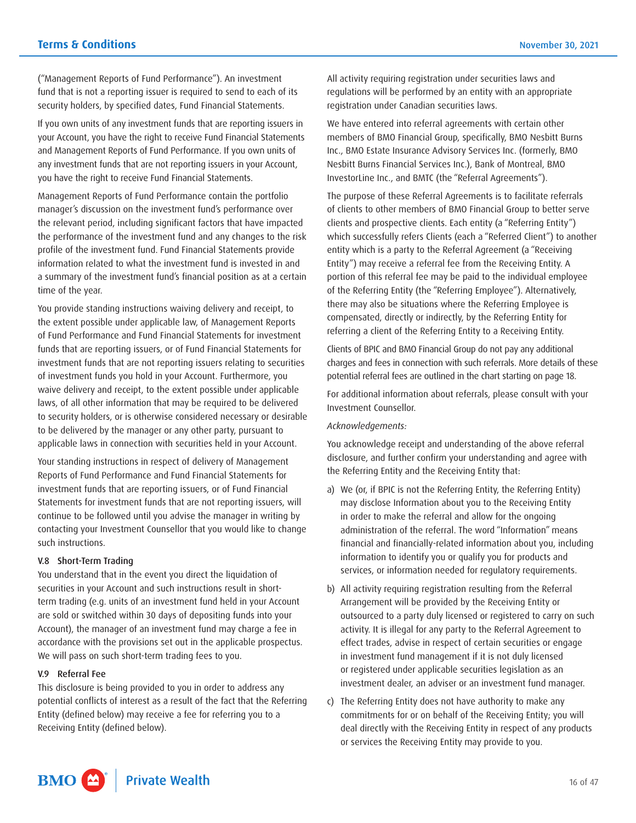("Management Reports of Fund Performance"). An investment fund that is not a reporting issuer is required to send to each of its security holders, by specified dates, Fund Financial Statements.

If you own units of any investment funds that are reporting issuers in your Account, you have the right to receive Fund Financial Statements and Management Reports of Fund Performance. If you own units of any investment funds that are not reporting issuers in your Account, you have the right to receive Fund Financial Statements.

Management Reports of Fund Performance contain the portfolio manager's discussion on the investment fund's performance over the relevant period, including significant factors that have impacted the performance of the investment fund and any changes to the risk profile of the investment fund. Fund Financial Statements provide information related to what the investment fund is invested in and a summary of the investment fund's financial position as at a certain time of the year.

You provide standing instructions waiving delivery and receipt, to the extent possible under applicable law, of Management Reports of Fund Performance and Fund Financial Statements for investment funds that are reporting issuers, or of Fund Financial Statements for investment funds that are not reporting issuers relating to securities of investment funds you hold in your Account. Furthermore, you waive delivery and receipt, to the extent possible under applicable laws, of all other information that may be required to be delivered to security holders, or is otherwise considered necessary or desirable to be delivered by the manager or any other party, pursuant to applicable laws in connection with securities held in your Account.

Your standing instructions in respect of delivery of Management Reports of Fund Performance and Fund Financial Statements for investment funds that are reporting issuers, or of Fund Financial Statements for investment funds that are not reporting issuers, will continue to be followed until you advise the manager in writing by contacting your Investment Counsellor that you would like to change such instructions.

# V.8 Short-Term Trading

You understand that in the event you direct the liquidation of securities in your Account and such instructions result in shortterm trading (e.g. units of an investment fund held in your Account are sold or switched within 30 days of depositing funds into your Account), the manager of an investment fund may charge a fee in accordance with the provisions set out in the applicable prospectus. We will pass on such short-term trading fees to you.

# V.9 Referral Fee

This disclosure is being provided to you in order to address any potential conflicts of interest as a result of the fact that the Referring Entity (defined below) may receive a fee for referring you to a Receiving Entity (defined below).

All activity requiring registration under securities laws and regulations will be performed by an entity with an appropriate registration under Canadian securities laws.

We have entered into referral agreements with certain other members of BMO Financial Group, specifically, BMO Nesbitt Burns Inc., BMO Estate Insurance Advisory Services Inc. (formerly, BMO Nesbitt Burns Financial Services Inc.), Bank of Montreal, BMO InvestorLine Inc., and BMTC (the "Referral Agreements").

The purpose of these Referral Agreements is to facilitate referrals of clients to other members of BMO Financial Group to better serve clients and prospective clients. Each entity (a "Referring Entity") which successfully refers Clients (each a "Referred Client") to another entity which is a party to the Referral Agreement (a "Receiving Entity") may receive a referral fee from the Receiving Entity. A portion of this referral fee may be paid to the individual employee of the Referring Entity (the "Referring Employee"). Alternatively, there may also be situations where the Referring Employee is compensated, directly or indirectly, by the Referring Entity for referring a client of the Referring Entity to a Receiving Entity.

Clients of BPIC and BMO Financial Group do not pay any additional charges and fees in connection with such referrals. More details of these potential referral fees are outlined in the chart starting on page 18.

For additional information about referrals, please consult with your Investment Counsellor.

# *Acknowledgements:*

You acknowledge receipt and understanding of the above referral disclosure, and further confirm your understanding and agree with the Referring Entity and the Receiving Entity that:

- a) We (or, if BPIC is not the Referring Entity, the Referring Entity) may disclose Information about you to the Receiving Entity in order to make the referral and allow for the ongoing administration of the referral. The word "Information" means financial and financially-related information about you, including information to identify you or qualify you for products and services, or information needed for regulatory requirements.
- b) All activity requiring registration resulting from the Referral Arrangement will be provided by the Receiving Entity or outsourced to a party duly licensed or registered to carry on such activity. It is illegal for any party to the Referral Agreement to effect trades, advise in respect of certain securities or engage in investment fund management if it is not duly licensed or registered under applicable securities legislation as an investment dealer, an adviser or an investment fund manager.
- c) The Referring Entity does not have authority to make any commitments for or on behalf of the Receiving Entity; you will deal directly with the Receiving Entity in respect of any products or services the Receiving Entity may provide to you.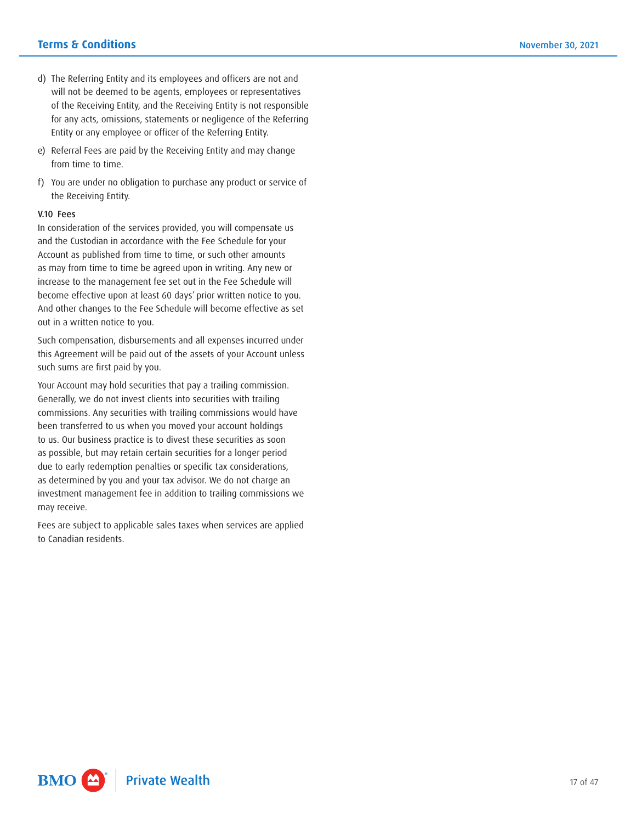- d) The Referring Entity and its employees and officers are not and will not be deemed to be agents, employees or representatives of the Receiving Entity, and the Receiving Entity is not responsible for any acts, omissions, statements or negligence of the Referring Entity or any employee or officer of the Referring Entity.
- e) Referral Fees are paid by the Receiving Entity and may change from time to time.
- f) You are under no obligation to purchase any product or service of the Receiving Entity.

#### V.10 Fees

In consideration of the services provided, you will compensate us and the Custodian in accordance with the Fee Schedule for your Account as published from time to time, or such other amounts as may from time to time be agreed upon in writing. Any new or increase to the management fee set out in the Fee Schedule will become effective upon at least 60 days' prior written notice to you. And other changes to the Fee Schedule will become effective as set out in a written notice to you.

Such compensation, disbursements and all expenses incurred under this Agreement will be paid out of the assets of your Account unless such sums are first paid by you.

Your Account may hold securities that pay a trailing commission. Generally, we do not invest clients into securities with trailing commissions. Any securities with trailing commissions would have been transferred to us when you moved your account holdings to us. Our business practice is to divest these securities as soon as possible, but may retain certain securities for a longer period due to early redemption penalties or specific tax considerations, as determined by you and your tax advisor. We do not charge an investment management fee in addition to trailing commissions we may receive.

Fees are subject to applicable sales taxes when services are applied to Canadian residents.

BMO<sup>4</sup> **Private Wealth**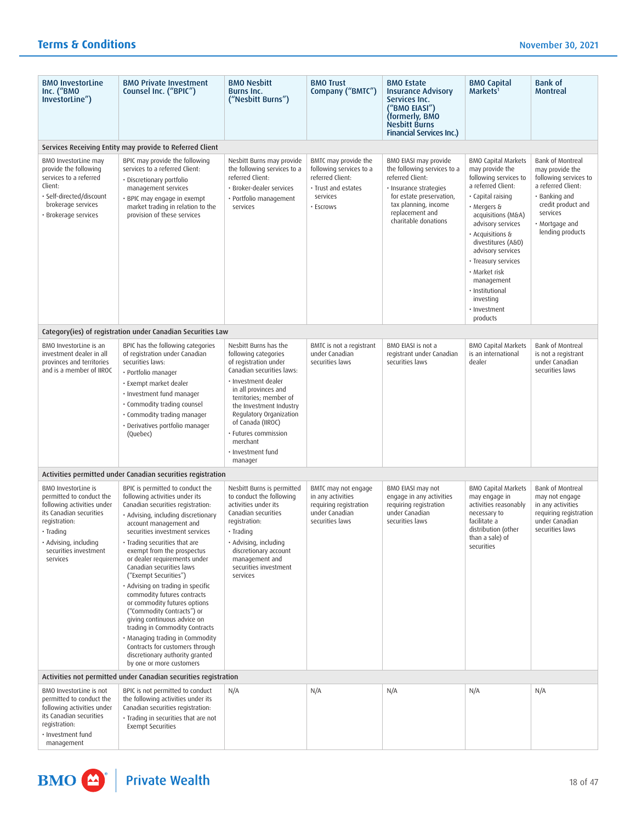| <b>BMO InvestorLine</b><br>Inc. ("BMO<br>InvestorLine")                                                                                                                                                     | <b>BMO Private Investment</b><br>Counsel Inc. ("BPIC")                                                                                                                                                                                                                                                                                                                                                                                                                                                                                                                                                                                                                                                 | <b>BMO Nesbitt</b><br><b>Burns Inc.</b><br>("Nesbitt Burns")                                                                                                                                                                                                                                                                | <b>BMO Trust</b><br>Company ("BMTC")                                                                                | <b>BMO Estate</b><br><b>Insurance Advisory</b><br>Services Inc.<br>("BMO EIASI")<br>(formerly, BMO<br><b>Nesbitt Burns</b><br><b>Financial Services Inc.)</b>                                     | <b>BMO Capital</b><br>Markets <sup>1</sup>                                                                                                                                                                                                                                                                                                                   | <b>Bank of</b><br><b>Montreal</b>                                                                                                                                           |
|-------------------------------------------------------------------------------------------------------------------------------------------------------------------------------------------------------------|--------------------------------------------------------------------------------------------------------------------------------------------------------------------------------------------------------------------------------------------------------------------------------------------------------------------------------------------------------------------------------------------------------------------------------------------------------------------------------------------------------------------------------------------------------------------------------------------------------------------------------------------------------------------------------------------------------|-----------------------------------------------------------------------------------------------------------------------------------------------------------------------------------------------------------------------------------------------------------------------------------------------------------------------------|---------------------------------------------------------------------------------------------------------------------|---------------------------------------------------------------------------------------------------------------------------------------------------------------------------------------------------|--------------------------------------------------------------------------------------------------------------------------------------------------------------------------------------------------------------------------------------------------------------------------------------------------------------------------------------------------------------|-----------------------------------------------------------------------------------------------------------------------------------------------------------------------------|
|                                                                                                                                                                                                             | Services Receiving Entity may provide to Referred Client                                                                                                                                                                                                                                                                                                                                                                                                                                                                                                                                                                                                                                               |                                                                                                                                                                                                                                                                                                                             |                                                                                                                     |                                                                                                                                                                                                   |                                                                                                                                                                                                                                                                                                                                                              |                                                                                                                                                                             |
| BMO InvestorLine may<br>provide the following<br>services to a referred<br>Client:<br>· Self-directed/discount<br>brokerage services<br>· Brokerage services                                                | BPIC may provide the following<br>services to a referred Client:<br>· Discretionary portfolio<br>management services<br>· BPIC may engage in exempt<br>market trading in relation to the<br>provision of these services                                                                                                                                                                                                                                                                                                                                                                                                                                                                                | Nesbitt Burns may provide<br>the following services to a<br>referred Client:<br>· Broker-dealer services<br>· Portfolio management<br>services                                                                                                                                                                              | BMTC may provide the<br>following services to a<br>referred Client:<br>· Trust and estates<br>services<br>· Escrows | BMO EIASI may provide<br>the following services to a<br>referred Client:<br>· Insurance strategies<br>for estate preservation,<br>tax planning, income<br>replacement and<br>charitable donations | <b>BMO Capital Markets</b><br>may provide the<br>following services to<br>a referred Client:<br>· Capital raising<br>· Mergers &<br>acquisitions (M&A)<br>advisory services<br>· Acquisitions &<br>divestitures (A&D)<br>advisory services<br>• Treasury services<br>· Market risk<br>management<br>· Institutional<br>investing<br>· Investment<br>products | Bank of Montreal<br>may provide the<br>following services to<br>a referred Client:<br>· Banking and<br>credit product and<br>services<br>• Mortgage and<br>lending products |
|                                                                                                                                                                                                             | Category(ies) of registration under Canadian Securities Law                                                                                                                                                                                                                                                                                                                                                                                                                                                                                                                                                                                                                                            |                                                                                                                                                                                                                                                                                                                             |                                                                                                                     |                                                                                                                                                                                                   |                                                                                                                                                                                                                                                                                                                                                              |                                                                                                                                                                             |
| BMO InvestorLine is an<br>investment dealer in all<br>provinces and territories<br>and is a member of IIROC                                                                                                 | BPIC has the following categories<br>of registration under Canadian<br>securities laws:<br>• Portfolio manager<br>· Exempt market dealer<br>· Investment fund manager<br>· Commodity trading counsel<br>· Commodity trading manager<br>· Derivatives portfolio manager<br>(Quebec)                                                                                                                                                                                                                                                                                                                                                                                                                     | Nesbitt Burns has the<br>following categories<br>of registration under<br>Canadian securities laws:<br>· Investment dealer<br>in all provinces and<br>territories; member of<br>the Investment Industry<br>Regulatory Organization<br>of Canada (IIROC)<br>· Futures commission<br>merchant<br>· Investment fund<br>manager | BMTC is not a registrant<br>under Canadian<br>securities laws                                                       | BMO EIASI is not a<br>registrant under Canadian<br>securities laws                                                                                                                                | <b>BMO Capital Markets</b><br>is an international<br>dealer                                                                                                                                                                                                                                                                                                  | <b>Bank of Montreal</b><br>is not a registrant<br>under Canadian<br>securities laws                                                                                         |
|                                                                                                                                                                                                             | Activities permitted under Canadian securities registration                                                                                                                                                                                                                                                                                                                                                                                                                                                                                                                                                                                                                                            |                                                                                                                                                                                                                                                                                                                             |                                                                                                                     |                                                                                                                                                                                                   |                                                                                                                                                                                                                                                                                                                                                              |                                                                                                                                                                             |
| <b>BMO</b> InvestorLine is<br>permitted to conduct the<br>following activities under<br>its Canadian securities<br>registration:<br>· Trading<br>· Advising, including<br>securities investment<br>services | BPIC is permitted to conduct the<br>following activities under its<br>Canadian securities registration:<br>· Advising, including discretionary<br>account management and<br>securities investment services<br>· Trading securities that are<br>exempt from the prospectus<br>or dealer requirements under<br>Canadian securities laws<br>("Exempt Securities")<br>· Advising on trading in specific<br>commodity futures contracts<br>or commodity futures options<br>("Commodity Contracts") or<br>giving continuous advice on<br>trading in Commodity Contracts<br>· Managing trading in Commodity<br>Contracts for customers through<br>discretionary authority granted<br>by one or more customers | Nesbitt Burns is permitted<br>to conduct the following<br>activities under its<br>Canadian securities<br>registration:<br>$\cdot$ Trading<br>· Advising, including<br>discretionary account<br>management and<br>securities investment<br>services                                                                          | BMTC may not engage<br>in any activities<br>requiring registration<br>under Canadian<br>securities laws             | BMO EIASI may not<br>engage in any activities<br>requiring registration<br>under Canadian<br>securities laws                                                                                      | <b>BMO Capital Markets</b><br>may engage in<br>activities reasonably<br>necessary to<br>facilitate a<br>distribution (other<br>than a sale) of<br>securities                                                                                                                                                                                                 | Bank of Montreal<br>may not engage<br>in any activities<br>requiring registration<br>under Canadian<br>securities laws                                                      |
| Activities not permitted under Canadian securities registration                                                                                                                                             |                                                                                                                                                                                                                                                                                                                                                                                                                                                                                                                                                                                                                                                                                                        |                                                                                                                                                                                                                                                                                                                             |                                                                                                                     |                                                                                                                                                                                                   |                                                                                                                                                                                                                                                                                                                                                              |                                                                                                                                                                             |
| BMO InvestorLine is not<br>permitted to conduct the<br>following activities under<br>its Canadian securities<br>registration:<br>· Investment fund<br>management                                            | BPIC is not permitted to conduct<br>the following activities under its<br>Canadian securities registration:<br>· Trading in securities that are not<br><b>Exempt Securities</b>                                                                                                                                                                                                                                                                                                                                                                                                                                                                                                                        | N/A                                                                                                                                                                                                                                                                                                                         | N/A                                                                                                                 | N/A                                                                                                                                                                                               | N/A                                                                                                                                                                                                                                                                                                                                                          | N/A                                                                                                                                                                         |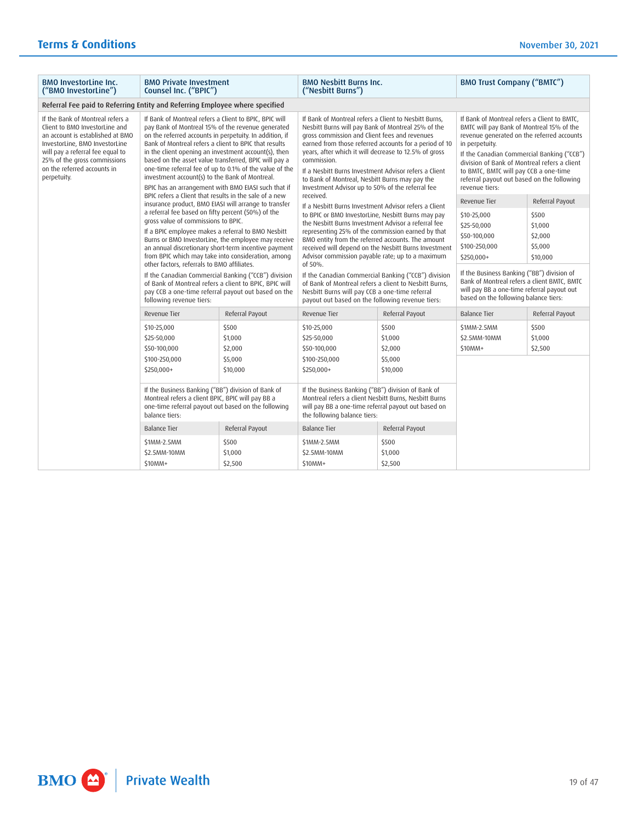| <b>BMO InvestorLine Inc.</b><br>("BMO InvestorLine")                                                                                                                                                                                                       | <b>BMO Private Investment</b><br>Counsel Inc. ("BPIC")                                                                                                                                                                                                                                                                                                                                                                                                                                                                                                                                                                                  |                                                    | <b>BMO Nesbitt Burns Inc.</b><br>("Nesbitt Burns")                                                                                                                                                                                                                                                                                                                                                                                                                                                                                                               |                                                    | <b>BMO Trust Company ("BMTC")</b>                                                                                                                                                                                                                                                                                                                                |                                                    |
|------------------------------------------------------------------------------------------------------------------------------------------------------------------------------------------------------------------------------------------------------------|-----------------------------------------------------------------------------------------------------------------------------------------------------------------------------------------------------------------------------------------------------------------------------------------------------------------------------------------------------------------------------------------------------------------------------------------------------------------------------------------------------------------------------------------------------------------------------------------------------------------------------------------|----------------------------------------------------|------------------------------------------------------------------------------------------------------------------------------------------------------------------------------------------------------------------------------------------------------------------------------------------------------------------------------------------------------------------------------------------------------------------------------------------------------------------------------------------------------------------------------------------------------------------|----------------------------------------------------|------------------------------------------------------------------------------------------------------------------------------------------------------------------------------------------------------------------------------------------------------------------------------------------------------------------------------------------------------------------|----------------------------------------------------|
| Referral Fee paid to Referring Entity and Referring Employee where specified                                                                                                                                                                               |                                                                                                                                                                                                                                                                                                                                                                                                                                                                                                                                                                                                                                         |                                                    |                                                                                                                                                                                                                                                                                                                                                                                                                                                                                                                                                                  |                                                    |                                                                                                                                                                                                                                                                                                                                                                  |                                                    |
| If the Bank of Montreal refers a<br>Client to BMO InvestorLine and<br>an account is established at BMO<br>InvestorLine, BMO InvestorLine<br>will pay a referral fee equal to<br>25% of the gross commissions<br>on the referred accounts in<br>perpetuity. | If Bank of Montreal refers a Client to BPIC, BPIC will<br>pay Bank of Montreal 15% of the revenue generated<br>on the referred accounts in perpetuity. In addition, if<br>Bank of Montreal refers a client to BPIC that results<br>in the client opening an investment account(s), then<br>based on the asset value transferred, BPIC will pay a<br>one-time referral fee of up to 0.1% of the value of the<br>investment account(s) to the Bank of Montreal.<br>BPIC has an arrangement with BMO EIASI such that if<br>BPIC refers a Client that results in the sale of a new<br>insurance product, BMO EIASI will arrange to transfer |                                                    | If Bank of Montreal refers a Client to Nesbitt Burns.<br>Nesbitt Burns will pay Bank of Montreal 25% of the<br>gross commission and Client fees and revenues<br>earned from those referred accounts for a period of 10<br>years, after which it will decrease to 12.5% of gross<br>commission.<br>If a Nesbitt Burns Investment Advisor refers a Client<br>to Bank of Montreal, Nesbitt Burns may pay the<br>Investment Advisor up to 50% of the referral fee<br>received.<br>If a Nesbitt Burns Investment Advisor refers a Client                              |                                                    | If Bank of Montreal refers a Client to BMTC.<br>BMTC will pay Bank of Montreal 15% of the<br>revenue generated on the referred accounts<br>in perpetuity.<br>If the Canadian Commercial Banking ("CCB")<br>division of Bank of Montreal refers a client<br>to BMTC, BMTC will pay CCB a one-time<br>referral payout out based on the following<br>revenue tiers: |                                                    |
|                                                                                                                                                                                                                                                            |                                                                                                                                                                                                                                                                                                                                                                                                                                                                                                                                                                                                                                         |                                                    |                                                                                                                                                                                                                                                                                                                                                                                                                                                                                                                                                                  |                                                    | <b>Revenue Tier</b>                                                                                                                                                                                                                                                                                                                                              | Referral Payout                                    |
|                                                                                                                                                                                                                                                            | a referral fee based on fifty percent (50%) of the<br>gross value of commissions to BPIC.<br>If a BPIC employee makes a referral to BMO Nesbitt<br>Burns or BMO InvestorLine, the employee may receive<br>an annual discretionary short-term incentive payment<br>from BPIC which may take into consideration, among<br>other factors, referrals to BMO affiliates.<br>If the Canadian Commercial Banking ("CCB") division<br>of Bank of Montreal refers a client to BPIC, BPIC will<br>pay CCB a one-time referral payout out based on the<br>following revenue tiers:                                                                 |                                                    | to BPIC or BMO InvestorLine, Nesbitt Burns may pay<br>the Nesbitt Burns Investment Advisor a referral fee<br>representing 25% of the commission earned by that<br>BMO entity from the referred accounts. The amount<br>received will depend on the Nesbitt Burns Investment<br>Advisor commission payable rate; up to a maximum<br>of 50%.<br>If the Canadian Commercial Banking ("CCB") division<br>of Bank of Montreal refers a client to Nesbitt Burns.<br>Nesbitt Burns will pay CCB a one-time referral<br>payout out based on the following revenue tiers: |                                                    | \$10-25,000<br>\$25-50,000<br>\$50-100,000<br>\$100-250,000<br>\$250,000+<br>If the Business Banking ("BB") division of<br>Bank of Montreal refers a client BMTC, BMTC<br>will pay BB a one-time referral payout out<br>based on the following balance tiers:                                                                                                    | \$500<br>\$1,000<br>\$2,000<br>\$5,000<br>\$10,000 |
|                                                                                                                                                                                                                                                            | Revenue Tier                                                                                                                                                                                                                                                                                                                                                                                                                                                                                                                                                                                                                            | Referral Payout                                    | Revenue Tier                                                                                                                                                                                                                                                                                                                                                                                                                                                                                                                                                     | Referral Payout                                    | <b>Balance Tier</b>                                                                                                                                                                                                                                                                                                                                              | Referral Payout                                    |
|                                                                                                                                                                                                                                                            | \$10-25,000<br>\$25-50,000<br>\$50-100,000<br>\$100-250,000<br>\$250,000+                                                                                                                                                                                                                                                                                                                                                                                                                                                                                                                                                               | \$500<br>\$1,000<br>\$2,000<br>\$5,000<br>\$10,000 | \$10-25,000<br>\$25-50,000<br>\$50-100,000<br>\$100-250,000<br>\$250,000+                                                                                                                                                                                                                                                                                                                                                                                                                                                                                        | \$500<br>\$1,000<br>\$2,000<br>\$5,000<br>\$10,000 | \$1MM-2.5MM<br>\$2.5MM-10MM<br>\$10MM+                                                                                                                                                                                                                                                                                                                           | \$500<br>\$1,000<br>\$2,500                        |
|                                                                                                                                                                                                                                                            | If the Business Banking ("BB") division of Bank of<br>Montreal refers a client BPIC, BPIC will pay BB a<br>one-time referral payout out based on the following<br>balance tiers:                                                                                                                                                                                                                                                                                                                                                                                                                                                        |                                                    | If the Business Banking ("BB") division of Bank of<br>Montreal refers a client Nesbitt Burns, Nesbitt Burns<br>will pay BB a one-time referral payout out based on<br>the following balance tiers:                                                                                                                                                                                                                                                                                                                                                               |                                                    |                                                                                                                                                                                                                                                                                                                                                                  |                                                    |
|                                                                                                                                                                                                                                                            | <b>Balance Tier</b>                                                                                                                                                                                                                                                                                                                                                                                                                                                                                                                                                                                                                     | Referral Payout                                    | <b>Balance Tier</b>                                                                                                                                                                                                                                                                                                                                                                                                                                                                                                                                              | Referral Payout                                    |                                                                                                                                                                                                                                                                                                                                                                  |                                                    |
|                                                                                                                                                                                                                                                            | \$1MM-2.5MM<br>\$2.5MM-10MM<br>\$10MM+                                                                                                                                                                                                                                                                                                                                                                                                                                                                                                                                                                                                  | \$500<br>\$1,000<br>\$2,500                        | \$1MM-2.5MM<br>\$2.5MM-10MM<br>\$10MM+                                                                                                                                                                                                                                                                                                                                                                                                                                                                                                                           | \$500<br>\$1,000<br>\$2,500                        |                                                                                                                                                                                                                                                                                                                                                                  |                                                    |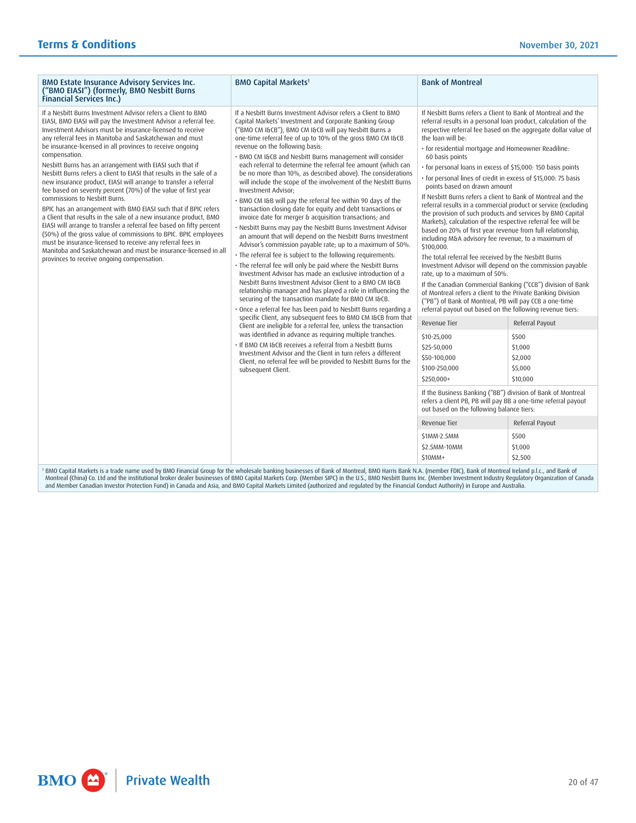| <b>BMO Capital Markets<sup>1</sup></b><br><b>BMO Estate Insurance Advisory Services Inc.</b><br>("BMO EIASI") (formerly, BMO Nesbitt Burns<br><b>Financial Services Inc.)</b>                                                                                                                                                                                                                                                                                                                                                                                                                                                                                                                                                                                                                                                                                                                                                                                                                                                                                                                                                                                                                                                                                                                                                                                                                                                 |                                                                                                                                                                                                                                                                                                                                                                                                                                                                                                                                                                                                                                                                                                                                                                                                                                                                                                                                                                                                                                                                                                                                                                                                                                                                                                                                                                                                                                                                                                                                                                                                                                                                                                                                                                  | <b>Bank of Montreal</b>                                                                                                                                                                                                                                                                                                                                                                                                                                                                                                                                                                                                                                                                                                                                                                                                                                                                                                                                                                                                                                                                                                                                                                                                                                                                                                                                                                                                                                                                                                                                                                                                    |                                                                                                                         |
|-------------------------------------------------------------------------------------------------------------------------------------------------------------------------------------------------------------------------------------------------------------------------------------------------------------------------------------------------------------------------------------------------------------------------------------------------------------------------------------------------------------------------------------------------------------------------------------------------------------------------------------------------------------------------------------------------------------------------------------------------------------------------------------------------------------------------------------------------------------------------------------------------------------------------------------------------------------------------------------------------------------------------------------------------------------------------------------------------------------------------------------------------------------------------------------------------------------------------------------------------------------------------------------------------------------------------------------------------------------------------------------------------------------------------------|------------------------------------------------------------------------------------------------------------------------------------------------------------------------------------------------------------------------------------------------------------------------------------------------------------------------------------------------------------------------------------------------------------------------------------------------------------------------------------------------------------------------------------------------------------------------------------------------------------------------------------------------------------------------------------------------------------------------------------------------------------------------------------------------------------------------------------------------------------------------------------------------------------------------------------------------------------------------------------------------------------------------------------------------------------------------------------------------------------------------------------------------------------------------------------------------------------------------------------------------------------------------------------------------------------------------------------------------------------------------------------------------------------------------------------------------------------------------------------------------------------------------------------------------------------------------------------------------------------------------------------------------------------------------------------------------------------------------------------------------------------------|----------------------------------------------------------------------------------------------------------------------------------------------------------------------------------------------------------------------------------------------------------------------------------------------------------------------------------------------------------------------------------------------------------------------------------------------------------------------------------------------------------------------------------------------------------------------------------------------------------------------------------------------------------------------------------------------------------------------------------------------------------------------------------------------------------------------------------------------------------------------------------------------------------------------------------------------------------------------------------------------------------------------------------------------------------------------------------------------------------------------------------------------------------------------------------------------------------------------------------------------------------------------------------------------------------------------------------------------------------------------------------------------------------------------------------------------------------------------------------------------------------------------------------------------------------------------------------------------------------------------------|-------------------------------------------------------------------------------------------------------------------------|
| If a Nesbitt Burns Investment Advisor refers a Client to BMO<br>EIASI, BMO EIASI will pay the Investment Advisor a referral fee.<br>Investment Advisors must be insurance-licensed to receive<br>any referral fees in Manitoba and Saskatchewan and must<br>be insurance-licensed in all provinces to receive ongoing<br>revenue on the following basis:<br>compensation.<br>Nesbitt Burns has an arrangement with EIASI such that if<br>Nesbitt Burns refers a client to EIASI that results in the sale of a<br>new insurance product, EIASI will arrange to transfer a referral<br>fee based on seventy percent (70%) of the value of first year<br>Investment Advisor:<br>commissions to Nesbitt Burns.<br>BPIC has an arrangement with BMO EIASI such that if BPIC refers<br>a Client that results in the sale of a new insurance product, BMO<br>EIASI will arrange to transfer a referral fee based on fifty percent<br>(50%) of the gross value of commissions to BPIC. BPIC employees<br>must be insurance-licensed to receive any referral fees in<br>Manitoba and Saskatchewan and must be insurance-licensed in all<br>provinces to receive ongoing compensation.<br>subsequent Client.<br><sup>1</sup> BMO Capital Markets is a trade name used by BMO Financial Group for the wholesale banking businesses of Bank of Montreal, BMO Harris Bank N.A. (member FDIC), Bank of Montreal Ireland p.l.c., and Bank of | If a Nesbitt Burns Investment Advisor refers a Client to BMO<br>Capital Markets' Investment and Corporate Banking Group<br>("BMO CM I&CB"), BMO CM I&CB will pay Nesbitt Burns a<br>one-time referral fee of up to 10% of the gross BMO CM I&CB<br>. BMO CM I&CB and Nesbitt Burns management will consider<br>each referral to determine the referral fee amount (which can<br>be no more than 10%, as described above). The considerations<br>will include the scope of the involvement of the Nesbitt Burns<br>. BMO CM I&B will pay the referral fee within 90 days of the<br>transaction closing date for equity and debt transactions or<br>invoice date for merger & acquisition transactions; and<br>. Nesbitt Burns may pay the Nesbitt Burns Investment Advisor<br>an amount that will depend on the Nesbitt Burns Investment<br>Advisor's commission payable rate; up to a maximum of 50%.<br>· The referral fee is subject to the following requirements:<br>· The referral fee will only be paid where the Nesbitt Burns<br>Investment Advisor has made an exclusive introduction of a<br>Nesbitt Burns Investment Advisor Client to a BMO CM I&CB<br>relationship manager and has played a role in influencing the<br>securing of the transaction mandate for BMO CM I&CB.<br>· Once a referral fee has been paid to Nesbitt Burns regarding a<br>specific Client, any subsequent fees to BMO CM I&CB from that<br>Client are ineligible for a referral fee, unless the transaction<br>was identified in advance as requiring multiple tranches.<br>. If BMO CM I&CB receives a referral from a Nesbitt Burns<br>Investment Advisor and the Client in turn refers a different<br>Client, no referral fee will be provided to Nesbitt Burns for the | If Nesbitt Burns refers a Client to Bank of Montreal and the<br>referral results in a personal loan product, calculation of the<br>respective referral fee based on the aggregate dollar value of<br>the loan will be:<br>· for residential mortgage and Homeowner Readiline:<br>60 basis points<br>· for personal loans in excess of \$15,000: 150 basis points<br>· for personal lines of credit in excess of \$15,000: 75 basis<br>points based on drawn amount<br>If Nesbitt Burns refers a client to Bank of Montreal and the<br>referral results in a commercial product or service (excluding<br>the provision of such products and services by BMO Capital<br>Markets), calculation of the respective referral fee will be<br>based on 20% of first year revenue from full relationship,<br>including M&A advisory fee revenue, to a maximum of<br>\$100,000.<br>The total referral fee received by the Nesbitt Burns<br>Investment Advisor will depend on the commission payable<br>rate, up to a maximum of 50%.<br>If the Canadian Commercial Banking ("CCB") division of Bank<br>of Montreal refers a client to the Private Banking Division<br>("PB") of Bank of Montreal, PB will pay CCB a one-time<br>referral payout out based on the following revenue tiers:<br><b>Revenue Tier</b><br>\$10-25,000<br>\$25-50,000<br>\$50-100,000<br>\$100-250,000<br>\$250,000+<br>If the Business Banking ("BB") division of Bank of Montreal<br>refers a client PB, PB will pay BB a one-time referral payout<br>out based on the following balance tiers:<br>Revenue Tier<br>\$1MM-2.5MM<br>\$2.5MM-10MM<br>\$10MM+ | Referral Payout<br>\$500<br>\$1,000<br>\$2,000<br>\$5,000<br>\$10,000<br>Referral Payout<br>\$500<br>\$1,000<br>\$2,500 |

' BMO Capital Markets is a trade name used by BMO Financial Group for the wholesale banking businesses of Bank of Montreal, BMO Harris Bank N.A. (member FDIC), Bank of Montreal Ireland p.l.c., and Bank of Montreal Ireland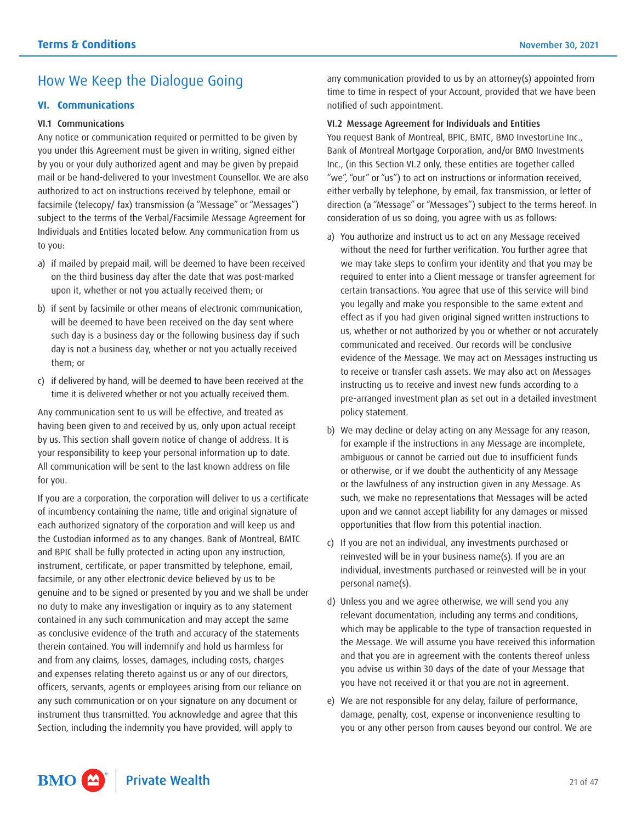# <span id="page-20-0"></span>How We Keep the Dialogue Going

# **VI. Communications**

#### VI.1 Communications

Any notice or communication required or permitted to be given by you under this Agreement must be given in writing, signed either by you or your duly authorized agent and may be given by prepaid mail or be hand-delivered to your Investment Counsellor. We are also authorized to act on instructions received by telephone, email or facsimile (telecopy/ fax) transmission (a "Message" or "Messages") subject to the terms of the Verbal/Facsimile Message Agreement for Individuals and Entities located below. Any communication from us to you:

- a) if mailed by prepaid mail, will be deemed to have been received on the third business day after the date that was post-marked upon it, whether or not you actually received them; or
- b) if sent by facsimile or other means of electronic communication, will be deemed to have been received on the day sent where such day is a business day or the following business day if such day is not a business day, whether or not you actually received them; or
- c) if delivered by hand, will be deemed to have been received at the time it is delivered whether or not you actually received them.

Any communication sent to us will be effective, and treated as having been given to and received by us, only upon actual receipt by us. This section shall govern notice of change of address. It is your responsibility to keep your personal information up to date. All communication will be sent to the last known address on file for you.

If you are a corporation, the corporation will deliver to us a certificate of incumbency containing the name, title and original signature of each authorized signatory of the corporation and will keep us and the Custodian informed as to any changes. Bank of Montreal, BMTC and BPIC shall be fully protected in acting upon any instruction, instrument, certificate, or paper transmitted by telephone, email, facsimile, or any other electronic device believed by us to be genuine and to be signed or presented by you and we shall be under no duty to make any investigation or inquiry as to any statement contained in any such communication and may accept the same as conclusive evidence of the truth and accuracy of the statements therein contained. You will indemnify and hold us harmless for and from any claims, losses, damages, including costs, charges and expenses relating thereto against us or any of our directors, officers, servants, agents or employees arising from our reliance on any such communication or on your signature on any document or instrument thus transmitted. You acknowledge and agree that this Section, including the indemnity you have provided, will apply to

any communication provided to us by an attorney(s) appointed from time to time in respect of your Account, provided that we have been notified of such appointment.

#### VI.2 Message Agreement for Individuals and Entities

You request Bank of Montreal, BPIC, BMTC, BMO InvestorLine Inc., Bank of Montreal Mortgage Corporation, and/or BMO Investments Inc., (in this Section VI.2 only, these entities are together called "we", "our" or "us") to act on instructions or information received, either verbally by telephone, by email, fax transmission, or letter of direction (a "Message" or "Messages") subject to the terms hereof. In consideration of us so doing, you agree with us as follows:

- a) You authorize and instruct us to act on any Message received without the need for further verification. You further agree that we may take steps to confirm your identity and that you may be required to enter into a Client message or transfer agreement for certain transactions. You agree that use of this service will bind you legally and make you responsible to the same extent and effect as if you had given original signed written instructions to us, whether or not authorized by you or whether or not accurately communicated and received. Our records will be conclusive evidence of the Message. We may act on Messages instructing us to receive or transfer cash assets. We may also act on Messages instructing us to receive and invest new funds according to a pre-arranged investment plan as set out in a detailed investment policy statement.
- b) We may decline or delay acting on any Message for any reason, for example if the instructions in any Message are incomplete, ambiguous or cannot be carried out due to insufficient funds or otherwise, or if we doubt the authenticity of any Message or the lawfulness of any instruction given in any Message. As such, we make no representations that Messages will be acted upon and we cannot accept liability for any damages or missed opportunities that flow from this potential inaction.
- c) If you are not an individual, any investments purchased or reinvested will be in your business name(s). If you are an individual, investments purchased or reinvested will be in your personal name(s).
- d) Unless you and we agree otherwise, we will send you any relevant documentation, including any terms and conditions, which may be applicable to the type of transaction requested in the Message. We will assume you have received this information and that you are in agreement with the contents thereof unless you advise us within 30 days of the date of your Message that you have not received it or that you are not in agreement.
- e) We are not responsible for any delay, failure of performance, damage, penalty, cost, expense or inconvenience resulting to you or any other person from causes beyond our control. We are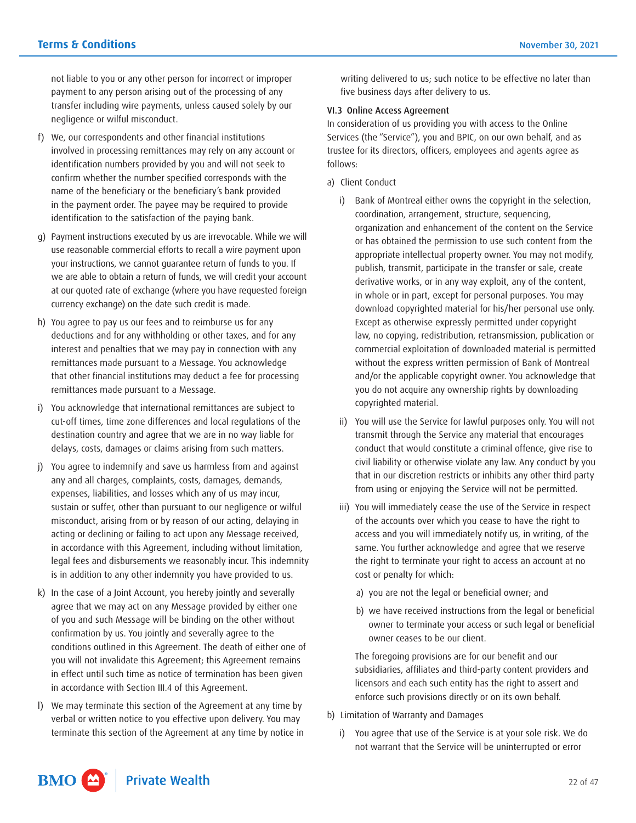not liable to you or any other person for incorrect or improper payment to any person arising out of the processing of any transfer including wire payments, unless caused solely by our negligence or wilful misconduct.

- f) We, our correspondents and other financial institutions involved in processing remittances may rely on any account or identification numbers provided by you and will not seek to confirm whether the number specified corresponds with the name of the beneficiary or the beneficiary's bank provided in the payment order. The payee may be required to provide identification to the satisfaction of the paying bank.
- g) Payment instructions executed by us are irrevocable. While we will use reasonable commercial efforts to recall a wire payment upon your instructions, we cannot guarantee return of funds to you. If we are able to obtain a return of funds, we will credit your account at our quoted rate of exchange (where you have requested foreign currency exchange) on the date such credit is made.
- h) You agree to pay us our fees and to reimburse us for any deductions and for any withholding or other taxes, and for any interest and penalties that we may pay in connection with any remittances made pursuant to a Message. You acknowledge that other financial institutions may deduct a fee for processing remittances made pursuant to a Message.
- i) You acknowledge that international remittances are subject to cut-off times, time zone differences and local regulations of the destination country and agree that we are in no way liable for delays, costs, damages or claims arising from such matters.
- j) You agree to indemnify and save us harmless from and against any and all charges, complaints, costs, damages, demands, expenses, liabilities, and losses which any of us may incur, sustain or suffer, other than pursuant to our negligence or wilful misconduct, arising from or by reason of our acting, delaying in acting or declining or failing to act upon any Message received, in accordance with this Agreement, including without limitation, legal fees and disbursements we reasonably incur. This indemnity is in addition to any other indemnity you have provided to us.
- k) In the case of a Joint Account, you hereby jointly and severally agree that we may act on any Message provided by either one of you and such Message will be binding on the other without confirmation by us. You jointly and severally agree to the conditions outlined in this Agreement. The death of either one of you will not invalidate this Agreement; this Agreement remains in effect until such time as notice of termination has been given in accordance with Section III.4 of this Agreement.
- l) We may terminate this section of the Agreement at any time by verbal or written notice to you effective upon delivery. You may terminate this section of the Agreement at any time by notice in

writing delivered to us; such notice to be effective no later than five business days after delivery to us.

## VI.3 Online Access Agreement

In consideration of us providing you with access to the Online Services (the "Service"), you and BPIC, on our own behalf, and as trustee for its directors, officers, employees and agents agree as follows:

- a) Client Conduct
	- i) Bank of Montreal either owns the copyright in the selection, coordination, arrangement, structure, sequencing, organization and enhancement of the content on the Service or has obtained the permission to use such content from the appropriate intellectual property owner. You may not modify, publish, transmit, participate in the transfer or sale, create derivative works, or in any way exploit, any of the content, in whole or in part, except for personal purposes. You may download copyrighted material for his/her personal use only. Except as otherwise expressly permitted under copyright law, no copying, redistribution, retransmission, publication or commercial exploitation of downloaded material is permitted without the express written permission of Bank of Montreal and/or the applicable copyright owner. You acknowledge that you do not acquire any ownership rights by downloading copyrighted material.
	- ii) You will use the Service for lawful purposes only. You will not transmit through the Service any material that encourages conduct that would constitute a criminal offence, give rise to civil liability or otherwise violate any law. Any conduct by you that in our discretion restricts or inhibits any other third party from using or enjoying the Service will not be permitted.
	- iii) You will immediately cease the use of the Service in respect of the accounts over which you cease to have the right to access and you will immediately notify us, in writing, of the same. You further acknowledge and agree that we reserve the right to terminate your right to access an account at no cost or penalty for which:
		- a) you are not the legal or beneficial owner; and
		- b) we have received instructions from the legal or beneficial owner to terminate your access or such legal or beneficial owner ceases to be our client.

The foregoing provisions are for our benefit and our subsidiaries, affiliates and third-party content providers and licensors and each such entity has the right to assert and enforce such provisions directly or on its own behalf.

- b) Limitation of Warranty and Damages
	- i) You agree that use of the Service is at your sole risk. We do not warrant that the Service will be uninterrupted or error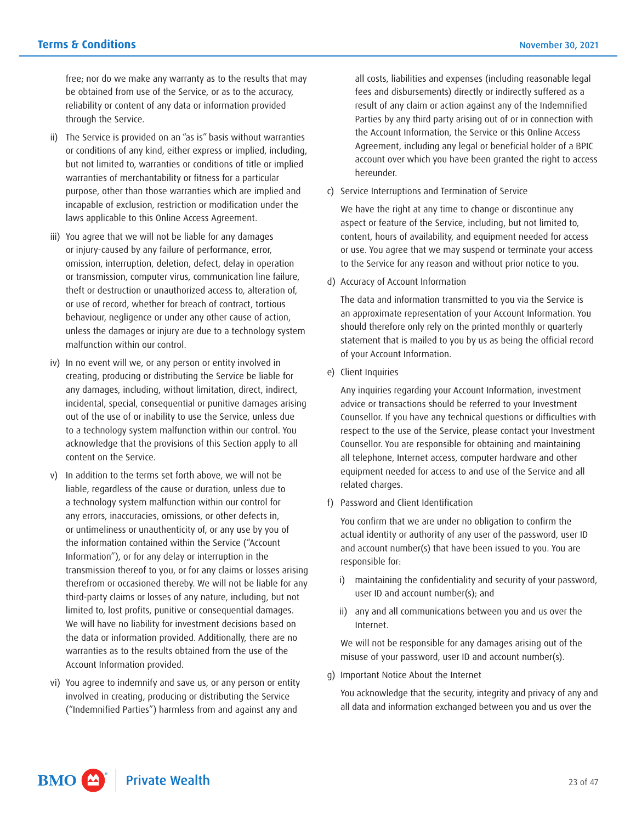free; nor do we make any warranty as to the results that may be obtained from use of the Service, or as to the accuracy, reliability or content of any data or information provided through the Service.

- ii) The Service is provided on an "as is" basis without warranties or conditions of any kind, either express or implied, including, but not limited to, warranties or conditions of title or implied warranties of merchantability or fitness for a particular purpose, other than those warranties which are implied and incapable of exclusion, restriction or modification under the laws applicable to this Online Access Agreement.
- iii) You agree that we will not be liable for any damages or injury-caused by any failure of performance, error, omission, interruption, deletion, defect, delay in operation or transmission, computer virus, communication line failure, theft or destruction or unauthorized access to, alteration of, or use of record, whether for breach of contract, tortious behaviour, negligence or under any other cause of action, unless the damages or injury are due to a technology system malfunction within our control.
- iv) In no event will we, or any person or entity involved in creating, producing or distributing the Service be liable for any damages, including, without limitation, direct, indirect, incidental, special, consequential or punitive damages arising out of the use of or inability to use the Service, unless due to a technology system malfunction within our control. You acknowledge that the provisions of this Section apply to all content on the Service.
- v) In addition to the terms set forth above, we will not be liable, regardless of the cause or duration, unless due to a technology system malfunction within our control for any errors, inaccuracies, omissions, or other defects in, or untimeliness or unauthenticity of, or any use by you of the information contained within the Service ("Account Information"), or for any delay or interruption in the transmission thereof to you, or for any claims or losses arising therefrom or occasioned thereby. We will not be liable for any third-party claims or losses of any nature, including, but not limited to, lost profits, punitive or consequential damages. We will have no liability for investment decisions based on the data or information provided. Additionally, there are no warranties as to the results obtained from the use of the Account Information provided.
- vi) You agree to indemnify and save us, or any person or entity involved in creating, producing or distributing the Service ("Indemnified Parties") harmless from and against any and

all costs, liabilities and expenses (including reasonable legal fees and disbursements) directly or indirectly suffered as a result of any claim or action against any of the Indemnified Parties by any third party arising out of or in connection with the Account Information, the Service or this Online Access Agreement, including any legal or beneficial holder of a BPIC account over which you have been granted the right to access hereunder.

c) Service Interruptions and Termination of Service

We have the right at any time to change or discontinue any aspect or feature of the Service, including, but not limited to, content, hours of availability, and equipment needed for access or use. You agree that we may suspend or terminate your access to the Service for any reason and without prior notice to you.

d) Accuracy of Account Information

The data and information transmitted to you via the Service is an approximate representation of your Account Information. You should therefore only rely on the printed monthly or quarterly statement that is mailed to you by us as being the official record of your Account Information.

e) Client Inquiries

Any inquiries regarding your Account Information, investment advice or transactions should be referred to your Investment Counsellor. If you have any technical questions or difficulties with respect to the use of the Service, please contact your Investment Counsellor. You are responsible for obtaining and maintaining all telephone, Internet access, computer hardware and other equipment needed for access to and use of the Service and all related charges.

f) Password and Client Identification

You confirm that we are under no obligation to confirm the actual identity or authority of any user of the password, user ID and account number(s) that have been issued to you. You are responsible for:

- i) maintaining the confidentiality and security of your password, user ID and account number(s); and
- ii) any and all communications between you and us over the Internet.

We will not be responsible for any damages arising out of the misuse of your password, user ID and account number(s).

g) Important Notice About the Internet

You acknowledge that the security, integrity and privacy of any and all data and information exchanged between you and us over the

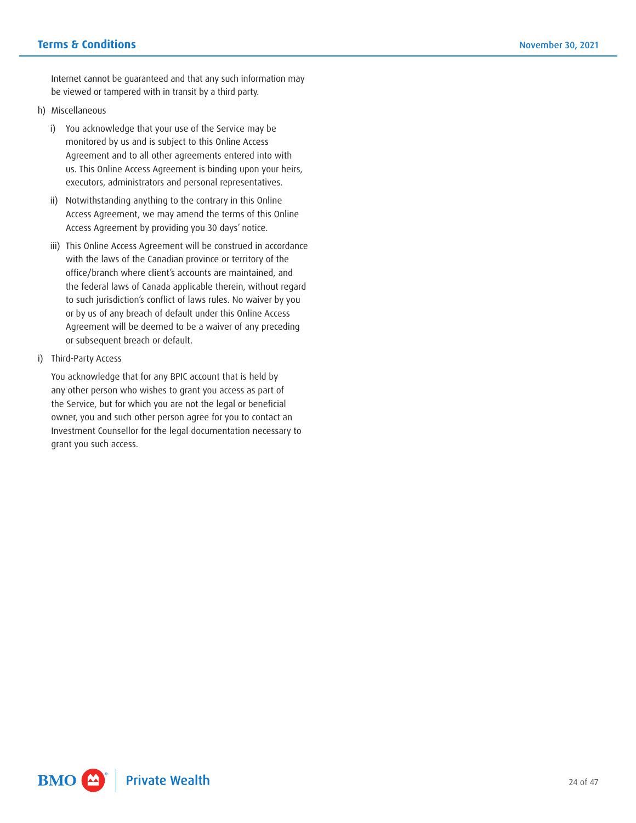Internet cannot be guaranteed and that any such information may be viewed or tampered with in transit by a third party.

- h) Miscellaneous
	- i) You acknowledge that your use of the Service may be monitored by us and is subject to this Online Access Agreement and to all other agreements entered into with us. This Online Access Agreement is binding upon your heirs, executors, administrators and personal representatives.
	- ii) Notwithstanding anything to the contrary in this Online Access Agreement, we may amend the terms of this Online Access Agreement by providing you 30 days' notice.
	- iii) This Online Access Agreement will be construed in accordance with the laws of the Canadian province or territory of the office/branch where client's accounts are maintained, and the federal laws of Canada applicable therein, without regard to such jurisdiction's conflict of laws rules. No waiver by you or by us of any breach of default under this Online Access Agreement will be deemed to be a waiver of any preceding or subsequent breach or default.
- i) Third-Party Access

You acknowledge that for any BPIC account that is held by any other person who wishes to grant you access as part of the Service, but for which you are not the legal or beneficial owner, you and such other person agree for you to contact an Investment Counsellor for the legal documentation necessary to grant you such access.

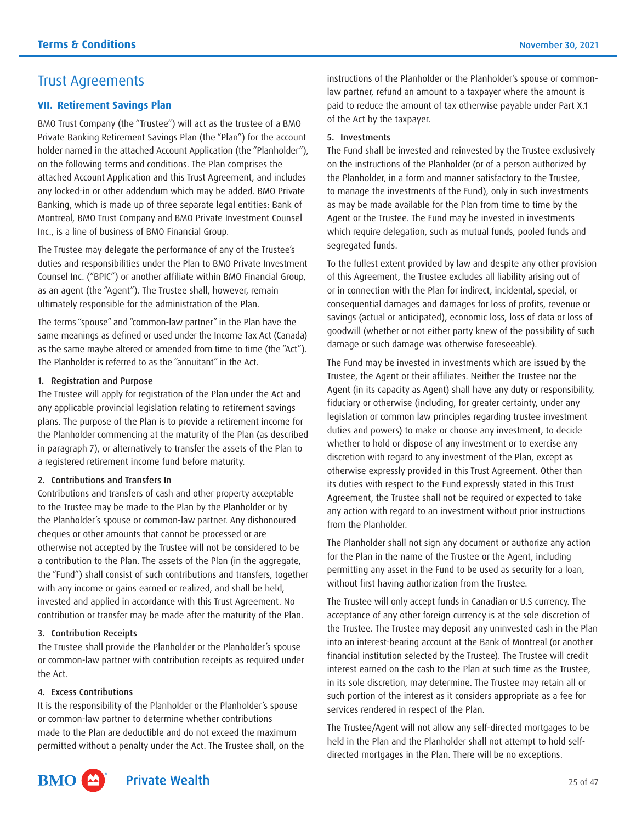# <span id="page-24-0"></span>Trust Agreements

# **VII. Retirement Savings Plan**

BMO Trust Company (the "Trustee") will act as the trustee of a BMO Private Banking Retirement Savings Plan (the "Plan") for the account holder named in the attached Account Application (the "Planholder"), on the following terms and conditions. The Plan comprises the attached Account Application and this Trust Agreement, and includes any locked-in or other addendum which may be added. BMO Private Banking, which is made up of three separate legal entities: Bank of Montreal, BMO Trust Company and BMO Private Investment Counsel Inc., is a line of business of BMO Financial Group.

The Trustee may delegate the performance of any of the Trustee's duties and responsibilities under the Plan to BMO Private Investment Counsel Inc. ("BPIC") or another affiliate within BMO Financial Group, as an agent (the "Agent"). The Trustee shall, however, remain ultimately responsible for the administration of the Plan.

The terms "spouse" and "common-law partner" in the Plan have the same meanings as defined or used under the Income Tax Act (Canada) as the same maybe altered or amended from time to time (the "Act"). The Planholder is referred to as the "annuitant" in the Act.

#### 1. Registration and Purpose

The Trustee will apply for registration of the Plan under the Act and any applicable provincial legislation relating to retirement savings plans. The purpose of the Plan is to provide a retirement income for the Planholder commencing at the maturity of the Plan (as described in paragraph 7), or alternatively to transfer the assets of the Plan to a registered retirement income fund before maturity.

#### 2. Contributions and Transfers In

Contributions and transfers of cash and other property acceptable to the Trustee may be made to the Plan by the Planholder or by the Planholder's spouse or common-law partner. Any dishonoured cheques or other amounts that cannot be processed or are otherwise not accepted by the Trustee will not be considered to be a contribution to the Plan. The assets of the Plan (in the aggregate, the "Fund") shall consist of such contributions and transfers, together with any income or gains earned or realized, and shall be held, invested and applied in accordance with this Trust Agreement. No contribution or transfer may be made after the maturity of the Plan.

# 3. Contribution Receipts

The Trustee shall provide the Planholder or the Planholder's spouse or common-law partner with contribution receipts as required under the Act.

# 4. Excess Contributions

It is the responsibility of the Planholder or the Planholder's spouse or common-law partner to determine whether contributions made to the Plan are deductible and do not exceed the maximum permitted without a penalty under the Act. The Trustee shall, on the instructions of the Planholder or the Planholder's spouse or commonlaw partner, refund an amount to a taxpayer where the amount is paid to reduce the amount of tax otherwise payable under Part X.1 of the Act by the taxpayer.

# 5. Investments

The Fund shall be invested and reinvested by the Trustee exclusively on the instructions of the Planholder (or of a person authorized by the Planholder, in a form and manner satisfactory to the Trustee, to manage the investments of the Fund), only in such investments as may be made available for the Plan from time to time by the Agent or the Trustee. The Fund may be invested in investments which require delegation, such as mutual funds, pooled funds and segregated funds.

To the fullest extent provided by law and despite any other provision of this Agreement, the Trustee excludes all liability arising out of or in connection with the Plan for indirect, incidental, special, or consequential damages and damages for loss of profits, revenue or savings (actual or anticipated), economic loss, loss of data or loss of goodwill (whether or not either party knew of the possibility of such damage or such damage was otherwise foreseeable).

The Fund may be invested in investments which are issued by the Trustee, the Agent or their affiliates. Neither the Trustee nor the Agent (in its capacity as Agent) shall have any duty or responsibility, fiduciary or otherwise (including, for greater certainty, under any legislation or common law principles regarding trustee investment duties and powers) to make or choose any investment, to decide whether to hold or dispose of any investment or to exercise any discretion with regard to any investment of the Plan, except as otherwise expressly provided in this Trust Agreement. Other than its duties with respect to the Fund expressly stated in this Trust Agreement, the Trustee shall not be required or expected to take any action with regard to an investment without prior instructions from the Planholder.

The Planholder shall not sign any document or authorize any action for the Plan in the name of the Trustee or the Agent, including permitting any asset in the Fund to be used as security for a loan, without first having authorization from the Trustee.

The Trustee will only accept funds in Canadian or U.S currency. The acceptance of any other foreign currency is at the sole discretion of the Trustee. The Trustee may deposit any uninvested cash in the Plan into an interest-bearing account at the Bank of Montreal (or another financial institution selected by the Trustee). The Trustee will credit interest earned on the cash to the Plan at such time as the Trustee, in its sole discretion, may determine. The Trustee may retain all or such portion of the interest as it considers appropriate as a fee for services rendered in respect of the Plan.

The Trustee/Agent will not allow any self-directed mortgages to be held in the Plan and the Planholder shall not attempt to hold selfdirected mortgages in the Plan. There will be no exceptions.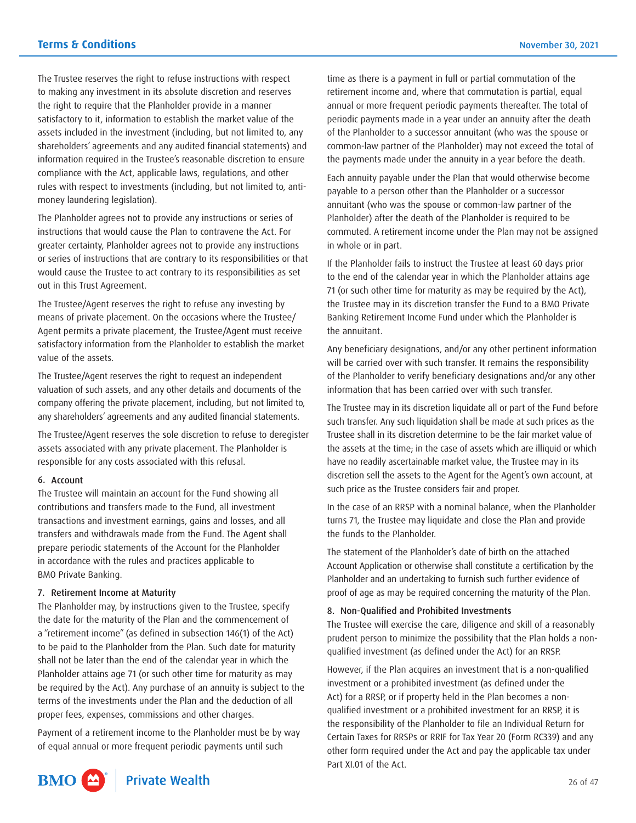The Trustee reserves the right to refuse instructions with respect to making any investment in its absolute discretion and reserves the right to require that the Planholder provide in a manner satisfactory to it, information to establish the market value of the assets included in the investment (including, but not limited to, any shareholders' agreements and any audited financial statements) and information required in the Trustee's reasonable discretion to ensure compliance with the Act, applicable laws, regulations, and other rules with respect to investments (including, but not limited to, antimoney laundering legislation).

The Planholder agrees not to provide any instructions or series of instructions that would cause the Plan to contravene the Act. For greater certainty, Planholder agrees not to provide any instructions or series of instructions that are contrary to its responsibilities or that would cause the Trustee to act contrary to its responsibilities as set out in this Trust Agreement.

The Trustee/Agent reserves the right to refuse any investing by means of private placement. On the occasions where the Trustee/ Agent permits a private placement, the Trustee/Agent must receive satisfactory information from the Planholder to establish the market value of the assets.

The Trustee/Agent reserves the right to request an independent valuation of such assets, and any other details and documents of the company offering the private placement, including, but not limited to, any shareholders' agreements and any audited financial statements.

The Trustee/Agent reserves the sole discretion to refuse to deregister assets associated with any private placement. The Planholder is responsible for any costs associated with this refusal.

#### 6. Account

The Trustee will maintain an account for the Fund showing all contributions and transfers made to the Fund, all investment transactions and investment earnings, gains and losses, and all transfers and withdrawals made from the Fund. The Agent shall prepare periodic statements of the Account for the Planholder in accordance with the rules and practices applicable to BMO Private Banking.

#### 7. Retirement Income at Maturity

The Planholder may, by instructions given to the Trustee, specify the date for the maturity of the Plan and the commencement of a "retirement income" (as defined in subsection 146(1) of the Act) to be paid to the Planholder from the Plan. Such date for maturity shall not be later than the end of the calendar year in which the Planholder attains age 71 (or such other time for maturity as may be required by the Act). Any purchase of an annuity is subject to the terms of the investments under the Plan and the deduction of all proper fees, expenses, commissions and other charges.

Payment of a retirement income to the Planholder must be by way of equal annual or more frequent periodic payments until such

time as there is a payment in full or partial commutation of the retirement income and, where that commutation is partial, equal annual or more frequent periodic payments thereafter. The total of periodic payments made in a year under an annuity after the death of the Planholder to a successor annuitant (who was the spouse or common-law partner of the Planholder) may not exceed the total of the payments made under the annuity in a year before the death.

Each annuity payable under the Plan that would otherwise become payable to a person other than the Planholder or a successor annuitant (who was the spouse or common-law partner of the Planholder) after the death of the Planholder is required to be commuted. A retirement income under the Plan may not be assigned in whole or in part.

If the Planholder fails to instruct the Trustee at least 60 days prior to the end of the calendar year in which the Planholder attains age 71 (or such other time for maturity as may be required by the Act), the Trustee may in its discretion transfer the Fund to a BMO Private Banking Retirement Income Fund under which the Planholder is the annuitant.

Any beneficiary designations, and/or any other pertinent information will be carried over with such transfer. It remains the responsibility of the Planholder to verify beneficiary designations and/or any other information that has been carried over with such transfer.

The Trustee may in its discretion liquidate all or part of the Fund before such transfer. Any such liquidation shall be made at such prices as the Trustee shall in its discretion determine to be the fair market value of the assets at the time; in the case of assets which are illiquid or which have no readily ascertainable market value, the Trustee may in its discretion sell the assets to the Agent for the Agent's own account, at such price as the Trustee considers fair and proper.

In the case of an RRSP with a nominal balance, when the Planholder turns 71, the Trustee may liquidate and close the Plan and provide the funds to the Planholder.

The statement of the Planholder's date of birth on the attached Account Application or otherwise shall constitute a certification by the Planholder and an undertaking to furnish such further evidence of proof of age as may be required concerning the maturity of the Plan.

#### 8. Non-Qualified and Prohibited Investments

The Trustee will exercise the care, diligence and skill of a reasonably prudent person to minimize the possibility that the Plan holds a nonqualified investment (as defined under the Act) for an RRSP.

However, if the Plan acquires an investment that is a non-qualified investment or a prohibited investment (as defined under the Act) for a RRSP, or if property held in the Plan becomes a nonqualified investment or a prohibited investment for an RRSP, it is the responsibility of the Planholder to file an Individual Return for Certain Taxes for RRSPs or RRIF for Tax Year 20 (Form RC339) and any other form required under the Act and pay the applicable tax under Part XI.01 of the Act.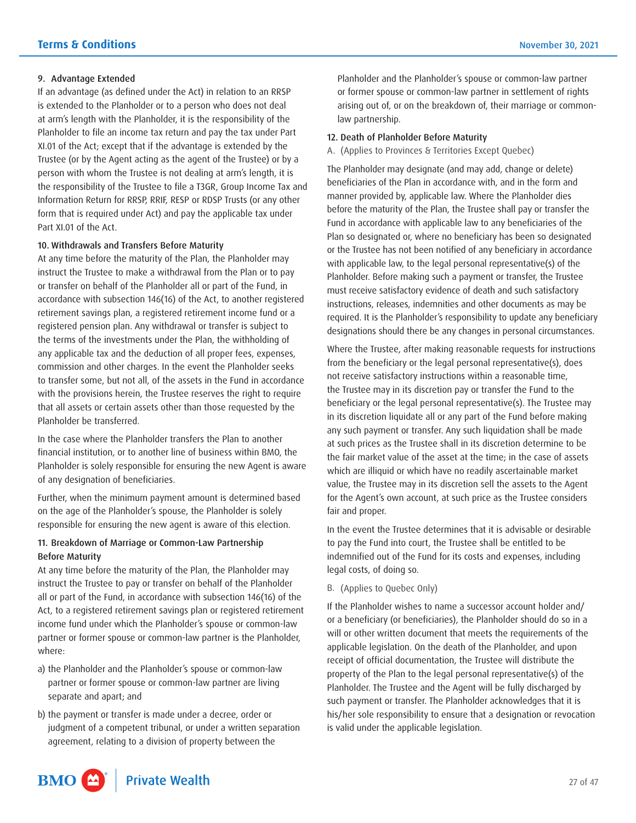# 9. Advantage Extended

If an advantage (as defined under the Act) in relation to an RRSP is extended to the Planholder or to a person who does not deal at arm's length with the Planholder, it is the responsibility of the Planholder to file an income tax return and pay the tax under Part XI.01 of the Act; except that if the advantage is extended by the Trustee (or by the Agent acting as the agent of the Trustee) or by a person with whom the Trustee is not dealing at arm's length, it is the responsibility of the Trustee to file a T3GR, Group Income Tax and Information Return for RRSP, RRIF, RESP or RDSP Trusts (or any other form that is required under Act) and pay the applicable tax under Part XI.01 of the Act.

# 10. Withdrawals and Transfers Before Maturity

At any time before the maturity of the Plan, the Planholder may instruct the Trustee to make a withdrawal from the Plan or to pay or transfer on behalf of the Planholder all or part of the Fund, in accordance with subsection 146(16) of the Act, to another registered retirement savings plan, a registered retirement income fund or a registered pension plan. Any withdrawal or transfer is subject to the terms of the investments under the Plan, the withholding of any applicable tax and the deduction of all proper fees, expenses, commission and other charges. In the event the Planholder seeks to transfer some, but not all, of the assets in the Fund in accordance with the provisions herein, the Trustee reserves the right to require that all assets or certain assets other than those requested by the Planholder be transferred.

In the case where the Planholder transfers the Plan to another financial institution, or to another line of business within BMO, the Planholder is solely responsible for ensuring the new Agent is aware of any designation of beneficiaries.

Further, when the minimum payment amount is determined based on the age of the Planholder's spouse, the Planholder is solely responsible for ensuring the new agent is aware of this election.

# 11. Breakdown of Marriage or Common-Law Partnership Before Maturity

At any time before the maturity of the Plan, the Planholder may instruct the Trustee to pay or transfer on behalf of the Planholder all or part of the Fund, in accordance with subsection 146(16) of the Act, to a registered retirement savings plan or registered retirement income fund under which the Planholder's spouse or common-law partner or former spouse or common-law partner is the Planholder, where:

- a) the Planholder and the Planholder's spouse or common-law partner or former spouse or common-law partner are living separate and apart; and
- b) the payment or transfer is made under a decree, order or judgment of a competent tribunal, or under a written separation agreement, relating to a division of property between the

Planholder and the Planholder's spouse or common-law partner or former spouse or common-law partner in settlement of rights arising out of, or on the breakdown of, their marriage or commonlaw partnership.

#### 12. Death of Planholder Before Maturity

A. (Applies to Provinces & Territories Except Quebec)

The Planholder may designate (and may add, change or delete) beneficiaries of the Plan in accordance with, and in the form and manner provided by, applicable law. Where the Planholder dies before the maturity of the Plan, the Trustee shall pay or transfer the Fund in accordance with applicable law to any beneficiaries of the Plan so designated or, where no beneficiary has been so designated or the Trustee has not been notified of any beneficiary in accordance with applicable law, to the legal personal representative(s) of the Planholder. Before making such a payment or transfer, the Trustee must receive satisfactory evidence of death and such satisfactory instructions, releases, indemnities and other documents as may be required. It is the Planholder's responsibility to update any beneficiary designations should there be any changes in personal circumstances.

Where the Trustee, after making reasonable requests for instructions from the beneficiary or the legal personal representative(s), does not receive satisfactory instructions within a reasonable time, the Trustee may in its discretion pay or transfer the Fund to the beneficiary or the legal personal representative(s). The Trustee may in its discretion liquidate all or any part of the Fund before making any such payment or transfer. Any such liquidation shall be made at such prices as the Trustee shall in its discretion determine to be the fair market value of the asset at the time; in the case of assets which are illiquid or which have no readily ascertainable market value, the Trustee may in its discretion sell the assets to the Agent for the Agent's own account, at such price as the Trustee considers fair and proper.

In the event the Trustee determines that it is advisable or desirable to pay the Fund into court, the Trustee shall be entitled to be indemnified out of the Fund for its costs and expenses, including legal costs, of doing so.

# B. (Applies to Quebec Only)

If the Planholder wishes to name a successor account holder and/ or a beneficiary (or beneficiaries), the Planholder should do so in a will or other written document that meets the requirements of the applicable legislation. On the death of the Planholder, and upon receipt of official documentation, the Trustee will distribute the property of the Plan to the legal personal representative(s) of the Planholder. The Trustee and the Agent will be fully discharged by such payment or transfer. The Planholder acknowledges that it is his/her sole responsibility to ensure that a designation or revocation is valid under the applicable legislation.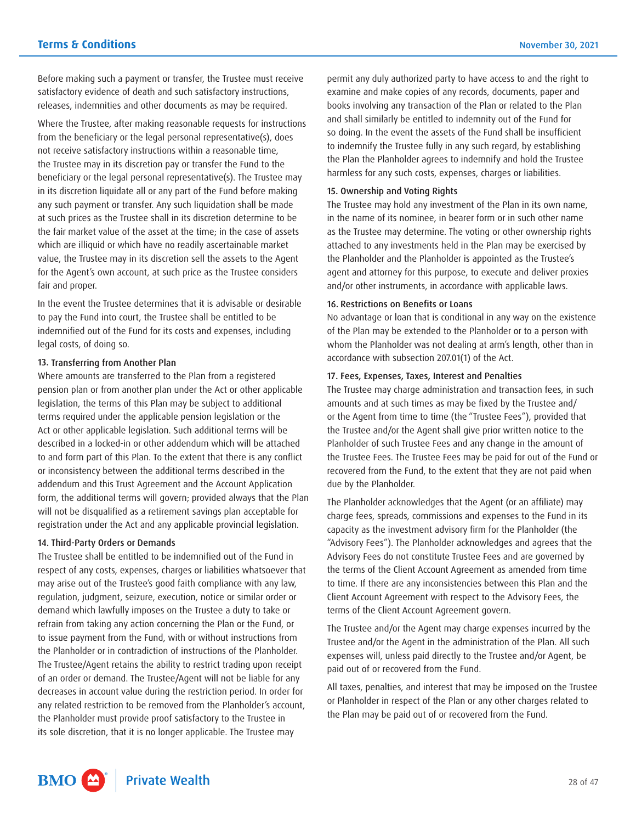Before making such a payment or transfer, the Trustee must receive satisfactory evidence of death and such satisfactory instructions, releases, indemnities and other documents as may be required.

Where the Trustee, after making reasonable requests for instructions from the beneficiary or the legal personal representative(s), does not receive satisfactory instructions within a reasonable time, the Trustee may in its discretion pay or transfer the Fund to the beneficiary or the legal personal representative(s). The Trustee may in its discretion liquidate all or any part of the Fund before making any such payment or transfer. Any such liquidation shall be made at such prices as the Trustee shall in its discretion determine to be the fair market value of the asset at the time; in the case of assets which are illiquid or which have no readily ascertainable market value, the Trustee may in its discretion sell the assets to the Agent for the Agent's own account, at such price as the Trustee considers fair and proper.

In the event the Trustee determines that it is advisable or desirable to pay the Fund into court, the Trustee shall be entitled to be indemnified out of the Fund for its costs and expenses, including legal costs, of doing so.

# 13. Transferring from Another Plan

Where amounts are transferred to the Plan from a registered pension plan or from another plan under the Act or other applicable legislation, the terms of this Plan may be subject to additional terms required under the applicable pension legislation or the Act or other applicable legislation. Such additional terms will be described in a locked-in or other addendum which will be attached to and form part of this Plan. To the extent that there is any conflict or inconsistency between the additional terms described in the addendum and this Trust Agreement and the Account Application form, the additional terms will govern; provided always that the Plan will not be disqualified as a retirement savings plan acceptable for registration under the Act and any applicable provincial legislation.

#### 14. Third-Party Orders or Demands

The Trustee shall be entitled to be indemnified out of the Fund in respect of any costs, expenses, charges or liabilities whatsoever that may arise out of the Trustee's good faith compliance with any law, regulation, judgment, seizure, execution, notice or similar order or demand which lawfully imposes on the Trustee a duty to take or refrain from taking any action concerning the Plan or the Fund, or to issue payment from the Fund, with or without instructions from the Planholder or in contradiction of instructions of the Planholder. The Trustee/Agent retains the ability to restrict trading upon receipt of an order or demand. The Trustee/Agent will not be liable for any decreases in account value during the restriction period. In order for any related restriction to be removed from the Planholder's account, the Planholder must provide proof satisfactory to the Trustee in its sole discretion, that it is no longer applicable. The Trustee may

permit any duly authorized party to have access to and the right to examine and make copies of any records, documents, paper and books involving any transaction of the Plan or related to the Plan and shall similarly be entitled to indemnity out of the Fund for so doing. In the event the assets of the Fund shall be insufficient to indemnify the Trustee fully in any such regard, by establishing the Plan the Planholder agrees to indemnify and hold the Trustee harmless for any such costs, expenses, charges or liabilities.

#### 15. Ownership and Voting Rights

The Trustee may hold any investment of the Plan in its own name, in the name of its nominee, in bearer form or in such other name as the Trustee may determine. The voting or other ownership rights attached to any investments held in the Plan may be exercised by the Planholder and the Planholder is appointed as the Trustee's agent and attorney for this purpose, to execute and deliver proxies and/or other instruments, in accordance with applicable laws.

#### 16. Restrictions on Benefits or Loans

No advantage or loan that is conditional in any way on the existence of the Plan may be extended to the Planholder or to a person with whom the Planholder was not dealing at arm's length, other than in accordance with subsection 207.01(1) of the Act.

# 17. Fees, Expenses, Taxes, Interest and Penalties

The Trustee may charge administration and transaction fees, in such amounts and at such times as may be fixed by the Trustee and/ or the Agent from time to time (the "Trustee Fees"), provided that the Trustee and/or the Agent shall give prior written notice to the Planholder of such Trustee Fees and any change in the amount of the Trustee Fees. The Trustee Fees may be paid for out of the Fund or recovered from the Fund, to the extent that they are not paid when due by the Planholder.

The Planholder acknowledges that the Agent (or an affiliate) may charge fees, spreads, commissions and expenses to the Fund in its capacity as the investment advisory firm for the Planholder (the "Advisory Fees"). The Planholder acknowledges and agrees that the Advisory Fees do not constitute Trustee Fees and are governed by the terms of the Client Account Agreement as amended from time to time. If there are any inconsistencies between this Plan and the Client Account Agreement with respect to the Advisory Fees, the terms of the Client Account Agreement govern.

The Trustee and/or the Agent may charge expenses incurred by the Trustee and/or the Agent in the administration of the Plan. All such expenses will, unless paid directly to the Trustee and/or Agent, be paid out of or recovered from the Fund.

All taxes, penalties, and interest that may be imposed on the Trustee or Planholder in respect of the Plan or any other charges related to the Plan may be paid out of or recovered from the Fund.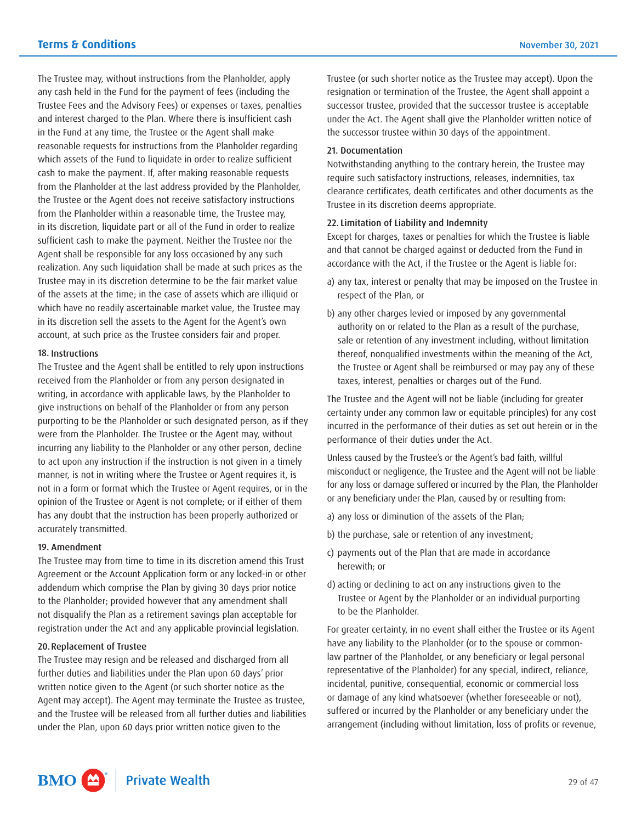The Trustee may, without instructions from the Planholder, apply any cash held in the Fund for the payment of fees (including the Trustee Fees and the Advisory Fees) or expenses or taxes, penalties and interest charged to the Plan. Where there is insufficient cash in the Fund at any time, the Trustee or the Agent shall make reasonable requests for instructions from the Planholder regarding which assets of the Fund to liquidate in order to realize sufficient cash to make the payment. If, after making reasonable requests from the Planholder at the last address provided by the Planholder, the Trustee or the Agent does not receive satisfactory instructions from the Planholder within a reasonable time, the Trustee may, in its discretion, liquidate part or all of the Fund in order to realize sufficient cash to make the payment. Neither the Trustee nor the Agent shall be responsible for any loss occasioned by any such realization. Any such liquidation shall be made at such prices as the Trustee may in its discretion determine to be the fair market value of the assets at the time; in the case of assets which are illiquid or which have no readily ascertainable market value, the Trustee may in its discretion sell the assets to the Agent for the Agent's own account, at such price as the Trustee considers fair and proper.

#### 18. Instructions

The Trustee and the Agent shall be entitled to rely upon instructions received from the Planholder or from any person designated in writing, in accordance with applicable laws, by the Planholder to give instructions on behalf of the Planholder or from any person purporting to be the Planholder or such designated person, as if they were from the Planholder. The Trustee or the Agent may, without incurring any liability to the Planholder or any other person, decline to act upon any instruction if the instruction is not given in a timely manner, is not in writing where the Trustee or Agent requires it, is not in a form or format which the Trustee or Agent requires, or in the opinion of the Trustee or Agent is not complete; or if either of them has any doubt that the instruction has been properly authorized or accurately transmitted.

#### 19. Amendment

The Trustee may from time to time in its discretion amend this Trust Agreement or the Account Application form or any locked-in or other addendum which comprise the Plan by giving 30 days prior notice to the Planholder; provided however that any amendment shall not disqualify the Plan as a retirement savings plan acceptable for registration under the Act and any applicable provincial legislation.

#### 20.Replacement of Trustee

The Trustee may resign and be released and discharged from all further duties and liabilities under the Plan upon 60 days' prior written notice given to the Agent (or such shorter notice as the Agent may accept). The Agent may terminate the Trustee as trustee, and the Trustee will be released from all further duties and liabilities under the Plan, upon 60 days prior written notice given to the

Trustee (or such shorter notice as the Trustee may accept). Upon the resignation or termination of the Trustee, the Agent shall appoint a successor trustee, provided that the successor trustee is acceptable under the Act. The Agent shall give the Planholder written notice of the successor trustee within 30 days of the appointment.

#### 21. Documentation

Notwithstanding anything to the contrary herein, the Trustee may require such satisfactory instructions, releases, indemnities, tax clearance certificates, death certificates and other documents as the Trustee in its discretion deems appropriate.

#### 22. Limitation of Liability and Indemnity

Except for charges, taxes or penalties for which the Trustee is liable and that cannot be charged against or deducted from the Fund in accordance with the Act, if the Trustee or the Agent is liable for:

- a) any tax, interest or penalty that may be imposed on the Trustee in respect of the Plan, or
- b) any other charges levied or imposed by any governmental authority on or related to the Plan as a result of the purchase, sale or retention of any investment including, without limitation thereof, nonqualified investments within the meaning of the Act, the Trustee or Agent shall be reimbursed or may pay any of these taxes, interest, penalties or charges out of the Fund.

The Trustee and the Agent will not be liable (including for greater certainty under any common law or equitable principles) for any cost incurred in the performance of their duties as set out herein or in the performance of their duties under the Act.

Unless caused by the Trustee's or the Agent's bad faith, willful misconduct or negligence, the Trustee and the Agent will not be liable for any loss or damage suffered or incurred by the Plan, the Planholder or any beneficiary under the Plan, caused by or resulting from:

- a) any loss or diminution of the assets of the Plan;
- b) the purchase, sale or retention of any investment;
- c) payments out of the Plan that are made in accordance herewith; or
- d) acting or declining to act on any instructions given to the Trustee or Agent by the Planholder or an individual purporting to be the Planholder.

For greater certainty, in no event shall either the Trustee or its Agent have any liability to the Planholder (or to the spouse or commonlaw partner of the Planholder, or any beneficiary or legal personal representative of the Planholder) for any special, indirect, reliance, incidental, punitive, consequential, economic or commercial loss or damage of any kind whatsoever (whether foreseeable or not), suffered or incurred by the Planholder or any beneficiary under the arrangement (including without limitation, loss of profits or revenue,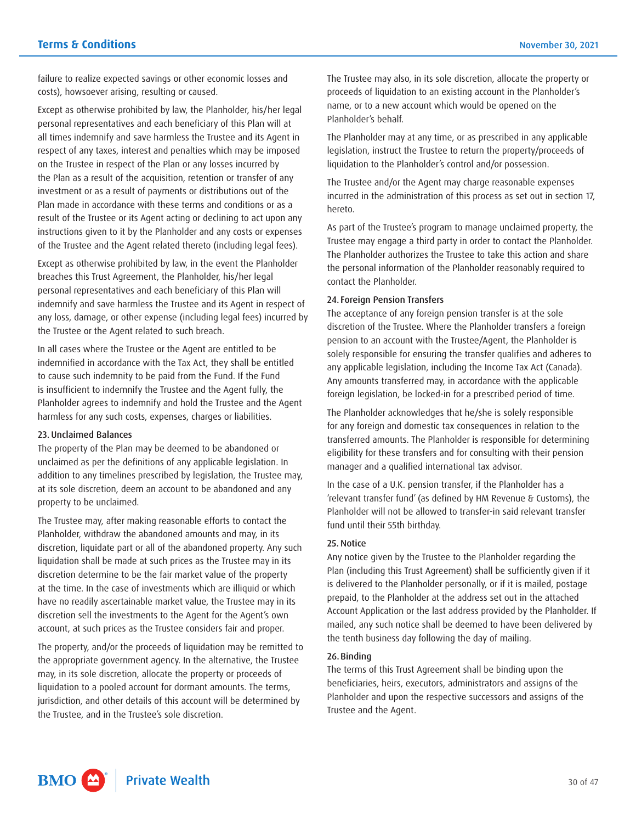failure to realize expected savings or other economic losses and costs), howsoever arising, resulting or caused.

Except as otherwise prohibited by law, the Planholder, his/her legal personal representatives and each beneficiary of this Plan will at all times indemnify and save harmless the Trustee and its Agent in respect of any taxes, interest and penalties which may be imposed on the Trustee in respect of the Plan or any losses incurred by the Plan as a result of the acquisition, retention or transfer of any investment or as a result of payments or distributions out of the Plan made in accordance with these terms and conditions or as a result of the Trustee or its Agent acting or declining to act upon any instructions given to it by the Planholder and any costs or expenses of the Trustee and the Agent related thereto (including legal fees).

Except as otherwise prohibited by law, in the event the Planholder breaches this Trust Agreement, the Planholder, his/her legal personal representatives and each beneficiary of this Plan will indemnify and save harmless the Trustee and its Agent in respect of any loss, damage, or other expense (including legal fees) incurred by the Trustee or the Agent related to such breach.

In all cases where the Trustee or the Agent are entitled to be indemnified in accordance with the Tax Act, they shall be entitled to cause such indemnity to be paid from the Fund. If the Fund is insufficient to indemnify the Trustee and the Agent fully, the Planholder agrees to indemnify and hold the Trustee and the Agent harmless for any such costs, expenses, charges or liabilities.

# 23. Unclaimed Balances

The property of the Plan may be deemed to be abandoned or unclaimed as per the definitions of any applicable legislation. In addition to any timelines prescribed by legislation, the Trustee may, at its sole discretion, deem an account to be abandoned and any property to be unclaimed.

The Trustee may, after making reasonable efforts to contact the Planholder, withdraw the abandoned amounts and may, in its discretion, liquidate part or all of the abandoned property. Any such liquidation shall be made at such prices as the Trustee may in its discretion determine to be the fair market value of the property at the time. In the case of investments which are illiquid or which have no readily ascertainable market value, the Trustee may in its discretion sell the investments to the Agent for the Agent's own account, at such prices as the Trustee considers fair and proper.

The property, and/or the proceeds of liquidation may be remitted to the appropriate government agency. In the alternative, the Trustee may, in its sole discretion, allocate the property or proceeds of liquidation to a pooled account for dormant amounts. The terms, jurisdiction, and other details of this account will be determined by the Trustee, and in the Trustee's sole discretion.

The Trustee may also, in its sole discretion, allocate the property or proceeds of liquidation to an existing account in the Planholder's name, or to a new account which would be opened on the Planholder's behalf.

The Planholder may at any time, or as prescribed in any applicable legislation, instruct the Trustee to return the property/proceeds of liquidation to the Planholder's control and/or possession.

The Trustee and/or the Agent may charge reasonable expenses incurred in the administration of this process as set out in section 17, hereto.

As part of the Trustee's program to manage unclaimed property, the Trustee may engage a third party in order to contact the Planholder. The Planholder authorizes the Trustee to take this action and share the personal information of the Planholder reasonably required to contact the Planholder.

# 24. Foreign Pension Transfers

The acceptance of any foreign pension transfer is at the sole discretion of the Trustee. Where the Planholder transfers a foreign pension to an account with the Trustee/Agent, the Planholder is solely responsible for ensuring the transfer qualifies and adheres to any applicable legislation, including the Income Tax Act (Canada). Any amounts transferred may, in accordance with the applicable foreign legislation, be locked-in for a prescribed period of time.

The Planholder acknowledges that he/she is solely responsible for any foreign and domestic tax consequences in relation to the transferred amounts. The Planholder is responsible for determining eligibility for these transfers and for consulting with their pension manager and a qualified international tax advisor.

In the case of a U.K. pension transfer, if the Planholder has a 'relevant transfer fund' (as defined by HM Revenue & Customs), the Planholder will not be allowed to transfer-in said relevant transfer fund until their 55th birthday.

# 25. Notice

Any notice given by the Trustee to the Planholder regarding the Plan (including this Trust Agreement) shall be sufficiently given if it is delivered to the Planholder personally, or if it is mailed, postage prepaid, to the Planholder at the address set out in the attached Account Application or the last address provided by the Planholder. If mailed, any such notice shall be deemed to have been delivered by the tenth business day following the day of mailing.

## 26. Binding

The terms of this Trust Agreement shall be binding upon the beneficiaries, heirs, executors, administrators and assigns of the Planholder and upon the respective successors and assigns of the Trustee and the Agent.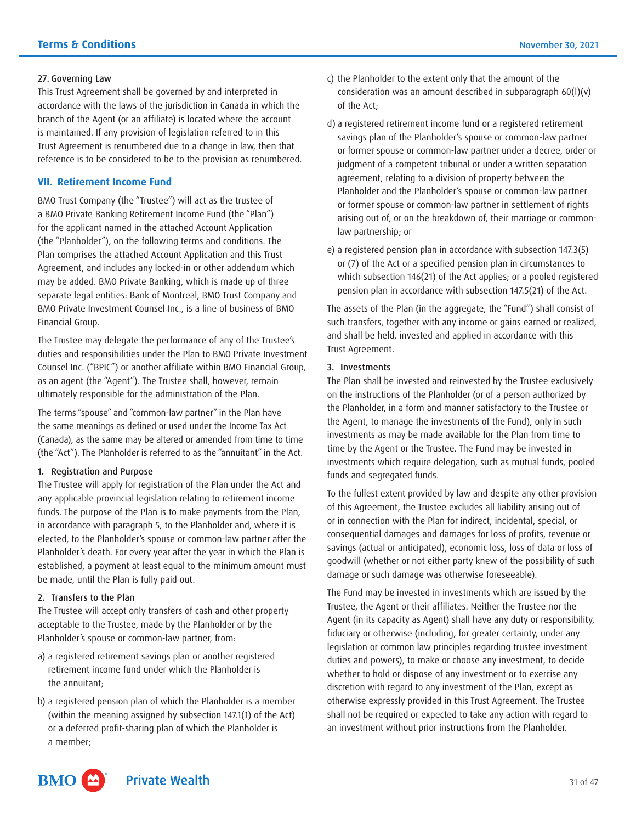#### <span id="page-30-0"></span>27. Governing Law

This Trust Agreement shall be governed by and interpreted in accordance with the laws of the jurisdiction in Canada in which the branch of the Agent (or an affiliate) is located where the account is maintained. If any provision of legislation referred to in this Trust Agreement is renumbered due to a change in law, then that reference is to be considered to be to the provision as renumbered.

# **VII. Retirement Income Fund**

BMO Trust Company (the "Trustee") will act as the trustee of a BMO Private Banking Retirement Income Fund (the "Plan") for the applicant named in the attached Account Application (the "Planholder"), on the following terms and conditions. The Plan comprises the attached Account Application and this Trust Agreement, and includes any locked-in or other addendum which may be added. BMO Private Banking, which is made up of three separate legal entities: Bank of Montreal, BMO Trust Company and BMO Private Investment Counsel Inc., is a line of business of BMO Financial Group.

The Trustee may delegate the performance of any of the Trustee's duties and responsibilities under the Plan to BMO Private Investment Counsel Inc. ("BPIC") or another affiliate within BMO Financial Group, as an agent (the "Agent"). The Trustee shall, however, remain ultimately responsible for the administration of the Plan.

The terms "spouse" and "common-law partner" in the Plan have the same meanings as defined or used under the Income Tax Act (Canada), as the same may be altered or amended from time to time (the "Act"). The Planholder is referred to as the "annuitant" in the Act.

#### 1. Registration and Purpose

The Trustee will apply for registration of the Plan under the Act and any applicable provincial legislation relating to retirement income funds. The purpose of the Plan is to make payments from the Plan, in accordance with paragraph 5, to the Planholder and, where it is elected, to the Planholder's spouse or common-law partner after the Planholder's death. For every year after the year in which the Plan is established, a payment at least equal to the minimum amount must be made, until the Plan is fully paid out.

#### 2. Transfers to the Plan

The Trustee will accept only transfers of cash and other property acceptable to the Trustee, made by the Planholder or by the Planholder's spouse or common-law partner, from:

- a) a registered retirement savings plan or another registered retirement income fund under which the Planholder is the annuitant;
- b) a registered pension plan of which the Planholder is a member (within the meaning assigned by subsection 147.1(1) of the Act) or a deferred profit-sharing plan of which the Planholder is a member;
- c) the Planholder to the extent only that the amount of the consideration was an amount described in subparagraph 60(l)(v) of the Act;
- d) a registered retirement income fund or a registered retirement savings plan of the Planholder's spouse or common-law partner or former spouse or common-law partner under a decree, order or judgment of a competent tribunal or under a written separation agreement, relating to a division of property between the Planholder and the Planholder's spouse or common-law partner or former spouse or common-law partner in settlement of rights arising out of, or on the breakdown of, their marriage or commonlaw partnership; or
- e) a registered pension plan in accordance with subsection 147.3(5) or (7) of the Act or a specified pension plan in circumstances to which subsection 146(21) of the Act applies; or a pooled registered pension plan in accordance with subsection 147.5(21) of the Act.

The assets of the Plan (in the aggregate, the "Fund") shall consist of such transfers, together with any income or gains earned or realized, and shall be held, invested and applied in accordance with this Trust Agreement.

#### 3. Investments

The Plan shall be invested and reinvested by the Trustee exclusively on the instructions of the Planholder (or of a person authorized by the Planholder, in a form and manner satisfactory to the Trustee or the Agent, to manage the investments of the Fund), only in such investments as may be made available for the Plan from time to time by the Agent or the Trustee. The Fund may be invested in investments which require delegation, such as mutual funds, pooled funds and segregated funds.

To the fullest extent provided by law and despite any other provision of this Agreement, the Trustee excludes all liability arising out of or in connection with the Plan for indirect, incidental, special, or consequential damages and damages for loss of profits, revenue or savings (actual or anticipated), economic loss, loss of data or loss of goodwill (whether or not either party knew of the possibility of such damage or such damage was otherwise foreseeable).

The Fund may be invested in investments which are issued by the Trustee, the Agent or their affiliates. Neither the Trustee nor the Agent (in its capacity as Agent) shall have any duty or responsibility, fiduciary or otherwise (including, for greater certainty, under any legislation or common law principles regarding trustee investment duties and powers), to make or choose any investment, to decide whether to hold or dispose of any investment or to exercise any discretion with regard to any investment of the Plan, except as otherwise expressly provided in this Trust Agreement. The Trustee shall not be required or expected to take any action with regard to an investment without prior instructions from the Planholder.

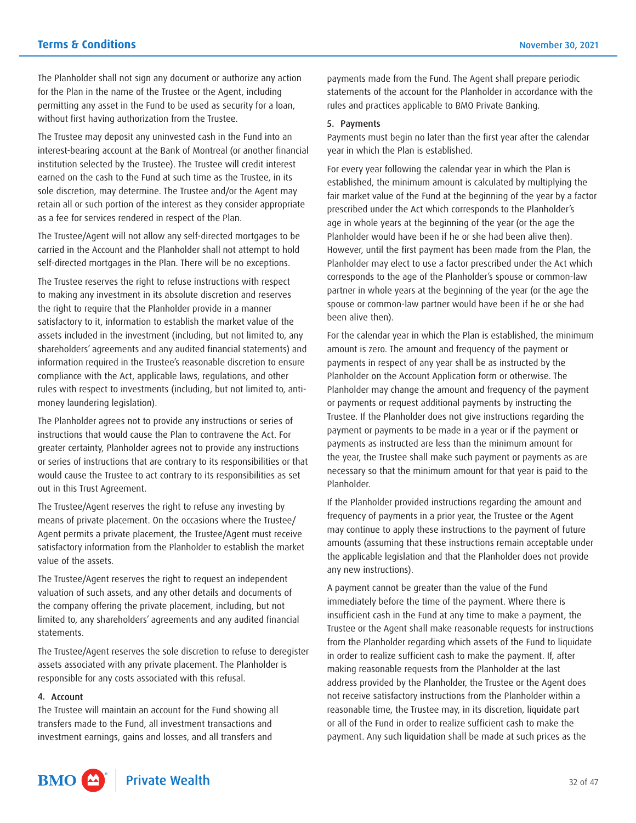The Planholder shall not sign any document or authorize any action for the Plan in the name of the Trustee or the Agent, including permitting any asset in the Fund to be used as security for a loan, without first having authorization from the Trustee.

The Trustee may deposit any uninvested cash in the Fund into an interest-bearing account at the Bank of Montreal (or another financial institution selected by the Trustee). The Trustee will credit interest earned on the cash to the Fund at such time as the Trustee, in its sole discretion, may determine. The Trustee and/or the Agent may retain all or such portion of the interest as they consider appropriate as a fee for services rendered in respect of the Plan.

The Trustee/Agent will not allow any self-directed mortgages to be carried in the Account and the Planholder shall not attempt to hold self-directed mortgages in the Plan. There will be no exceptions.

The Trustee reserves the right to refuse instructions with respect to making any investment in its absolute discretion and reserves the right to require that the Planholder provide in a manner satisfactory to it, information to establish the market value of the assets included in the investment (including, but not limited to, any shareholders' agreements and any audited financial statements) and information required in the Trustee's reasonable discretion to ensure compliance with the Act, applicable laws, regulations, and other rules with respect to investments (including, but not limited to, antimoney laundering legislation).

The Planholder agrees not to provide any instructions or series of instructions that would cause the Plan to contravene the Act. For greater certainty, Planholder agrees not to provide any instructions or series of instructions that are contrary to its responsibilities or that would cause the Trustee to act contrary to its responsibilities as set out in this Trust Agreement.

The Trustee/Agent reserves the right to refuse any investing by means of private placement. On the occasions where the Trustee/ Agent permits a private placement, the Trustee/Agent must receive satisfactory information from the Planholder to establish the market value of the assets.

The Trustee/Agent reserves the right to request an independent valuation of such assets, and any other details and documents of the company offering the private placement, including, but not limited to, any shareholders' agreements and any audited financial statements.

The Trustee/Agent reserves the sole discretion to refuse to deregister assets associated with any private placement. The Planholder is responsible for any costs associated with this refusal.

#### 4. Account

The Trustee will maintain an account for the Fund showing all transfers made to the Fund, all investment transactions and investment earnings, gains and losses, and all transfers and

payments made from the Fund. The Agent shall prepare periodic statements of the account for the Planholder in accordance with the rules and practices applicable to BMO Private Banking.

#### 5. Payments

Payments must begin no later than the first year after the calendar year in which the Plan is established.

For every year following the calendar year in which the Plan is established, the minimum amount is calculated by multiplying the fair market value of the Fund at the beginning of the year by a factor prescribed under the Act which corresponds to the Planholder's age in whole years at the beginning of the year (or the age the Planholder would have been if he or she had been alive then). However, until the first payment has been made from the Plan, the Planholder may elect to use a factor prescribed under the Act which corresponds to the age of the Planholder's spouse or common-law partner in whole years at the beginning of the year (or the age the spouse or common-law partner would have been if he or she had been alive then).

For the calendar year in which the Plan is established, the minimum amount is zero. The amount and frequency of the payment or payments in respect of any year shall be as instructed by the Planholder on the Account Application form or otherwise. The Planholder may change the amount and frequency of the payment or payments or request additional payments by instructing the Trustee. If the Planholder does not give instructions regarding the payment or payments to be made in a year or if the payment or payments as instructed are less than the minimum amount for the year, the Trustee shall make such payment or payments as are necessary so that the minimum amount for that year is paid to the Planholder.

If the Planholder provided instructions regarding the amount and frequency of payments in a prior year, the Trustee or the Agent may continue to apply these instructions to the payment of future amounts (assuming that these instructions remain acceptable under the applicable legislation and that the Planholder does not provide any new instructions).

A payment cannot be greater than the value of the Fund immediately before the time of the payment. Where there is insufficient cash in the Fund at any time to make a payment, the Trustee or the Agent shall make reasonable requests for instructions from the Planholder regarding which assets of the Fund to liquidate in order to realize sufficient cash to make the payment. If, after making reasonable requests from the Planholder at the last address provided by the Planholder, the Trustee or the Agent does not receive satisfactory instructions from the Planholder within a reasonable time, the Trustee may, in its discretion, liquidate part or all of the Fund in order to realize sufficient cash to make the payment. Any such liquidation shall be made at such prices as the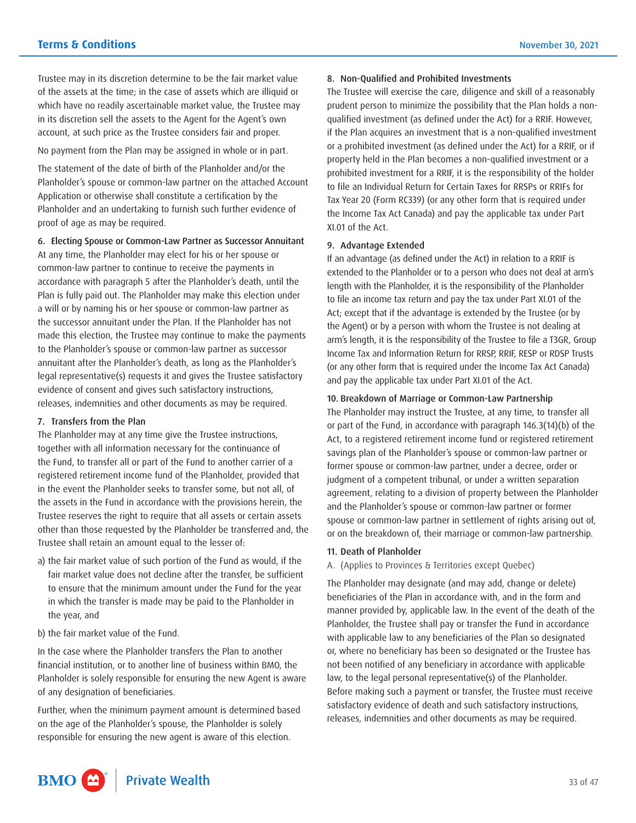Trustee may in its discretion determine to be the fair market value of the assets at the time; in the case of assets which are illiquid or which have no readily ascertainable market value, the Trustee may in its discretion sell the assets to the Agent for the Agent's own account, at such price as the Trustee considers fair and proper.

No payment from the Plan may be assigned in whole or in part.

The statement of the date of birth of the Planholder and/or the Planholder's spouse or common-law partner on the attached Account Application or otherwise shall constitute a certification by the Planholder and an undertaking to furnish such further evidence of proof of age as may be required.

6. Electing Spouse or Common-Law Partner as Successor Annuitant

At any time, the Planholder may elect for his or her spouse or common-law partner to continue to receive the payments in accordance with paragraph 5 after the Planholder's death, until the Plan is fully paid out. The Planholder may make this election under a will or by naming his or her spouse or common-law partner as the successor annuitant under the Plan. If the Planholder has not made this election, the Trustee may continue to make the payments to the Planholder's spouse or common-law partner as successor annuitant after the Planholder's death, as long as the Planholder's legal representative(s) requests it and gives the Trustee satisfactory evidence of consent and gives such satisfactory instructions, releases, indemnities and other documents as may be required.

#### 7. Transfers from the Plan

The Planholder may at any time give the Trustee instructions, together with all information necessary for the continuance of the Fund, to transfer all or part of the Fund to another carrier of a registered retirement income fund of the Planholder, provided that in the event the Planholder seeks to transfer some, but not all, of the assets in the Fund in accordance with the provisions herein, the Trustee reserves the right to require that all assets or certain assets other than those requested by the Planholder be transferred and, the Trustee shall retain an amount equal to the lesser of:

- a) the fair market value of such portion of the Fund as would, if the fair market value does not decline after the transfer, be sufficient to ensure that the minimum amount under the Fund for the year in which the transfer is made may be paid to the Planholder in the year, and
- b) the fair market value of the Fund.

In the case where the Planholder transfers the Plan to another financial institution, or to another line of business within BMO, the Planholder is solely responsible for ensuring the new Agent is aware of any designation of beneficiaries.

Further, when the minimum payment amount is determined based on the age of the Planholder's spouse, the Planholder is solely responsible for ensuring the new agent is aware of this election.

#### 8. Non-Qualified and Prohibited Investments

The Trustee will exercise the care, diligence and skill of a reasonably prudent person to minimize the possibility that the Plan holds a nonqualified investment (as defined under the Act) for a RRIF. However, if the Plan acquires an investment that is a non-qualified investment or a prohibited investment (as defined under the Act) for a RRIF, or if property held in the Plan becomes a non-qualified investment or a prohibited investment for a RRIF, it is the responsibility of the holder to file an Individual Return for Certain Taxes for RRSPs or RRIFs for Tax Year 20 (Form RC339) (or any other form that is required under the Income Tax Act Canada) and pay the applicable tax under Part XI.01 of the Act.

#### 9. Advantage Extended

If an advantage (as defined under the Act) in relation to a RRIF is extended to the Planholder or to a person who does not deal at arm's length with the Planholder, it is the responsibility of the Planholder to file an income tax return and pay the tax under Part XI.01 of the Act; except that if the advantage is extended by the Trustee (or by the Agent) or by a person with whom the Trustee is not dealing at arm's length, it is the responsibility of the Trustee to file a T3GR, Group Income Tax and Information Return for RRSP, RRIF, RESP or RDSP Trusts (or any other form that is required under the Income Tax Act Canada) and pay the applicable tax under Part XI.01 of the Act.

#### 10. Breakdown of Marriage or Common-Law Partnership

The Planholder may instruct the Trustee, at any time, to transfer all or part of the Fund, in accordance with paragraph 146.3(14)(b) of the Act, to a registered retirement income fund or registered retirement savings plan of the Planholder's spouse or common-law partner or former spouse or common-law partner, under a decree, order or judgment of a competent tribunal, or under a written separation agreement, relating to a division of property between the Planholder and the Planholder's spouse or common-law partner or former spouse or common-law partner in settlement of rights arising out of, or on the breakdown of, their marriage or common-law partnership.

#### 11. Death of Planholder

## A. (Applies to Provinces & Territories except Quebec)

The Planholder may designate (and may add, change or delete) beneficiaries of the Plan in accordance with, and in the form and manner provided by, applicable law. In the event of the death of the Planholder, the Trustee shall pay or transfer the Fund in accordance with applicable law to any beneficiaries of the Plan so designated or, where no beneficiary has been so designated or the Trustee has not been notified of any beneficiary in accordance with applicable law, to the legal personal representative(s) of the Planholder. Before making such a payment or transfer, the Trustee must receive satisfactory evidence of death and such satisfactory instructions, releases, indemnities and other documents as may be required.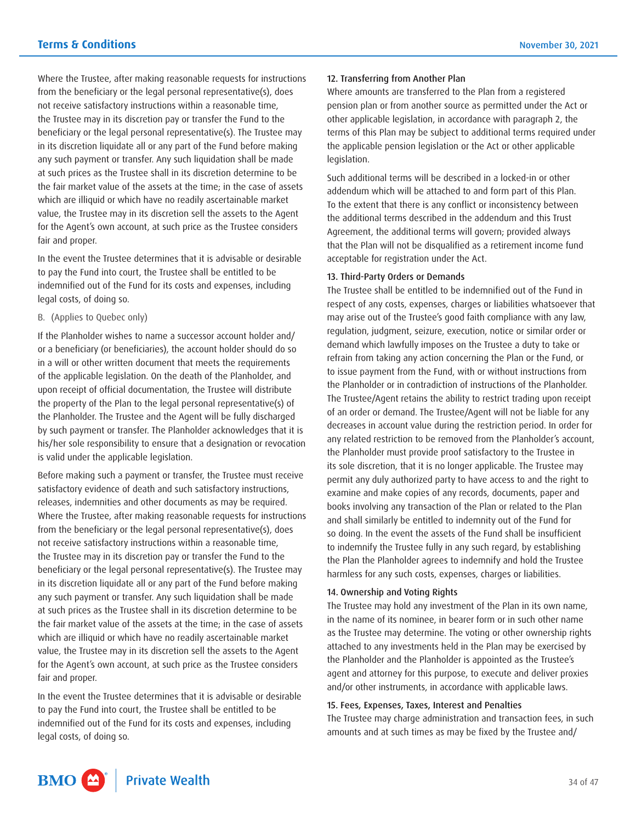Where the Trustee, after making reasonable requests for instructions from the beneficiary or the legal personal representative(s), does not receive satisfactory instructions within a reasonable time, the Trustee may in its discretion pay or transfer the Fund to the beneficiary or the legal personal representative(s). The Trustee may in its discretion liquidate all or any part of the Fund before making any such payment or transfer. Any such liquidation shall be made at such prices as the Trustee shall in its discretion determine to be the fair market value of the assets at the time; in the case of assets which are illiquid or which have no readily ascertainable market value, the Trustee may in its discretion sell the assets to the Agent for the Agent's own account, at such price as the Trustee considers fair and proper.

In the event the Trustee determines that it is advisable or desirable to pay the Fund into court, the Trustee shall be entitled to be indemnified out of the Fund for its costs and expenses, including legal costs, of doing so.

# B. (Applies to Quebec only)

If the Planholder wishes to name a successor account holder and/ or a beneficiary (or beneficiaries), the account holder should do so in a will or other written document that meets the requirements of the applicable legislation. On the death of the Planholder, and upon receipt of official documentation, the Trustee will distribute the property of the Plan to the legal personal representative(s) of the Planholder. The Trustee and the Agent will be fully discharged by such payment or transfer. The Planholder acknowledges that it is his/her sole responsibility to ensure that a designation or revocation is valid under the applicable legislation.

Before making such a payment or transfer, the Trustee must receive satisfactory evidence of death and such satisfactory instructions, releases, indemnities and other documents as may be required. Where the Trustee, after making reasonable requests for instructions from the beneficiary or the legal personal representative(s), does not receive satisfactory instructions within a reasonable time, the Trustee may in its discretion pay or transfer the Fund to the beneficiary or the legal personal representative(s). The Trustee may in its discretion liquidate all or any part of the Fund before making any such payment or transfer. Any such liquidation shall be made at such prices as the Trustee shall in its discretion determine to be the fair market value of the assets at the time; in the case of assets which are illiquid or which have no readily ascertainable market value, the Trustee may in its discretion sell the assets to the Agent for the Agent's own account, at such price as the Trustee considers fair and proper.

In the event the Trustee determines that it is advisable or desirable to pay the Fund into court, the Trustee shall be entitled to be indemnified out of the Fund for its costs and expenses, including legal costs, of doing so.

#### 12. Transferring from Another Plan

Where amounts are transferred to the Plan from a registered pension plan or from another source as permitted under the Act or other applicable legislation, in accordance with paragraph 2, the terms of this Plan may be subject to additional terms required under the applicable pension legislation or the Act or other applicable legislation.

Such additional terms will be described in a locked-in or other addendum which will be attached to and form part of this Plan. To the extent that there is any conflict or inconsistency between the additional terms described in the addendum and this Trust Agreement, the additional terms will govern; provided always that the Plan will not be disqualified as a retirement income fund acceptable for registration under the Act.

#### 13. Third-Party Orders or Demands

The Trustee shall be entitled to be indemnified out of the Fund in respect of any costs, expenses, charges or liabilities whatsoever that may arise out of the Trustee's good faith compliance with any law, regulation, judgment, seizure, execution, notice or similar order or demand which lawfully imposes on the Trustee a duty to take or refrain from taking any action concerning the Plan or the Fund, or to issue payment from the Fund, with or without instructions from the Planholder or in contradiction of instructions of the Planholder. The Trustee/Agent retains the ability to restrict trading upon receipt of an order or demand. The Trustee/Agent will not be liable for any decreases in account value during the restriction period. In order for any related restriction to be removed from the Planholder's account, the Planholder must provide proof satisfactory to the Trustee in its sole discretion, that it is no longer applicable. The Trustee may permit any duly authorized party to have access to and the right to examine and make copies of any records, documents, paper and books involving any transaction of the Plan or related to the Plan and shall similarly be entitled to indemnity out of the Fund for so doing. In the event the assets of the Fund shall be insufficient to indemnify the Trustee fully in any such regard, by establishing the Plan the Planholder agrees to indemnify and hold the Trustee harmless for any such costs, expenses, charges or liabilities.

#### 14. Ownership and Voting Rights

The Trustee may hold any investment of the Plan in its own name, in the name of its nominee, in bearer form or in such other name as the Trustee may determine. The voting or other ownership rights attached to any investments held in the Plan may be exercised by the Planholder and the Planholder is appointed as the Trustee's agent and attorney for this purpose, to execute and deliver proxies and/or other instruments, in accordance with applicable laws.

#### 15. Fees, Expenses, Taxes, Interest and Penalties

The Trustee may charge administration and transaction fees, in such amounts and at such times as may be fixed by the Trustee and/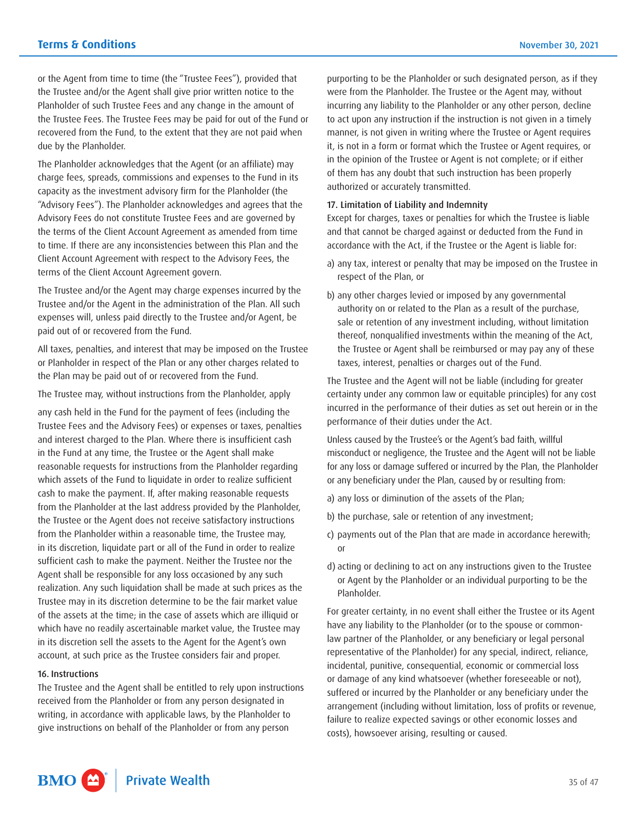or the Agent from time to time (the "Trustee Fees"), provided that the Trustee and/or the Agent shall give prior written notice to the Planholder of such Trustee Fees and any change in the amount of the Trustee Fees. The Trustee Fees may be paid for out of the Fund or recovered from the Fund, to the extent that they are not paid when due by the Planholder.

The Planholder acknowledges that the Agent (or an affiliate) may charge fees, spreads, commissions and expenses to the Fund in its capacity as the investment advisory firm for the Planholder (the "Advisory Fees"). The Planholder acknowledges and agrees that the Advisory Fees do not constitute Trustee Fees and are governed by the terms of the Client Account Agreement as amended from time to time. If there are any inconsistencies between this Plan and the Client Account Agreement with respect to the Advisory Fees, the terms of the Client Account Agreement govern.

The Trustee and/or the Agent may charge expenses incurred by the Trustee and/or the Agent in the administration of the Plan. All such expenses will, unless paid directly to the Trustee and/or Agent, be paid out of or recovered from the Fund.

All taxes, penalties, and interest that may be imposed on the Trustee or Planholder in respect of the Plan or any other charges related to the Plan may be paid out of or recovered from the Fund.

The Trustee may, without instructions from the Planholder, apply

any cash held in the Fund for the payment of fees (including the Trustee Fees and the Advisory Fees) or expenses or taxes, penalties and interest charged to the Plan. Where there is insufficient cash in the Fund at any time, the Trustee or the Agent shall make reasonable requests for instructions from the Planholder regarding which assets of the Fund to liquidate in order to realize sufficient cash to make the payment. If, after making reasonable requests from the Planholder at the last address provided by the Planholder, the Trustee or the Agent does not receive satisfactory instructions from the Planholder within a reasonable time, the Trustee may, in its discretion, liquidate part or all of the Fund in order to realize sufficient cash to make the payment. Neither the Trustee nor the Agent shall be responsible for any loss occasioned by any such realization. Any such liquidation shall be made at such prices as the Trustee may in its discretion determine to be the fair market value of the assets at the time; in the case of assets which are illiquid or which have no readily ascertainable market value, the Trustee may in its discretion sell the assets to the Agent for the Agent's own account, at such price as the Trustee considers fair and proper.

#### 16. Instructions

The Trustee and the Agent shall be entitled to rely upon instructions received from the Planholder or from any person designated in writing, in accordance with applicable laws, by the Planholder to give instructions on behalf of the Planholder or from any person

purporting to be the Planholder or such designated person, as if they were from the Planholder. The Trustee or the Agent may, without incurring any liability to the Planholder or any other person, decline to act upon any instruction if the instruction is not given in a timely manner, is not given in writing where the Trustee or Agent requires it, is not in a form or format which the Trustee or Agent requires, or in the opinion of the Trustee or Agent is not complete; or if either of them has any doubt that such instruction has been properly authorized or accurately transmitted.

#### 17. Limitation of Liability and Indemnity

Except for charges, taxes or penalties for which the Trustee is liable and that cannot be charged against or deducted from the Fund in accordance with the Act, if the Trustee or the Agent is liable for:

- a) any tax, interest or penalty that may be imposed on the Trustee in respect of the Plan, or
- b) any other charges levied or imposed by any governmental authority on or related to the Plan as a result of the purchase, sale or retention of any investment including, without limitation thereof, nonqualified investments within the meaning of the Act, the Trustee or Agent shall be reimbursed or may pay any of these taxes, interest, penalties or charges out of the Fund.

The Trustee and the Agent will not be liable (including for greater certainty under any common law or equitable principles) for any cost incurred in the performance of their duties as set out herein or in the performance of their duties under the Act.

Unless caused by the Trustee's or the Agent's bad faith, willful misconduct or negligence, the Trustee and the Agent will not be liable for any loss or damage suffered or incurred by the Plan, the Planholder or any beneficiary under the Plan, caused by or resulting from:

- a) any loss or diminution of the assets of the Plan;
- b) the purchase, sale or retention of any investment;
- c) payments out of the Plan that are made in accordance herewith; or
- d) acting or declining to act on any instructions given to the Trustee or Agent by the Planholder or an individual purporting to be the Planholder.

For greater certainty, in no event shall either the Trustee or its Agent have any liability to the Planholder (or to the spouse or commonlaw partner of the Planholder, or any beneficiary or legal personal representative of the Planholder) for any special, indirect, reliance, incidental, punitive, consequential, economic or commercial loss or damage of any kind whatsoever (whether foreseeable or not), suffered or incurred by the Planholder or any beneficiary under the arrangement (including without limitation, loss of profits or revenue, failure to realize expected savings or other economic losses and costs), howsoever arising, resulting or caused.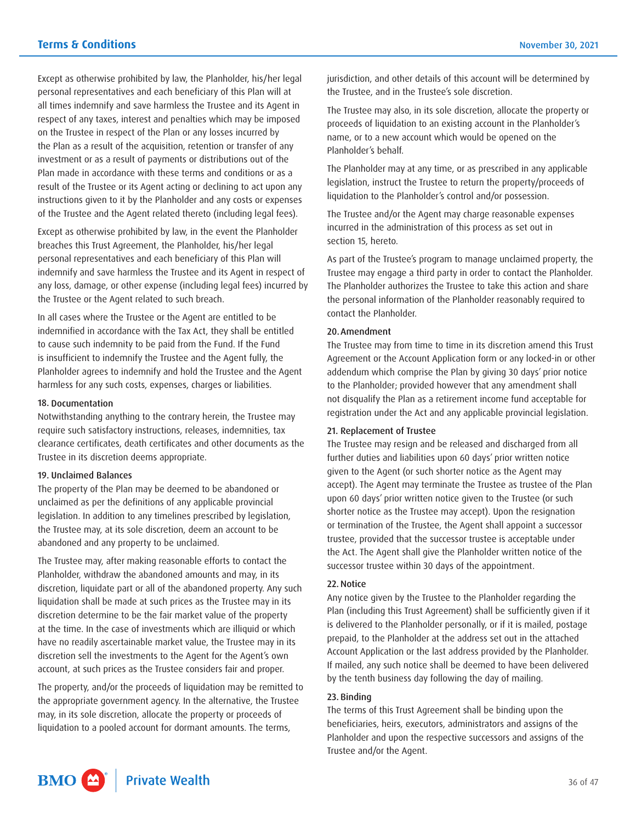Except as otherwise prohibited by law, the Planholder, his/her legal personal representatives and each beneficiary of this Plan will at all times indemnify and save harmless the Trustee and its Agent in respect of any taxes, interest and penalties which may be imposed on the Trustee in respect of the Plan or any losses incurred by the Plan as a result of the acquisition, retention or transfer of any investment or as a result of payments or distributions out of the Plan made in accordance with these terms and conditions or as a result of the Trustee or its Agent acting or declining to act upon any instructions given to it by the Planholder and any costs or expenses of the Trustee and the Agent related thereto (including legal fees).

Except as otherwise prohibited by law, in the event the Planholder breaches this Trust Agreement, the Planholder, his/her legal personal representatives and each beneficiary of this Plan will indemnify and save harmless the Trustee and its Agent in respect of any loss, damage, or other expense (including legal fees) incurred by the Trustee or the Agent related to such breach.

In all cases where the Trustee or the Agent are entitled to be indemnified in accordance with the Tax Act, they shall be entitled to cause such indemnity to be paid from the Fund. If the Fund is insufficient to indemnify the Trustee and the Agent fully, the Planholder agrees to indemnify and hold the Trustee and the Agent harmless for any such costs, expenses, charges or liabilities.

#### 18. Documentation

Notwithstanding anything to the contrary herein, the Trustee may require such satisfactory instructions, releases, indemnities, tax clearance certificates, death certificates and other documents as the Trustee in its discretion deems appropriate.

# 19. Unclaimed Balances

The property of the Plan may be deemed to be abandoned or unclaimed as per the definitions of any applicable provincial legislation. In addition to any timelines prescribed by legislation, the Trustee may, at its sole discretion, deem an account to be abandoned and any property to be unclaimed.

The Trustee may, after making reasonable efforts to contact the Planholder, withdraw the abandoned amounts and may, in its discretion, liquidate part or all of the abandoned property. Any such liquidation shall be made at such prices as the Trustee may in its discretion determine to be the fair market value of the property at the time. In the case of investments which are illiquid or which have no readily ascertainable market value, the Trustee may in its discretion sell the investments to the Agent for the Agent's own account, at such prices as the Trustee considers fair and proper.

The property, and/or the proceeds of liquidation may be remitted to the appropriate government agency. In the alternative, the Trustee may, in its sole discretion, allocate the property or proceeds of liquidation to a pooled account for dormant amounts. The terms,

jurisdiction, and other details of this account will be determined by the Trustee, and in the Trustee's sole discretion.

The Trustee may also, in its sole discretion, allocate the property or proceeds of liquidation to an existing account in the Planholder's name, or to a new account which would be opened on the Planholder's behalf.

The Planholder may at any time, or as prescribed in any applicable legislation, instruct the Trustee to return the property/proceeds of liquidation to the Planholder's control and/or possession.

The Trustee and/or the Agent may charge reasonable expenses incurred in the administration of this process as set out in section 15, hereto.

As part of the Trustee's program to manage unclaimed property, the Trustee may engage a third party in order to contact the Planholder. The Planholder authorizes the Trustee to take this action and share the personal information of the Planholder reasonably required to contact the Planholder.

#### 20. Amendment

The Trustee may from time to time in its discretion amend this Trust Agreement or the Account Application form or any locked-in or other addendum which comprise the Plan by giving 30 days' prior notice to the Planholder; provided however that any amendment shall not disqualify the Plan as a retirement income fund acceptable for registration under the Act and any applicable provincial legislation.

#### 21. Replacement of Trustee

The Trustee may resign and be released and discharged from all further duties and liabilities upon 60 days' prior written notice given to the Agent (or such shorter notice as the Agent may accept). The Agent may terminate the Trustee as trustee of the Plan upon 60 days' prior written notice given to the Trustee (or such shorter notice as the Trustee may accept). Upon the resignation or termination of the Trustee, the Agent shall appoint a successor trustee, provided that the successor trustee is acceptable under the Act. The Agent shall give the Planholder written notice of the successor trustee within 30 days of the appointment.

#### 22. Notice

Any notice given by the Trustee to the Planholder regarding the Plan (including this Trust Agreement) shall be sufficiently given if it is delivered to the Planholder personally, or if it is mailed, postage prepaid, to the Planholder at the address set out in the attached Account Application or the last address provided by the Planholder. If mailed, any such notice shall be deemed to have been delivered by the tenth business day following the day of mailing.

#### 23. Binding

The terms of this Trust Agreement shall be binding upon the beneficiaries, heirs, executors, administrators and assigns of the Planholder and upon the respective successors and assigns of the Trustee and/or the Agent.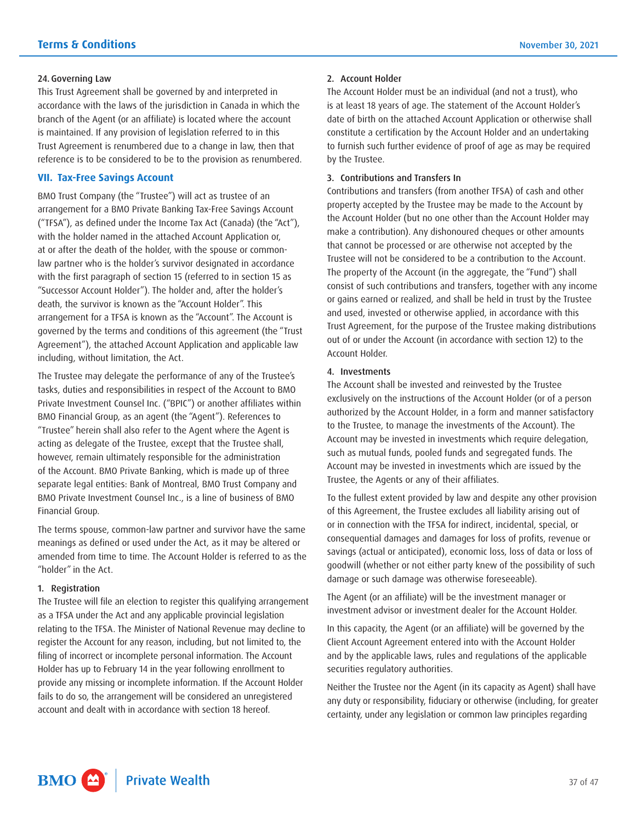#### <span id="page-36-0"></span>24. Governing Law

This Trust Agreement shall be governed by and interpreted in accordance with the laws of the jurisdiction in Canada in which the branch of the Agent (or an affiliate) is located where the account is maintained. If any provision of legislation referred to in this Trust Agreement is renumbered due to a change in law, then that reference is to be considered to be to the provision as renumbered.

# **VII. Tax-Free Savings Account**

BMO Trust Company (the "Trustee") will act as trustee of an arrangement for a BMO Private Banking Tax-Free Savings Account ("TFSA"), as defined under the Income Tax Act (Canada) (the "Act"), with the holder named in the attached Account Application or, at or after the death of the holder, with the spouse or commonlaw partner who is the holder's survivor designated in accordance with the first paragraph of section 15 (referred to in section 15 as "Successor Account Holder"). The holder and, after the holder's death, the survivor is known as the "Account Holder". This arrangement for a TFSA is known as the "Account". The Account is governed by the terms and conditions of this agreement (the "Trust Agreement"), the attached Account Application and applicable law including, without limitation, the Act.

The Trustee may delegate the performance of any of the Trustee's tasks, duties and responsibilities in respect of the Account to BMO Private Investment Counsel Inc. ("BPIC") or another affiliates within BMO Financial Group, as an agent (the "Agent"). References to "Trustee" herein shall also refer to the Agent where the Agent is acting as delegate of the Trustee, except that the Trustee shall, however, remain ultimately responsible for the administration of the Account. BMO Private Banking, which is made up of three separate legal entities: Bank of Montreal, BMO Trust Company and BMO Private Investment Counsel Inc., is a line of business of BMO Financial Group.

The terms spouse, common-law partner and survivor have the same meanings as defined or used under the Act, as it may be altered or amended from time to time. The Account Holder is referred to as the "holder" in the Act.

# 1. Registration

The Trustee will file an election to register this qualifying arrangement as a TFSA under the Act and any applicable provincial legislation relating to the TFSA. The Minister of National Revenue may decline to register the Account for any reason, including, but not limited to, the filing of incorrect or incomplete personal information. The Account Holder has up to February 14 in the year following enrollment to provide any missing or incomplete information. If the Account Holder fails to do so, the arrangement will be considered an unregistered account and dealt with in accordance with section 18 hereof.

# 2. Account Holder

The Account Holder must be an individual (and not a trust), who is at least 18 years of age. The statement of the Account Holder's date of birth on the attached Account Application or otherwise shall constitute a certification by the Account Holder and an undertaking to furnish such further evidence of proof of age as may be required by the Trustee.

# 3. Contributions and Transfers In

Contributions and transfers (from another TFSA) of cash and other property accepted by the Trustee may be made to the Account by the Account Holder (but no one other than the Account Holder may make a contribution). Any dishonoured cheques or other amounts that cannot be processed or are otherwise not accepted by the Trustee will not be considered to be a contribution to the Account. The property of the Account (in the aggregate, the "Fund") shall consist of such contributions and transfers, together with any income or gains earned or realized, and shall be held in trust by the Trustee and used, invested or otherwise applied, in accordance with this Trust Agreement, for the purpose of the Trustee making distributions out of or under the Account (in accordance with section 12) to the Account Holder.

# 4. Investments

The Account shall be invested and reinvested by the Trustee exclusively on the instructions of the Account Holder (or of a person authorized by the Account Holder, in a form and manner satisfactory to the Trustee, to manage the investments of the Account). The Account may be invested in investments which require delegation, such as mutual funds, pooled funds and segregated funds. The Account may be invested in investments which are issued by the Trustee, the Agents or any of their affiliates.

To the fullest extent provided by law and despite any other provision of this Agreement, the Trustee excludes all liability arising out of or in connection with the TFSA for indirect, incidental, special, or consequential damages and damages for loss of profits, revenue or savings (actual or anticipated), economic loss, loss of data or loss of goodwill (whether or not either party knew of the possibility of such damage or such damage was otherwise foreseeable).

The Agent (or an affiliate) will be the investment manager or investment advisor or investment dealer for the Account Holder.

In this capacity, the Agent (or an affiliate) will be governed by the Client Account Agreement entered into with the Account Holder and by the applicable laws, rules and regulations of the applicable securities regulatory authorities.

Neither the Trustee nor the Agent (in its capacity as Agent) shall have any duty or responsibility, fiduciary or otherwise (including, for greater certainty, under any legislation or common law principles regarding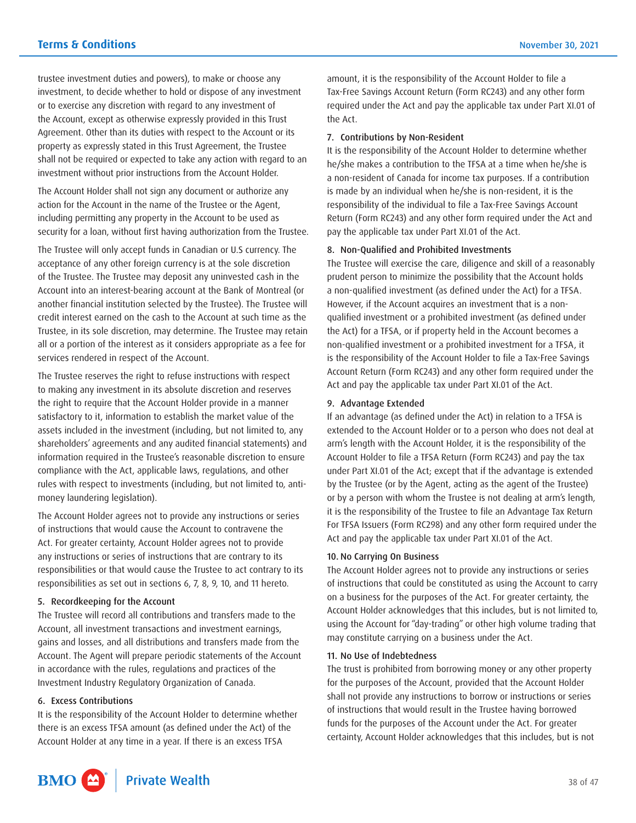trustee investment duties and powers), to make or choose any investment, to decide whether to hold or dispose of any investment or to exercise any discretion with regard to any investment of the Account, except as otherwise expressly provided in this Trust Agreement. Other than its duties with respect to the Account or its property as expressly stated in this Trust Agreement, the Trustee shall not be required or expected to take any action with regard to an investment without prior instructions from the Account Holder.

The Account Holder shall not sign any document or authorize any action for the Account in the name of the Trustee or the Agent, including permitting any property in the Account to be used as security for a loan, without first having authorization from the Trustee.

The Trustee will only accept funds in Canadian or U.S currency. The acceptance of any other foreign currency is at the sole discretion of the Trustee. The Trustee may deposit any uninvested cash in the Account into an interest-bearing account at the Bank of Montreal (or another financial institution selected by the Trustee). The Trustee will credit interest earned on the cash to the Account at such time as the Trustee, in its sole discretion, may determine. The Trustee may retain all or a portion of the interest as it considers appropriate as a fee for services rendered in respect of the Account.

The Trustee reserves the right to refuse instructions with respect to making any investment in its absolute discretion and reserves the right to require that the Account Holder provide in a manner satisfactory to it, information to establish the market value of the assets included in the investment (including, but not limited to, any shareholders' agreements and any audited financial statements) and information required in the Trustee's reasonable discretion to ensure compliance with the Act, applicable laws, regulations, and other rules with respect to investments (including, but not limited to, antimoney laundering legislation).

The Account Holder agrees not to provide any instructions or series of instructions that would cause the Account to contravene the Act. For greater certainty, Account Holder agrees not to provide any instructions or series of instructions that are contrary to its responsibilities or that would cause the Trustee to act contrary to its responsibilities as set out in sections 6, 7, 8, 9, 10, and 11 hereto.

# 5. Recordkeeping for the Account

The Trustee will record all contributions and transfers made to the Account, all investment transactions and investment earnings, gains and losses, and all distributions and transfers made from the Account. The Agent will prepare periodic statements of the Account in accordance with the rules, regulations and practices of the Investment Industry Regulatory Organization of Canada.

#### 6. Excess Contributions

It is the responsibility of the Account Holder to determine whether there is an excess TFSA amount (as defined under the Act) of the Account Holder at any time in a year. If there is an excess TFSA

amount, it is the responsibility of the Account Holder to file a Tax-Free Savings Account Return (Form RC243) and any other form required under the Act and pay the applicable tax under Part XI.01 of the Act.

#### 7. Contributions by Non-Resident

It is the responsibility of the Account Holder to determine whether he/she makes a contribution to the TFSA at a time when he/she is a non-resident of Canada for income tax purposes. If a contribution is made by an individual when he/she is non-resident, it is the responsibility of the individual to file a Tax-Free Savings Account Return (Form RC243) and any other form required under the Act and pay the applicable tax under Part XI.01 of the Act.

#### 8. Non-Qualified and Prohibited Investments

The Trustee will exercise the care, diligence and skill of a reasonably prudent person to minimize the possibility that the Account holds a non-qualified investment (as defined under the Act) for a TFSA. However, if the Account acquires an investment that is a nonqualified investment or a prohibited investment (as defined under the Act) for a TFSA, or if property held in the Account becomes a non-qualified investment or a prohibited investment for a TFSA, it is the responsibility of the Account Holder to file a Tax-Free Savings Account Return (Form RC243) and any other form required under the Act and pay the applicable tax under Part XI.01 of the Act.

#### 9. Advantage Extended

If an advantage (as defined under the Act) in relation to a TFSA is extended to the Account Holder or to a person who does not deal at arm's length with the Account Holder, it is the responsibility of the Account Holder to file a TFSA Return (Form RC243) and pay the tax under Part XI.01 of the Act; except that if the advantage is extended by the Trustee (or by the Agent, acting as the agent of the Trustee) or by a person with whom the Trustee is not dealing at arm's length, it is the responsibility of the Trustee to file an Advantage Tax Return For TFSA Issuers (Form RC298) and any other form required under the Act and pay the applicable tax under Part XI.01 of the Act.

#### 10. No Carrying On Business

The Account Holder agrees not to provide any instructions or series of instructions that could be constituted as using the Account to carry on a business for the purposes of the Act. For greater certainty, the Account Holder acknowledges that this includes, but is not limited to, using the Account for "day-trading" or other high volume trading that may constitute carrying on a business under the Act.

#### 11. No Use of Indebtedness

The trust is prohibited from borrowing money or any other property for the purposes of the Account, provided that the Account Holder shall not provide any instructions to borrow or instructions or series of instructions that would result in the Trustee having borrowed funds for the purposes of the Account under the Act. For greater certainty, Account Holder acknowledges that this includes, but is not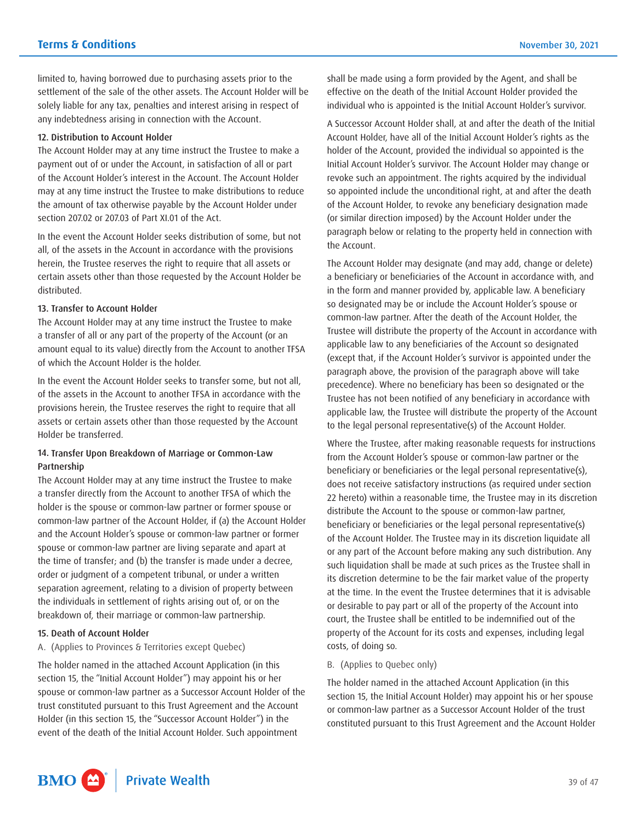limited to, having borrowed due to purchasing assets prior to the settlement of the sale of the other assets. The Account Holder will be solely liable for any tax, penalties and interest arising in respect of any indebtedness arising in connection with the Account.

#### 12. Distribution to Account Holder

The Account Holder may at any time instruct the Trustee to make a payment out of or under the Account, in satisfaction of all or part of the Account Holder's interest in the Account. The Account Holder may at any time instruct the Trustee to make distributions to reduce the amount of tax otherwise payable by the Account Holder under section 207.02 or 207.03 of Part XI.01 of the Act.

In the event the Account Holder seeks distribution of some, but not all, of the assets in the Account in accordance with the provisions herein, the Trustee reserves the right to require that all assets or certain assets other than those requested by the Account Holder be distributed.

# 13. Transfer to Account Holder

The Account Holder may at any time instruct the Trustee to make a transfer of all or any part of the property of the Account (or an amount equal to its value) directly from the Account to another TFSA of which the Account Holder is the holder.

In the event the Account Holder seeks to transfer some, but not all, of the assets in the Account to another TFSA in accordance with the provisions herein, the Trustee reserves the right to require that all assets or certain assets other than those requested by the Account Holder be transferred.

# 14. Transfer Upon Breakdown of Marriage or Common-Law Partnership

The Account Holder may at any time instruct the Trustee to make a transfer directly from the Account to another TFSA of which the holder is the spouse or common-law partner or former spouse or common-law partner of the Account Holder, if (a) the Account Holder and the Account Holder's spouse or common-law partner or former spouse or common-law partner are living separate and apart at the time of transfer; and (b) the transfer is made under a decree, order or judgment of a competent tribunal, or under a written separation agreement, relating to a division of property between the individuals in settlement of rights arising out of, or on the breakdown of, their marriage or common-law partnership.

# 15. Death of Account Holder

# A. (Applies to Provinces & Territories except Quebec)

The holder named in the attached Account Application (in this section 15, the "Initial Account Holder") may appoint his or her spouse or common-law partner as a Successor Account Holder of the trust constituted pursuant to this Trust Agreement and the Account Holder (in this section 15, the "Successor Account Holder") in the event of the death of the Initial Account Holder. Such appointment

shall be made using a form provided by the Agent, and shall be effective on the death of the Initial Account Holder provided the individual who is appointed is the Initial Account Holder's survivor.

A Successor Account Holder shall, at and after the death of the Initial Account Holder, have all of the Initial Account Holder's rights as the holder of the Account, provided the individual so appointed is the Initial Account Holder's survivor. The Account Holder may change or revoke such an appointment. The rights acquired by the individual so appointed include the unconditional right, at and after the death of the Account Holder, to revoke any beneficiary designation made (or similar direction imposed) by the Account Holder under the paragraph below or relating to the property held in connection with the Account.

The Account Holder may designate (and may add, change or delete) a beneficiary or beneficiaries of the Account in accordance with, and in the form and manner provided by, applicable law. A beneficiary so designated may be or include the Account Holder's spouse or common-law partner. After the death of the Account Holder, the Trustee will distribute the property of the Account in accordance with applicable law to any beneficiaries of the Account so designated (except that, if the Account Holder's survivor is appointed under the paragraph above, the provision of the paragraph above will take precedence). Where no beneficiary has been so designated or the Trustee has not been notified of any beneficiary in accordance with applicable law, the Trustee will distribute the property of the Account to the legal personal representative(s) of the Account Holder.

Where the Trustee, after making reasonable requests for instructions from the Account Holder's spouse or common-law partner or the beneficiary or beneficiaries or the legal personal representative(s), does not receive satisfactory instructions (as required under section 22 hereto) within a reasonable time, the Trustee may in its discretion distribute the Account to the spouse or common-law partner, beneficiary or beneficiaries or the legal personal representative(s) of the Account Holder. The Trustee may in its discretion liquidate all or any part of the Account before making any such distribution. Any such liquidation shall be made at such prices as the Trustee shall in its discretion determine to be the fair market value of the property at the time. In the event the Trustee determines that it is advisable or desirable to pay part or all of the property of the Account into court, the Trustee shall be entitled to be indemnified out of the property of the Account for its costs and expenses, including legal costs, of doing so.

# B. (Applies to Quebec only)

The holder named in the attached Account Application (in this section 15, the Initial Account Holder) may appoint his or her spouse or common-law partner as a Successor Account Holder of the trust constituted pursuant to this Trust Agreement and the Account Holder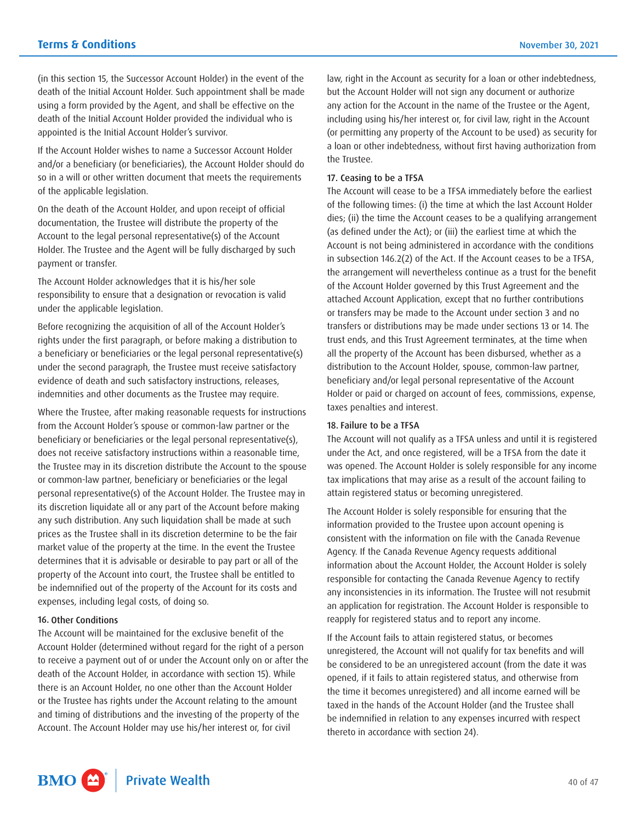(in this section 15, the Successor Account Holder) in the event of the death of the Initial Account Holder. Such appointment shall be made using a form provided by the Agent, and shall be effective on the death of the Initial Account Holder provided the individual who is appointed is the Initial Account Holder's survivor.

If the Account Holder wishes to name a Successor Account Holder and/or a beneficiary (or beneficiaries), the Account Holder should do so in a will or other written document that meets the requirements of the applicable legislation.

On the death of the Account Holder, and upon receipt of official documentation, the Trustee will distribute the property of the Account to the legal personal representative(s) of the Account Holder. The Trustee and the Agent will be fully discharged by such payment or transfer.

The Account Holder acknowledges that it is his/her sole responsibility to ensure that a designation or revocation is valid under the applicable legislation.

Before recognizing the acquisition of all of the Account Holder's rights under the first paragraph, or before making a distribution to a beneficiary or beneficiaries or the legal personal representative(s) under the second paragraph, the Trustee must receive satisfactory evidence of death and such satisfactory instructions, releases, indemnities and other documents as the Trustee may require.

Where the Trustee, after making reasonable requests for instructions from the Account Holder's spouse or common-law partner or the beneficiary or beneficiaries or the legal personal representative(s), does not receive satisfactory instructions within a reasonable time, the Trustee may in its discretion distribute the Account to the spouse or common-law partner, beneficiary or beneficiaries or the legal personal representative(s) of the Account Holder. The Trustee may in its discretion liquidate all or any part of the Account before making any such distribution. Any such liquidation shall be made at such prices as the Trustee shall in its discretion determine to be the fair market value of the property at the time. In the event the Trustee determines that it is advisable or desirable to pay part or all of the property of the Account into court, the Trustee shall be entitled to be indemnified out of the property of the Account for its costs and expenses, including legal costs, of doing so.

#### 16. Other Conditions

The Account will be maintained for the exclusive benefit of the Account Holder (determined without regard for the right of a person to receive a payment out of or under the Account only on or after the death of the Account Holder, in accordance with section 15). While there is an Account Holder, no one other than the Account Holder or the Trustee has rights under the Account relating to the amount and timing of distributions and the investing of the property of the Account. The Account Holder may use his/her interest or, for civil

law, right in the Account as security for a loan or other indebtedness, but the Account Holder will not sign any document or authorize any action for the Account in the name of the Trustee or the Agent, including using his/her interest or, for civil law, right in the Account (or permitting any property of the Account to be used) as security for a loan or other indebtedness, without first having authorization from the Trustee.

#### 17. Ceasing to be a TFSA

The Account will cease to be a TFSA immediately before the earliest of the following times: (i) the time at which the last Account Holder dies; (ii) the time the Account ceases to be a qualifying arrangement (as defined under the Act); or (iii) the earliest time at which the Account is not being administered in accordance with the conditions in subsection 146.2(2) of the Act. If the Account ceases to be a TFSA, the arrangement will nevertheless continue as a trust for the benefit of the Account Holder governed by this Trust Agreement and the attached Account Application, except that no further contributions or transfers may be made to the Account under section 3 and no transfers or distributions may be made under sections 13 or 14. The trust ends, and this Trust Agreement terminates, at the time when all the property of the Account has been disbursed, whether as a distribution to the Account Holder, spouse, common-law partner, beneficiary and/or legal personal representative of the Account Holder or paid or charged on account of fees, commissions, expense, taxes penalties and interest.

#### 18. Failure to be a TFSA

The Account will not qualify as a TFSA unless and until it is registered under the Act, and once registered, will be a TFSA from the date it was opened. The Account Holder is solely responsible for any income tax implications that may arise as a result of the account failing to attain registered status or becoming unregistered.

The Account Holder is solely responsible for ensuring that the information provided to the Trustee upon account opening is consistent with the information on file with the Canada Revenue Agency. If the Canada Revenue Agency requests additional information about the Account Holder, the Account Holder is solely responsible for contacting the Canada Revenue Agency to rectify any inconsistencies in its information. The Trustee will not resubmit an application for registration. The Account Holder is responsible to reapply for registered status and to report any income.

If the Account fails to attain registered status, or becomes unregistered, the Account will not qualify for tax benefits and will be considered to be an unregistered account (from the date it was opened, if it fails to attain registered status, and otherwise from the time it becomes unregistered) and all income earned will be taxed in the hands of the Account Holder (and the Trustee shall be indemnified in relation to any expenses incurred with respect thereto in accordance with section 24).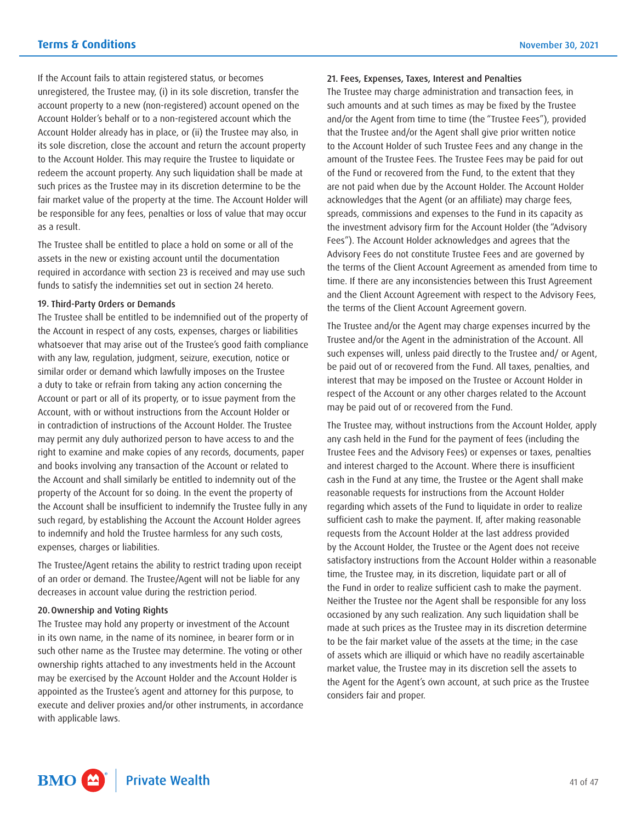If the Account fails to attain registered status, or becomes unregistered, the Trustee may, (i) in its sole discretion, transfer the account property to a new (non-registered) account opened on the Account Holder's behalf or to a non-registered account which the Account Holder already has in place, or (ii) the Trustee may also, in its sole discretion, close the account and return the account property to the Account Holder. This may require the Trustee to liquidate or redeem the account property. Any such liquidation shall be made at such prices as the Trustee may in its discretion determine to be the fair market value of the property at the time. The Account Holder will be responsible for any fees, penalties or loss of value that may occur as a result.

The Trustee shall be entitled to place a hold on some or all of the assets in the new or existing account until the documentation required in accordance with section 23 is received and may use such funds to satisfy the indemnities set out in section 24 hereto.

#### 19. Third-Party Orders or Demands

The Trustee shall be entitled to be indemnified out of the property of the Account in respect of any costs, expenses, charges or liabilities whatsoever that may arise out of the Trustee's good faith compliance with any law, regulation, judgment, seizure, execution, notice or similar order or demand which lawfully imposes on the Trustee a duty to take or refrain from taking any action concerning the Account or part or all of its property, or to issue payment from the Account, with or without instructions from the Account Holder or in contradiction of instructions of the Account Holder. The Trustee may permit any duly authorized person to have access to and the right to examine and make copies of any records, documents, paper and books involving any transaction of the Account or related to the Account and shall similarly be entitled to indemnity out of the property of the Account for so doing. In the event the property of the Account shall be insufficient to indemnify the Trustee fully in any such regard, by establishing the Account the Account Holder agrees to indemnify and hold the Trustee harmless for any such costs, expenses, charges or liabilities.

The Trustee/Agent retains the ability to restrict trading upon receipt of an order or demand. The Trustee/Agent will not be liable for any decreases in account value during the restriction period.

#### 20. Ownership and Voting Rights

The Trustee may hold any property or investment of the Account in its own name, in the name of its nominee, in bearer form or in such other name as the Trustee may determine. The voting or other ownership rights attached to any investments held in the Account may be exercised by the Account Holder and the Account Holder is appointed as the Trustee's agent and attorney for this purpose, to execute and deliver proxies and/or other instruments, in accordance with applicable laws.

#### 21. Fees, Expenses, Taxes, Interest and Penalties

The Trustee may charge administration and transaction fees, in such amounts and at such times as may be fixed by the Trustee and/or the Agent from time to time (the "Trustee Fees"), provided that the Trustee and/or the Agent shall give prior written notice to the Account Holder of such Trustee Fees and any change in the amount of the Trustee Fees. The Trustee Fees may be paid for out of the Fund or recovered from the Fund, to the extent that they are not paid when due by the Account Holder. The Account Holder acknowledges that the Agent (or an affiliate) may charge fees, spreads, commissions and expenses to the Fund in its capacity as the investment advisory firm for the Account Holder (the "Advisory Fees"). The Account Holder acknowledges and agrees that the Advisory Fees do not constitute Trustee Fees and are governed by the terms of the Client Account Agreement as amended from time to time. If there are any inconsistencies between this Trust Agreement and the Client Account Agreement with respect to the Advisory Fees, the terms of the Client Account Agreement govern.

The Trustee and/or the Agent may charge expenses incurred by the Trustee and/or the Agent in the administration of the Account. All such expenses will, unless paid directly to the Trustee and/ or Agent, be paid out of or recovered from the Fund. All taxes, penalties, and interest that may be imposed on the Trustee or Account Holder in respect of the Account or any other charges related to the Account may be paid out of or recovered from the Fund.

The Trustee may, without instructions from the Account Holder, apply any cash held in the Fund for the payment of fees (including the Trustee Fees and the Advisory Fees) or expenses or taxes, penalties and interest charged to the Account. Where there is insufficient cash in the Fund at any time, the Trustee or the Agent shall make reasonable requests for instructions from the Account Holder regarding which assets of the Fund to liquidate in order to realize sufficient cash to make the payment. If, after making reasonable requests from the Account Holder at the last address provided by the Account Holder, the Trustee or the Agent does not receive satisfactory instructions from the Account Holder within a reasonable time, the Trustee may, in its discretion, liquidate part or all of the Fund in order to realize sufficient cash to make the payment. Neither the Trustee nor the Agent shall be responsible for any loss occasioned by any such realization. Any such liquidation shall be made at such prices as the Trustee may in its discretion determine to be the fair market value of the assets at the time; in the case of assets which are illiquid or which have no readily ascertainable market value, the Trustee may in its discretion sell the assets to the Agent for the Agent's own account, at such price as the Trustee considers fair and proper.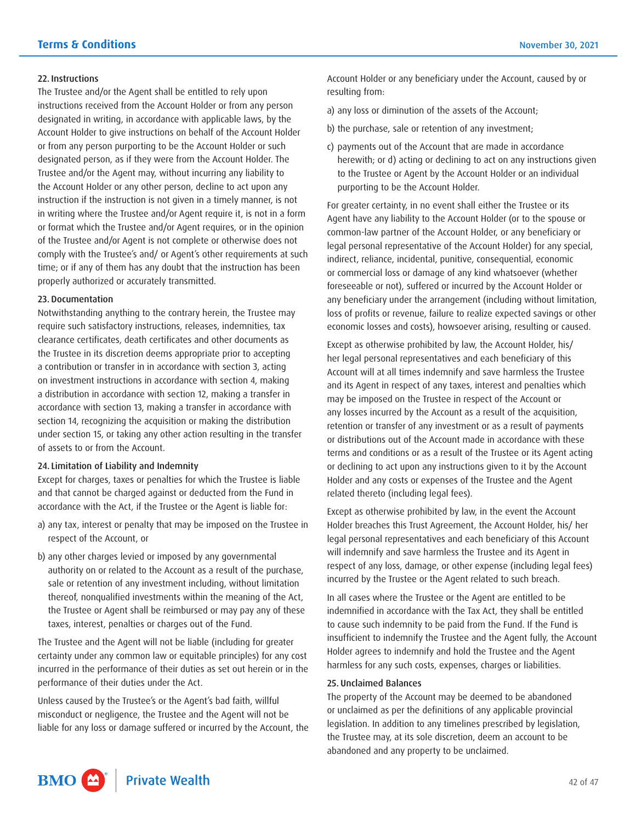#### 22. Instructions

The Trustee and/or the Agent shall be entitled to rely upon instructions received from the Account Holder or from any person designated in writing, in accordance with applicable laws, by the Account Holder to give instructions on behalf of the Account Holder or from any person purporting to be the Account Holder or such designated person, as if they were from the Account Holder. The Trustee and/or the Agent may, without incurring any liability to the Account Holder or any other person, decline to act upon any instruction if the instruction is not given in a timely manner, is not in writing where the Trustee and/or Agent require it, is not in a form or format which the Trustee and/or Agent requires, or in the opinion of the Trustee and/or Agent is not complete or otherwise does not comply with the Trustee's and/ or Agent's other requirements at such time; or if any of them has any doubt that the instruction has been properly authorized or accurately transmitted.

#### 23. Documentation

Notwithstanding anything to the contrary herein, the Trustee may require such satisfactory instructions, releases, indemnities, tax clearance certificates, death certificates and other documents as the Trustee in its discretion deems appropriate prior to accepting a contribution or transfer in in accordance with section 3, acting on investment instructions in accordance with section 4, making a distribution in accordance with section 12, making a transfer in accordance with section 13, making a transfer in accordance with section 14, recognizing the acquisition or making the distribution under section 15, or taking any other action resulting in the transfer of assets to or from the Account.

#### 24. Limitation of Liability and Indemnity

Except for charges, taxes or penalties for which the Trustee is liable and that cannot be charged against or deducted from the Fund in accordance with the Act, if the Trustee or the Agent is liable for:

- a) any tax, interest or penalty that may be imposed on the Trustee in respect of the Account, or
- b) any other charges levied or imposed by any governmental authority on or related to the Account as a result of the purchase, sale or retention of any investment including, without limitation thereof, nonqualified investments within the meaning of the Act, the Trustee or Agent shall be reimbursed or may pay any of these taxes, interest, penalties or charges out of the Fund.

The Trustee and the Agent will not be liable (including for greater certainty under any common law or equitable principles) for any cost incurred in the performance of their duties as set out herein or in the performance of their duties under the Act.

Unless caused by the Trustee's or the Agent's bad faith, willful misconduct or negligence, the Trustee and the Agent will not be liable for any loss or damage suffered or incurred by the Account, the Account Holder or any beneficiary under the Account, caused by or resulting from:

- a) any loss or diminution of the assets of the Account;
- b) the purchase, sale or retention of any investment;
- c) payments out of the Account that are made in accordance herewith; or d) acting or declining to act on any instructions given to the Trustee or Agent by the Account Holder or an individual purporting to be the Account Holder.

For greater certainty, in no event shall either the Trustee or its Agent have any liability to the Account Holder (or to the spouse or common-law partner of the Account Holder, or any beneficiary or legal personal representative of the Account Holder) for any special, indirect, reliance, incidental, punitive, consequential, economic or commercial loss or damage of any kind whatsoever (whether foreseeable or not), suffered or incurred by the Account Holder or any beneficiary under the arrangement (including without limitation, loss of profits or revenue, failure to realize expected savings or other economic losses and costs), howsoever arising, resulting or caused.

Except as otherwise prohibited by law, the Account Holder, his/ her legal personal representatives and each beneficiary of this Account will at all times indemnify and save harmless the Trustee and its Agent in respect of any taxes, interest and penalties which may be imposed on the Trustee in respect of the Account or any losses incurred by the Account as a result of the acquisition, retention or transfer of any investment or as a result of payments or distributions out of the Account made in accordance with these terms and conditions or as a result of the Trustee or its Agent acting or declining to act upon any instructions given to it by the Account Holder and any costs or expenses of the Trustee and the Agent related thereto (including legal fees).

Except as otherwise prohibited by law, in the event the Account Holder breaches this Trust Agreement, the Account Holder, his/ her legal personal representatives and each beneficiary of this Account will indemnify and save harmless the Trustee and its Agent in respect of any loss, damage, or other expense (including legal fees) incurred by the Trustee or the Agent related to such breach.

In all cases where the Trustee or the Agent are entitled to be indemnified in accordance with the Tax Act, they shall be entitled to cause such indemnity to be paid from the Fund. If the Fund is insufficient to indemnify the Trustee and the Agent fully, the Account Holder agrees to indemnify and hold the Trustee and the Agent harmless for any such costs, expenses, charges or liabilities.

# 25. Unclaimed Balances

The property of the Account may be deemed to be abandoned or unclaimed as per the definitions of any applicable provincial legislation. In addition to any timelines prescribed by legislation, the Trustee may, at its sole discretion, deem an account to be abandoned and any property to be unclaimed.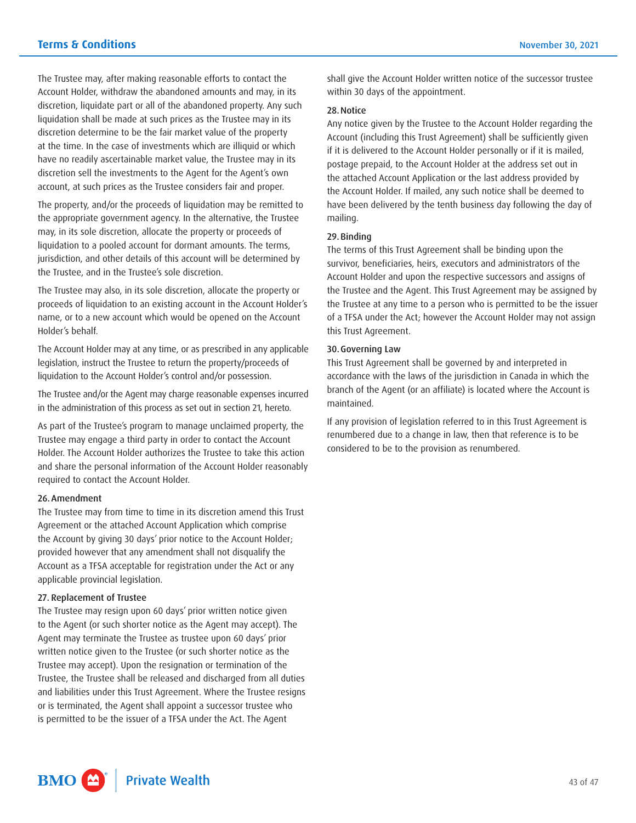The Trustee may, after making reasonable efforts to contact the Account Holder, withdraw the abandoned amounts and may, in its discretion, liquidate part or all of the abandoned property. Any such liquidation shall be made at such prices as the Trustee may in its discretion determine to be the fair market value of the property at the time. In the case of investments which are illiquid or which have no readily ascertainable market value, the Trustee may in its discretion sell the investments to the Agent for the Agent's own account, at such prices as the Trustee considers fair and proper.

The property, and/or the proceeds of liquidation may be remitted to the appropriate government agency. In the alternative, the Trustee may, in its sole discretion, allocate the property or proceeds of liquidation to a pooled account for dormant amounts. The terms, jurisdiction, and other details of this account will be determined by the Trustee, and in the Trustee's sole discretion.

The Trustee may also, in its sole discretion, allocate the property or proceeds of liquidation to an existing account in the Account Holder's name, or to a new account which would be opened on the Account Holder's behalf.

The Account Holder may at any time, or as prescribed in any applicable legislation, instruct the Trustee to return the property/proceeds of liquidation to the Account Holder's control and/or possession.

The Trustee and/or the Agent may charge reasonable expenses incurred in the administration of this process as set out in section 21, hereto.

As part of the Trustee's program to manage unclaimed property, the Trustee may engage a third party in order to contact the Account Holder. The Account Holder authorizes the Trustee to take this action and share the personal information of the Account Holder reasonably required to contact the Account Holder.

#### 26. Amendment

The Trustee may from time to time in its discretion amend this Trust Agreement or the attached Account Application which comprise the Account by giving 30 days' prior notice to the Account Holder; provided however that any amendment shall not disqualify the Account as a TFSA acceptable for registration under the Act or any applicable provincial legislation.

#### 27. Replacement of Trustee

The Trustee may resign upon 60 days' prior written notice given to the Agent (or such shorter notice as the Agent may accept). The Agent may terminate the Trustee as trustee upon 60 days' prior written notice given to the Trustee (or such shorter notice as the Trustee may accept). Upon the resignation or termination of the Trustee, the Trustee shall be released and discharged from all duties and liabilities under this Trust Agreement. Where the Trustee resigns or is terminated, the Agent shall appoint a successor trustee who is permitted to be the issuer of a TFSA under the Act. The Agent

shall give the Account Holder written notice of the successor trustee within 30 days of the appointment.

#### 28. Notice

Any notice given by the Trustee to the Account Holder regarding the Account (including this Trust Agreement) shall be sufficiently given if it is delivered to the Account Holder personally or if it is mailed, postage prepaid, to the Account Holder at the address set out in the attached Account Application or the last address provided by the Account Holder. If mailed, any such notice shall be deemed to have been delivered by the tenth business day following the day of mailing.

#### 29. Binding

The terms of this Trust Agreement shall be binding upon the survivor, beneficiaries, heirs, executors and administrators of the Account Holder and upon the respective successors and assigns of the Trustee and the Agent. This Trust Agreement may be assigned by the Trustee at any time to a person who is permitted to be the issuer of a TFSA under the Act; however the Account Holder may not assign this Trust Agreement.

# 30. Governing Law

This Trust Agreement shall be governed by and interpreted in accordance with the laws of the jurisdiction in Canada in which the branch of the Agent (or an affiliate) is located where the Account is maintained.

If any provision of legislation referred to in this Trust Agreement is renumbered due to a change in law, then that reference is to be considered to be to the provision as renumbered.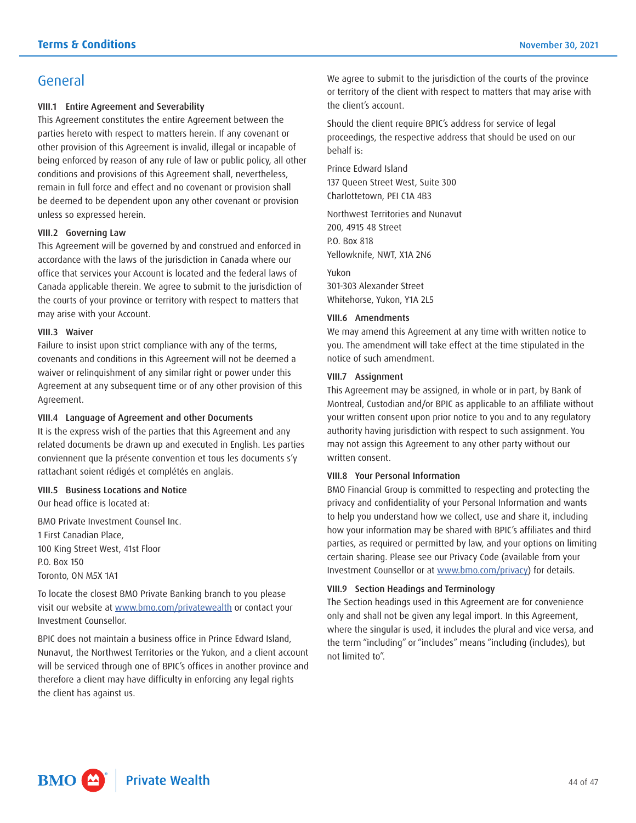# <span id="page-43-0"></span>General

# VIII.1 Entire Agreement and Severability

This Agreement constitutes the entire Agreement between the parties hereto with respect to matters herein. If any covenant or other provision of this Agreement is invalid, illegal or incapable of being enforced by reason of any rule of law or public policy, all other conditions and provisions of this Agreement shall, nevertheless, remain in full force and effect and no covenant or provision shall be deemed to be dependent upon any other covenant or provision unless so expressed herein.

#### VIII.2 Governing Law

This Agreement will be governed by and construed and enforced in accordance with the laws of the jurisdiction in Canada where our office that services your Account is located and the federal laws of Canada applicable therein. We agree to submit to the jurisdiction of the courts of your province or territory with respect to matters that may arise with your Account.

#### VIII.3 Waiver

Failure to insist upon strict compliance with any of the terms, covenants and conditions in this Agreement will not be deemed a waiver or relinquishment of any similar right or power under this Agreement at any subsequent time or of any other provision of this Agreement.

# VIII.4 Language of Agreement and other Documents

It is the express wish of the parties that this Agreement and any related documents be drawn up and executed in English. Les parties conviennent que la présente convention et tous les documents s'y rattachant soient rédigés et complétés en anglais.

#### VIII.5 Business Locations and Notice

Our head office is located at:

BMO Private Investment Counsel Inc. 1 First Canadian Place, 100 King Street West, 41st Floor P.O. Box 150 Toronto, ON M5X 1A1

To locate the closest BMO Private Banking branch to you please visit our website at [www.bmo.com/privatewealth or](http://www.bmo.com/privatewealth) contact your Investment Counsellor.

BPIC does not maintain a business office in Prince Edward Island, Nunavut, the Northwest Territories or the Yukon, and a client account will be serviced through one of BPIC's offices in another province and therefore a client may have difficulty in enforcing any legal rights the client has against us.

We agree to submit to the jurisdiction of the courts of the province or territory of the client with respect to matters that may arise with the client's account.

Should the client require BPIC's address for service of legal proceedings, the respective address that should be used on our behalf is:

Prince Edward Island 137 Queen Street West, Suite 300 Charlottetown, PEI C1A 4B3

Northwest Territories and Nunavut 200, 4915 48 Street P.O. Box 818 Yellowknife, NWT, X1A 2N6

Yukon 301-303 Alexander Street Whitehorse, Yukon, Y1A 2L5

# VIII.6 Amendments

We may amend this Agreement at any time with written notice to you. The amendment will take effect at the time stipulated in the notice of such amendment.

# VIII.7 Assignment

This Agreement may be assigned, in whole or in part, by Bank of Montreal, Custodian and/or BPIC as applicable to an affiliate without your written consent upon prior notice to you and to any regulatory authority having jurisdiction with respect to such assignment. You may not assign this Agreement to any other party without our written consent.

#### VIII.8 Your Personal Information

BMO Financial Group is committed to respecting and protecting the privacy and confidentiality of your Personal Information and wants to help you understand how we collect, use and share it, including how your information may be shared with BPIC's affiliates and third parties, as required or permitted by law, and your options on limiting certain sharing. Please see our Privacy Code (available from your Investment Counsellor or at [www.bmo.com/privacy\) fo](http://www.bmo.com/privacy)r details.

# VIII.9 Section Headings and Terminology

The Section headings used in this Agreement are for convenience only and shall not be given any legal import. In this Agreement, where the singular is used, it includes the plural and vice versa, and the term "including" or "includes" means "including (includes), but not limited to".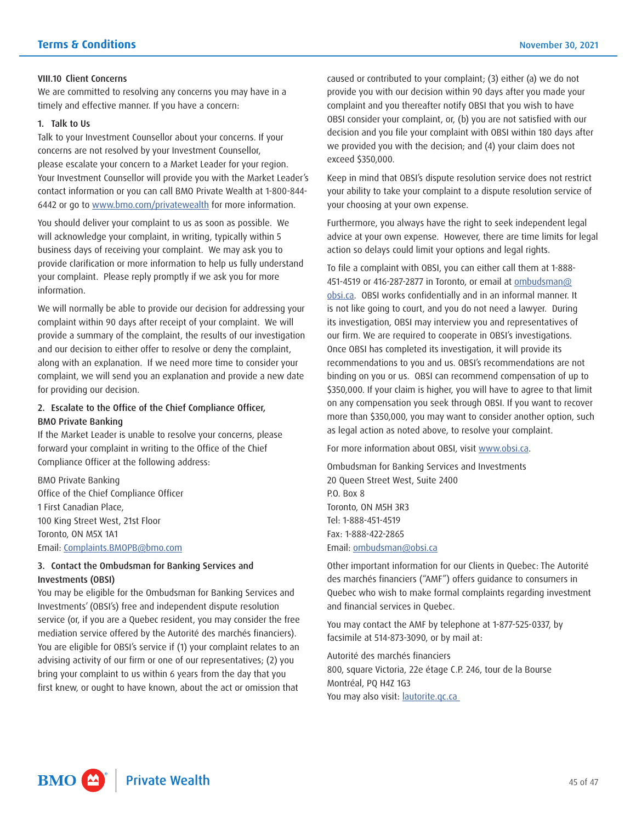#### VIII.10 Client Concerns

We are committed to resolving any concerns you may have in a timely and effective manner. If you have a concern:

#### 1. Talk to Us

Talk to your Investment Counsellor about your concerns. If your concerns are not resolved by your Investment Counsellor, please escalate your concern to a Market Leader for your region. Your Investment Counsellor will provide you with the Market Leader's contact information or you can call BMO Private Wealth at 1-800-844- 6442 or go to [www.bmo.com/privatewealth fo](http://www.bmo.com/privatewealth)r more information.

You should deliver your complaint to us as soon as possible. We will acknowledge your complaint, in writing, typically within 5 business days of receiving your complaint. We may ask you to provide clarification or more information to help us fully understand your complaint. Please reply promptly if we ask you for more information.

We will normally be able to provide our decision for addressing your complaint within 90 days after receipt of your complaint. We will provide a summary of the complaint, the results of our investigation and our decision to either offer to resolve or deny the complaint, along with an explanation. If we need more time to consider your complaint, we will send you an explanation and provide a new date for providing our decision.

# 2. Escalate to the Office of the Chief Compliance Officer, BMO Private Banking

If the Market Leader is unable to resolve your concerns, please forward your complaint in writing to the Office of the Chief Compliance Officer at the following address:

BMO Private Banking Office of the Chief Compliance Officer 1 First Canadian Place, 100 King Street West, 21st Floor Toronto, ON M5X 1A1 Email: [Complaints.BMOPB@bmo.com](mailto:Complaints.BMOPB@bmo.com)

# 3. Contact the Ombudsman for Banking Services and Investments (OBSI)

You may be eligible for the Ombudsman for Banking Services and Investments' (OBSI's) free and independent dispute resolution service (or, if you are a Quebec resident, you may consider the free mediation service offered by the Autorité des marchés financiers). You are eligible for OBSI's service if (1) your complaint relates to an advising activity of our firm or one of our representatives; (2) you bring your complaint to us within 6 years from the day that you first knew, or ought to have known, about the act or omission that

caused or contributed to your complaint; (3) either (a) we do not provide you with our decision within 90 days after you made your complaint and you thereafter notify OBSI that you wish to have OBSI consider your complaint, or, (b) you are not satisfied with our decision and you file your complaint with OBSI within 180 days after we provided you with the decision; and (4) your claim does not exceed \$350,000.

Keep in mind that OBSI's dispute resolution service does not restrict your ability to take your complaint to a dispute resolution service of your choosing at your own expense.

Furthermore, you always have the right to seek independent legal advice at your own expense. However, there are time limits for legal action so delays could limit your options and legal rights.

To file a complaint with OBSI, you can either call them at 1-888- 451-4519 or 416-287-2877 in Toronto, or email at [ombudsman@](mailto:ombudsman@obsi.ca) [obsi.ca.](mailto:ombudsman@obsi.ca) OBSI works confidentially and in an informal manner. It is not like going to court, and you do not need a lawyer. During its investigation, OBSI may interview you and representatives of our firm. We are required to cooperate in OBSI's investigations. Once OBSI has completed its investigation, it will provide its recommendations to you and us. OBSI's recommendations are not binding on you or us. OBSI can recommend compensation of up to \$350,000. If your claim is higher, you will have to agree to that limit on any compensation you seek through OBSI. If you want to recover more than \$350,000, you may want to consider another option, such as legal action as noted above, to resolve your complaint.

For more information about OBSI, visit [www.obsi.ca.](http://www.obsi.ca)

Ombudsman for Banking Services and Investments 20 Queen Street West, Suite 2400 P.O. Box 8 Toronto, ON M5H 3R3 Tel: 1-888-451-4519 Fax: 1-888-422-2865 Email: [ombudsman@obsi.ca](mailto:ombudsman@obsi.ca)

Other important information for our Clients in Quebec: The Autorité des marchés financiers ("AMF") offers guidance to consumers in Quebec who wish to make formal complaints regarding investment and financial services in Quebec.

You may contact the AMF by telephone at 1-877-525-0337, by facsimile at 514-873-3090, or by mail at:

Autorité des marchés financiers 800, square Victoria, 22e étage C.P. 246, tour de la Bourse Montréal, PQ H4Z 1G3 You may also visit: [lautorite.qc.ca](http://lautorite.qc.ca)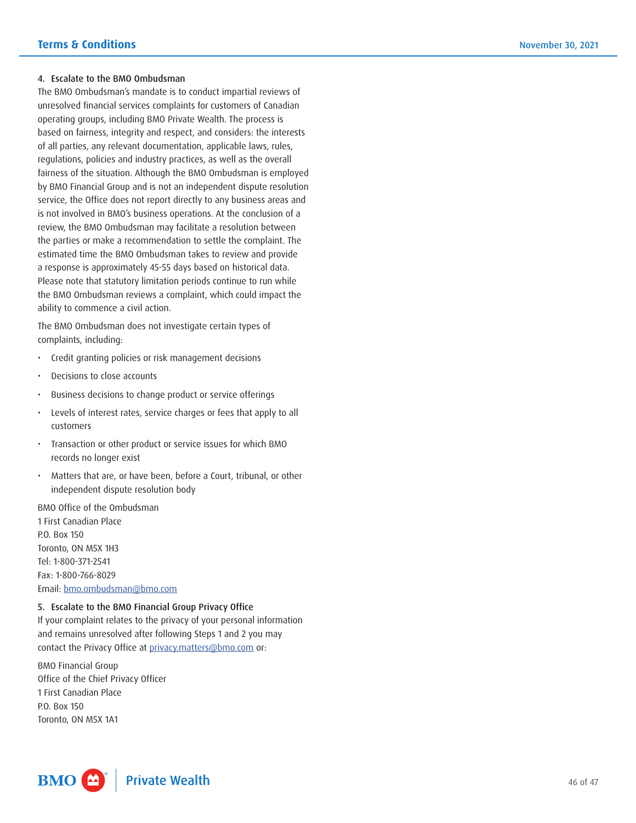# 4. Escalate to the BMO Ombudsman

The BMO Ombudsman's mandate is to conduct impartial reviews of unresolved financial services complaints for customers of Canadian operating groups, including BMO Private Wealth. The process is based on fairness, integrity and respect, and considers: the interests of all parties, any relevant documentation, applicable laws, rules, regulations, policies and industry practices, as well as the overall fairness of the situation. Although the BMO Ombudsman is employed by BMO Financial Group and is not an independent dispute resolution service, the Office does not report directly to any business areas and is not involved in BMO's business operations. At the conclusion of a review, the BMO Ombudsman may facilitate a resolution between the parties or make a recommendation to settle the complaint. The estimated time the BMO Ombudsman takes to review and provide a response is approximately 45-55 days based on historical data. Please note that statutory limitation periods continue to run while the BMO Ombudsman reviews a complaint, which could impact the ability to commence a civil action.

The BMO Ombudsman does not investigate certain types of complaints, including:

- Credit granting policies or risk management decisions
- Decisions to close accounts
- Business decisions to change product or service offerings
- Levels of interest rates, service charges or fees that apply to all customers
- Transaction or other product or service issues for which BMO records no longer exist
- Matters that are, or have been, before a Court, tribunal, or other independent dispute resolution body

BMO Office of the Ombudsman

1 First Canadian Place P.O. Box 150 Toronto, ON M5X 1H3 Tel: 1-800-371-2541 Fax: 1-800-766-8029 Email: [bmo.ombudsman@bmo.com](mailto:bmo.ombudsman@bmo.com)

# 5. Escalate to the BMO Financial Group Privacy Office

If your complaint relates to the privacy of your personal information and remains unresolved after following Steps 1 and 2 you may contact the Privacy Office at [privacy.matters@bmo.com or](mailto:privacy.matters@bmo.com):

BMO Financial Group Office of the Chief Privacy Officer 1 First Canadian Place P.O. Box 150 Toronto, ON M5X 1A1